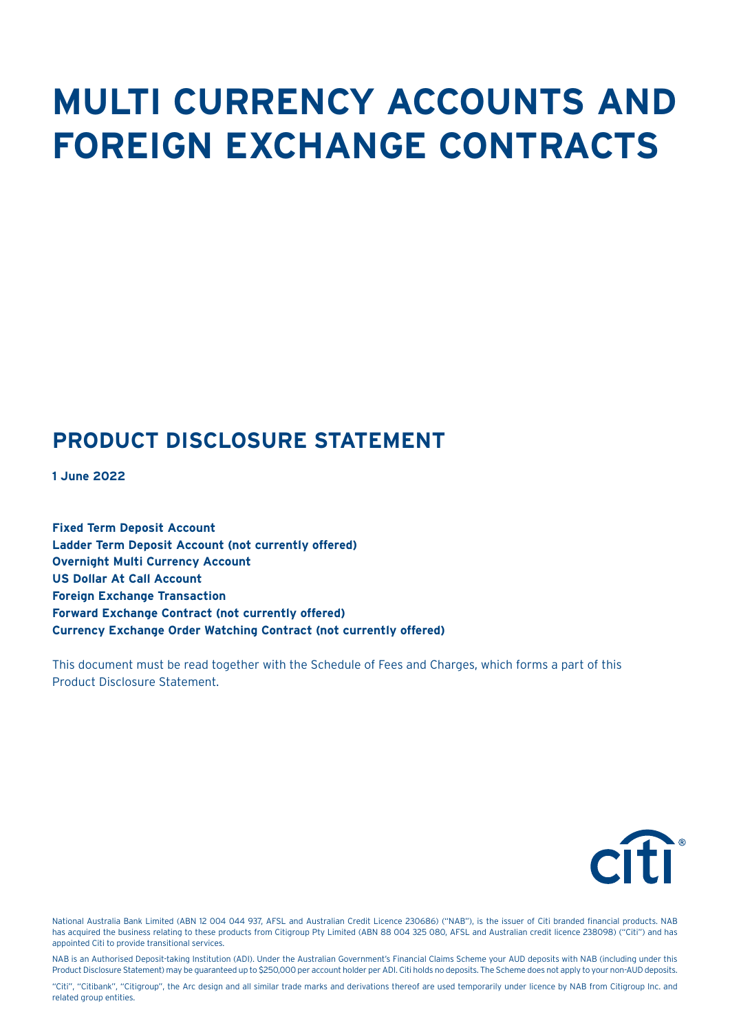# **MULTI CURRENCY ACCOUNTS AND FOREIGN EXCHANGE CONTRACTS**

## **PRODUCT DISCLOSURE STATEMENT**

**1 June 2022**

**Fixed Term Deposit Account Ladder Term Deposit Account (not currently offered) Overnight Multi Currency Account US Dollar At Call Account Foreign Exchange Transaction Forward Exchange Contract (not currently offered) Currency Exchange Order Watching Contract (not currently offered)** 

This document must be read together with the Schedule of Fees and Charges, which forms a part of this Product Disclosure Statement.



National Australia Bank Limited (ABN 12 004 044 937, AFSL and Australian Credit Licence 230686) ("NAB"), is the issuer of Citi branded financial products. NAB has acquired the business relating to these products from Citigroup Pty Limited (ABN 88 004 325 080, AFSL and Australian credit licence 238098) ("Citi") and has appointed Citi to provide transitional services.

NAB is an Authorised Deposit-taking Institution (ADI). Under the Australian Government's Financial Claims Scheme your AUD deposits with NAB (including under this Product Disclosure Statement) may be guaranteed up to \$250,000 per account holder per ADI. Citi holds no deposits. The Scheme does not apply to your non-AUD deposits.

"Citi", "Citibank", "Citigroup", the Arc design and all similar trade marks and derivations thereof are used temporarily under licence by NAB from Citigroup Inc. and related group entities.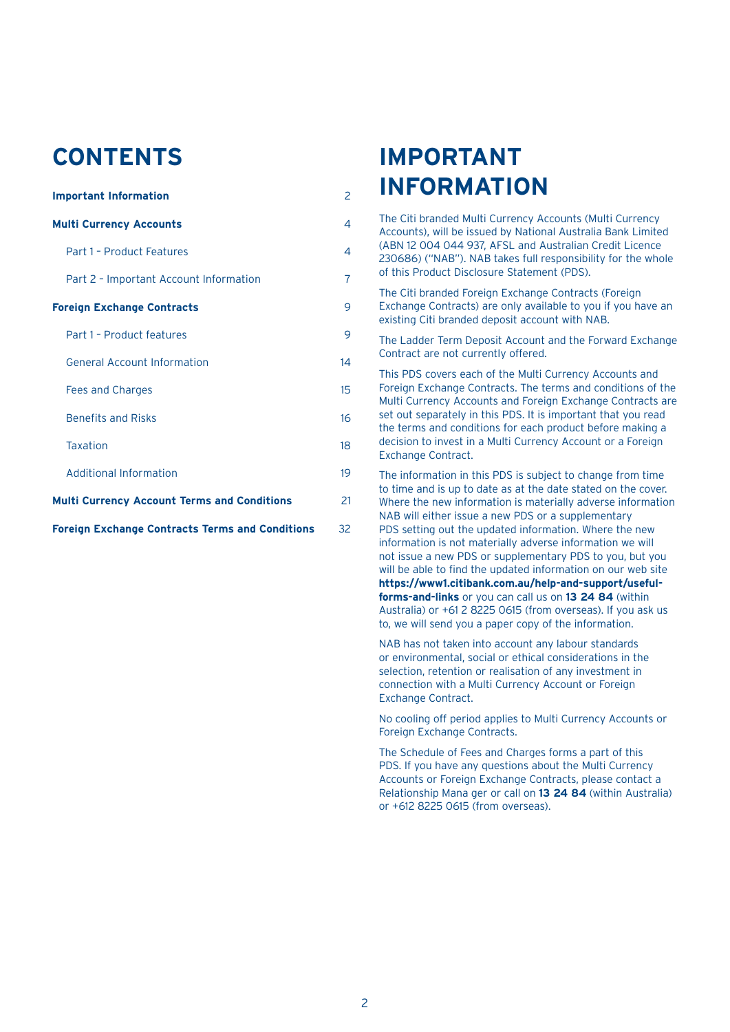## **CONTENTS**

| <b>Important Information</b>                           | 2  |
|--------------------------------------------------------|----|
| <b>Multi Currency Accounts</b>                         | 4  |
| Part 1 - Product Features                              | 4  |
| Part 2 - Important Account Information                 | 7  |
| <b>Foreign Exchange Contracts</b>                      | 9  |
| Part 1 - Product features                              | 9  |
| <b>General Account Information</b>                     | 14 |
| Fees and Charges                                       | 15 |
| <b>Benefits and Risks</b>                              | 16 |
| <b>Taxation</b>                                        | 18 |
| Additional Information                                 | 19 |
| <b>Multi Currency Account Terms and Conditions</b>     | 21 |
| <b>Foreign Exchange Contracts Terms and Conditions</b> | 32 |

## **IMPORTANT INFORMATION**

The Citi branded Multi Currency Accounts (Multi Currency Accounts), will be issued by National Australia Bank Limited (ABN 12 004 044 937, AFSL and Australian Credit Licence 230686) ("NAB"). NAB takes full responsibility for the whole of this Product Disclosure Statement (PDS).

The Citi branded Foreign Exchange Contracts (Foreign Exchange Contracts) are only available to you if you have an existing Citi branded deposit account with NAB.

The Ladder Term Deposit Account and the Forward Exchange Contract are not currently offered.

This PDS covers each of the Multi Currency Accounts and Foreign Exchange Contracts. The terms and conditions of the Multi Currency Accounts and Foreign Exchange Contracts are set out separately in this PDS. It is important that you read the terms and conditions for each product before making a decision to invest in a Multi Currency Account or a Foreign Exchange Contract.

The information in this PDS is subject to change from time to time and is up to date as at the date stated on the cover. Where the new information is materially adverse information NAB will either issue a new PDS or a supplementary PDS setting out the updated information. Where the new information is not materially adverse information we will not issue a new PDS or supplementary PDS to you, but you will be able to find the updated information on our web site **https://www1.citibank.com.au/help-and-support/usefulforms-and-links** or you can call us on **13 24 84** (within Australia) or +61 2 8225 0615 (from overseas). If you ask us to, we will send you a paper copy of the information.

NAB has not taken into account any labour standards or environmental, social or ethical considerations in the selection, retention or realisation of any investment in connection with a Multi Currency Account or Foreign Exchange Contract.

No cooling off period applies to Multi Currency Accounts or Foreign Exchange Contracts.

The Schedule of Fees and Charges forms a part of this PDS. If you have any questions about the Multi Currency Accounts or Foreign Exchange Contracts, please contact a Relationship Mana ger or call on **13 24 84** (within Australia) or +612 8225 0615 (from overseas).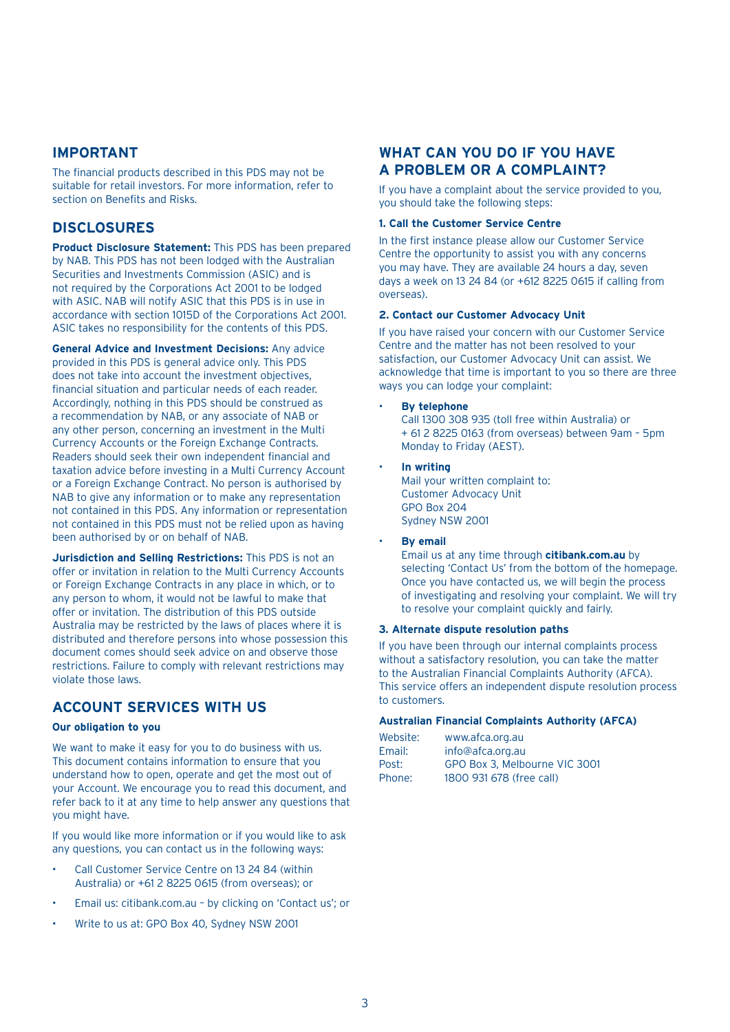## **IMPORTANT**

The financial products described in this PDS may not be suitable for retail investors. For more information, refer to section on Benefits and Risks.

## **DISCLOSURES**

**Product Disclosure Statement:** This PDS has been prepared by NAB. This PDS has not been lodged with the Australian Securities and Investments Commission (ASIC) and is not required by the Corporations Act 2001 to be lodged with ASIC. NAB will notify ASIC that this PDS is in use in accordance with section 1015D of the Corporations Act 2001. ASIC takes no responsibility for the contents of this PDS.

**General Advice and Investment Decisions:** Any advice provided in this PDS is general advice only. This PDS does not take into account the investment objectives, financial situation and particular needs of each reader. Accordingly, nothing in this PDS should be construed as a recommendation by NAB, or any associate of NAB or any other person, concerning an investment in the Multi Currency Accounts or the Foreign Exchange Contracts. Readers should seek their own independent financial and taxation advice before investing in a Multi Currency Account or a Foreign Exchange Contract. No person is authorised by NAB to give any information or to make any representation not contained in this PDS. Any information or representation not contained in this PDS must not be relied upon as having been authorised by or on behalf of NAB.

**Jurisdiction and Selling Restrictions:** This PDS is not an offer or invitation in relation to the Multi Currency Accounts or Foreign Exchange Contracts in any place in which, or to any person to whom, it would not be lawful to make that offer or invitation. The distribution of this PDS outside Australia may be restricted by the laws of places where it is distributed and therefore persons into whose possession this document comes should seek advice on and observe those restrictions. Failure to comply with relevant restrictions may violate those laws.

## **ACCOUNT SERVICES WITH US**

## **Our obligation to you**

We want to make it easy for you to do business with us. This document contains information to ensure that you understand how to open, operate and get the most out of your Account. We encourage you to read this document, and refer back to it at any time to help answer any questions that you might have.

If you would like more information or if you would like to ask any questions, you can contact us in the following ways:

- Call Customer Service Centre on 13 24 84 (within Australia) or +61 2 8225 0615 (from overseas); or
- Email us: citibank.com.au by clicking on 'Contact us'; or
- Write to us at: GPO Box 40, Sydney NSW 2001

## **WHAT CAN YOU DO IF YOU HAVE A PROBLEM OR A COMPLAINT?**

If you have a complaint about the service provided to you, you should take the following steps:

#### **1. Call the Customer Service Centre**

In the first instance please allow our Customer Service Centre the opportunity to assist you with any concerns you may have. They are available 24 hours a day, seven days a week on 13 24 84 (or +612 8225 0615 if calling from overseas).

#### **2. Contact our Customer Advocacy Unit**

If you have raised your concern with our Customer Service Centre and the matter has not been resolved to your satisfaction, our Customer Advocacy Unit can assist. We acknowledge that time is important to you so there are three ways you can lodge your complaint:

• **By telephone**

 Call 1300 308 935 (toll free within Australia) or + 61 2 8225 0163 (from overseas) between 9am – 5pm Monday to Friday (AEST).

#### • **In writing**

Mail your written complaint to: Customer Advocacy Unit GPO Box 204 Sydney NSW 2001

**By email** 

 Email us at any time through **citibank.com.au** by selecting 'Contact Us' from the bottom of the homepage. Once you have contacted us, we will begin the process of investigating and resolving your complaint. We will try to resolve your complaint quickly and fairly.

#### **3. Alternate dispute resolution paths**

If you have been through our internal complaints process without a satisfactory resolution, you can take the matter to the Australian Financial Complaints Authority (AFCA). This service offers an independent dispute resolution process to customers.

### **Australian Financial Complaints Authority (AFCA)**

| Website: | www.afca.org.au               |
|----------|-------------------------------|
| Email:   | info@afca.org.au              |
| Post:    | GPO Box 3, Melbourne VIC 3001 |
| Phone:   | 1800 931 678 (free call)      |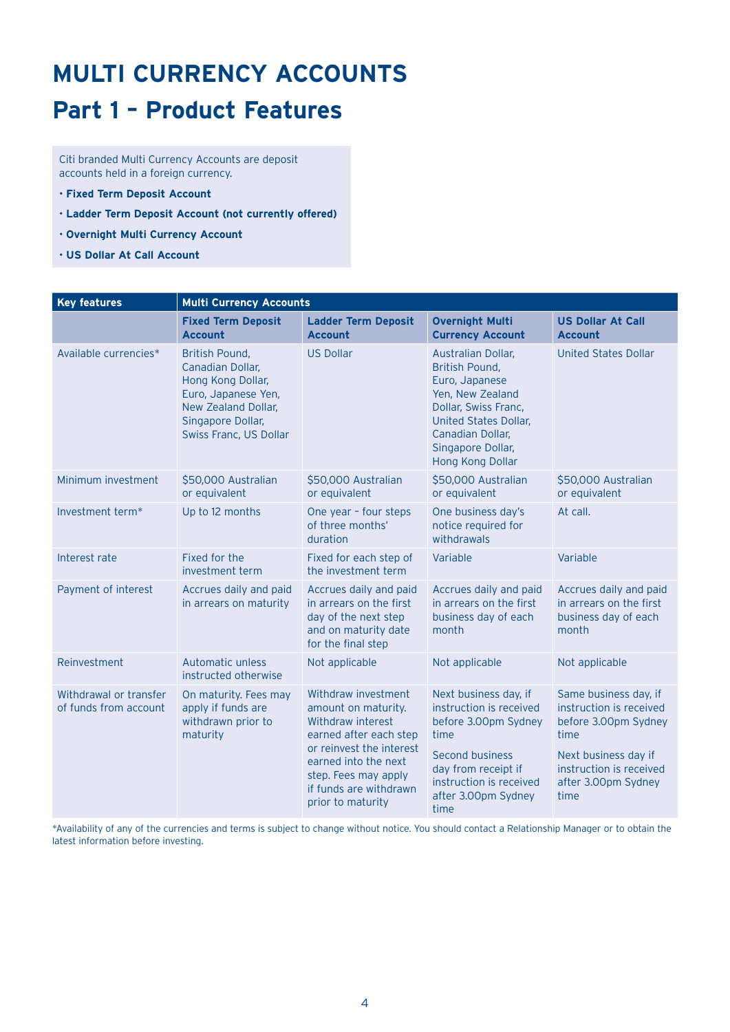# **MULTI CURRENCY ACCOUNTS**

## **Part 1 – Product Features**

Citi branded Multi Currency Accounts are deposit accounts held in a foreign currency.

- **Fixed Term Deposit Account**
- **Ladder Term Deposit Account (not currently offered)**
- **Overnight Multi Currency Account**
- **US Dollar At Call Account**

| <b>Key features</b>                             | <b>Multi Currency Accounts</b>                                                                                                                       |                                                                                                                                                                                                                      |                                                                                                                                                                                                        |                                                                                                                                                                    |
|-------------------------------------------------|------------------------------------------------------------------------------------------------------------------------------------------------------|----------------------------------------------------------------------------------------------------------------------------------------------------------------------------------------------------------------------|--------------------------------------------------------------------------------------------------------------------------------------------------------------------------------------------------------|--------------------------------------------------------------------------------------------------------------------------------------------------------------------|
|                                                 | <b>Fixed Term Deposit</b><br><b>Account</b>                                                                                                          | <b>Ladder Term Deposit</b><br><b>Account</b>                                                                                                                                                                         | <b>Overnight Multi</b><br><b>Currency Account</b>                                                                                                                                                      | <b>US Dollar At Call</b><br><b>Account</b>                                                                                                                         |
| Available currencies*                           | British Pound,<br>Canadian Dollar,<br>Hong Kong Dollar,<br>Euro, Japanese Yen,<br>New Zealand Dollar.<br>Singapore Dollar,<br>Swiss Franc, US Dollar | <b>US Dollar</b>                                                                                                                                                                                                     | Australian Dollar,<br><b>British Pound,</b><br>Euro, Japanese<br>Yen, New Zealand<br>Dollar, Swiss Franc,<br><b>United States Dollar,</b><br>Canadian Dollar,<br>Singapore Dollar,<br>Hong Kong Dollar | <b>United States Dollar</b>                                                                                                                                        |
| Minimum investment                              | \$50,000 Australian<br>or equivalent                                                                                                                 | \$50,000 Australian<br>or equivalent                                                                                                                                                                                 | \$50,000 Australian<br>or equivalent                                                                                                                                                                   | \$50,000 Australian<br>or equivalent                                                                                                                               |
| Investment term*                                | Up to 12 months                                                                                                                                      | One year - four steps<br>of three months'<br>duration                                                                                                                                                                | One business day's<br>notice required for<br>withdrawals                                                                                                                                               | At call.                                                                                                                                                           |
| Interest rate                                   | Fixed for the<br>investment term                                                                                                                     | Fixed for each step of<br>the investment term                                                                                                                                                                        | Variable                                                                                                                                                                                               | Variable                                                                                                                                                           |
| Payment of interest                             | Accrues daily and paid<br>in arrears on maturity                                                                                                     | Accrues daily and paid<br>in arrears on the first<br>day of the next step<br>and on maturity date<br>for the final step                                                                                              | Accrues daily and paid<br>in arrears on the first<br>business day of each<br>month                                                                                                                     | Accrues daily and paid<br>in arrears on the first<br>business day of each<br>month                                                                                 |
| Reinvestment                                    | Automatic unless<br>instructed otherwise                                                                                                             | Not applicable                                                                                                                                                                                                       | Not applicable                                                                                                                                                                                         | Not applicable                                                                                                                                                     |
| Withdrawal or transfer<br>of funds from account | On maturity. Fees may<br>apply if funds are<br>withdrawn prior to<br>maturity                                                                        | Withdraw investment<br>amount on maturity.<br>Withdraw interest<br>earned after each step<br>or reinvest the interest<br>earned into the next<br>step. Fees may apply<br>if funds are withdrawn<br>prior to maturity | Next business day, if<br>instruction is received<br>before 3.00pm Sydney<br>time<br><b>Second business</b><br>day from receipt if<br>instruction is received<br>after 3.00pm Sydney<br>time            | Same business day, if<br>instruction is received<br>before 3.00pm Sydney<br>time<br>Next business day if<br>instruction is received<br>after 3.00pm Sydney<br>time |

\*Availability of any of the currencies and terms is subject to change without notice. You should contact a Relationship Manager or to obtain the latest information before investing.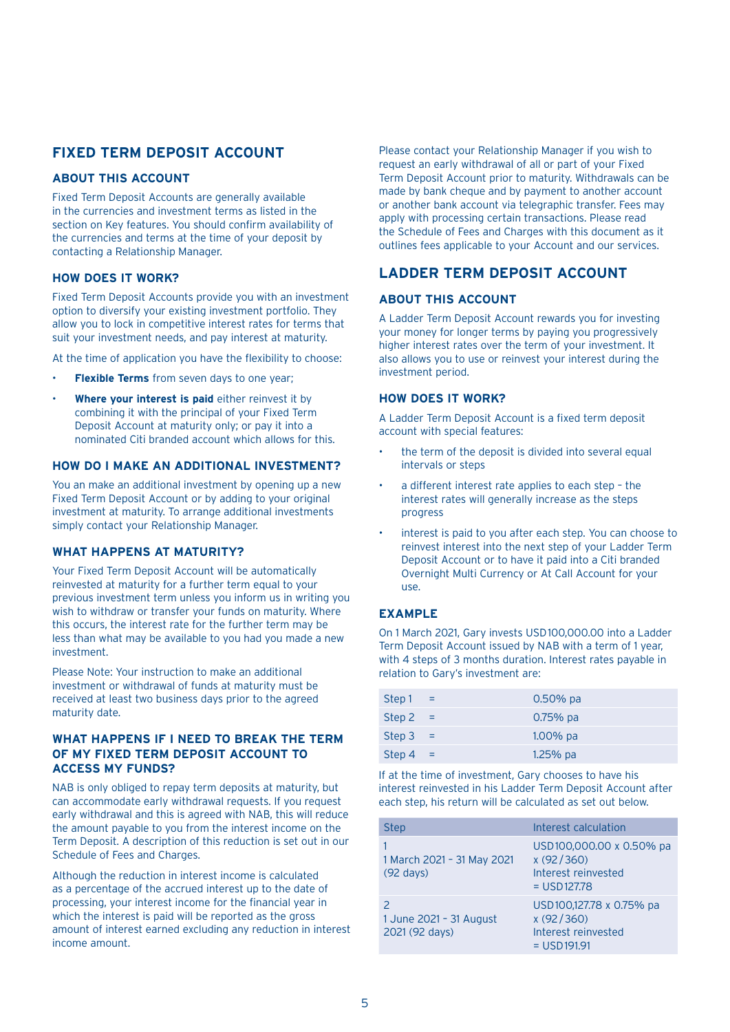## **FIXED TERM DEPOSIT ACCOUNT**

## **ABOUT THIS ACCOUNT**

Fixed Term Deposit Accounts are generally available in the currencies and investment terms as listed in the section on Key features. You should confirm availability of the currencies and terms at the time of your deposit by contacting a Relationship Manager.

## **HOW DOES IT WORK?**

Fixed Term Deposit Accounts provide you with an investment option to diversify your existing investment portfolio. They allow you to lock in competitive interest rates for terms that suit your investment needs, and pay interest at maturity.

At the time of application you have the flexibility to choose:

- **Flexible Terms** from seven days to one year;
- **Where your interest is paid** either reinvest it by combining it with the principal of your Fixed Term Deposit Account at maturity only; or pay it into a nominated Citi branded account which allows for this.

## **HOW DO I MAKE AN ADDITIONAL INVESTMENT?**

You an make an additional investment by opening up a new Fixed Term Deposit Account or by adding to your original investment at maturity. To arrange additional investments simply contact your Relationship Manager.

## **WHAT HAPPENS AT MATURITY?**

Your Fixed Term Deposit Account will be automatically reinvested at maturity for a further term equal to your previous investment term unless you inform us in writing you wish to withdraw or transfer your funds on maturity. Where this occurs, the interest rate for the further term may be less than what may be available to you had you made a new investment.

Please Note: Your instruction to make an additional investment or withdrawal of funds at maturity must be received at least two business days prior to the agreed maturity date.

## **WHAT HAPPENS IF I NEED TO BREAK THE TERM OF MY FIXED TERM DEPOSIT ACCOUNT TO ACCESS MY FUNDS?**

NAB is only obliged to repay term deposits at maturity, but can accommodate early withdrawal requests. If you request early withdrawal and this is agreed with NAB, this will reduce the amount payable to you from the interest income on the Term Deposit. A description of this reduction is set out in our Schedule of Fees and Charges.

Although the reduction in interest income is calculated as a percentage of the accrued interest up to the date of processing, your interest income for the financial year in which the interest is paid will be reported as the gross amount of interest earned excluding any reduction in interest income amount.

Please contact your Relationship Manager if you wish to request an early withdrawal of all or part of your Fixed Term Deposit Account prior to maturity. Withdrawals can be made by bank cheque and by payment to another account or another bank account via telegraphic transfer. Fees may apply with processing certain transactions. Please read the Schedule of Fees and Charges with this document as it outlines fees applicable to your Account and our services.

## **LADDER TERM DEPOSIT ACCOUNT**

## **ABOUT THIS ACCOUNT**

A Ladder Term Deposit Account rewards you for investing your money for longer terms by paying you progressively higher interest rates over the term of your investment. It also allows you to use or reinvest your interest during the investment period.

## **HOW DOES IT WORK?**

A Ladder Term Deposit Account is a fixed term deposit account with special features:

- the term of the deposit is divided into several equal intervals or steps
- a different interest rate applies to each step the interest rates will generally increase as the steps progress
- interest is paid to you after each step. You can choose to reinvest interest into the next step of your Ladder Term Deposit Account or to have it paid into a Citi branded Overnight Multi Currency or At Call Account for your use.

## **EXAMPLE**

On 1 March 2021, Gary invests USD100,000.00 into a Ladder Term Deposit Account issued by NAB with a term of 1 year, with 4 steps of 3 months duration. Interest rates payable in relation to Gary's investment are:

| Step 1     | $\mathcal{A} = \mathcal{A}$ | $0.50\%$ pa |
|------------|-----------------------------|-------------|
| Step $2 =$ |                             | $0.75%$ pa  |
| $Step 3 =$ |                             | $1.00\%$ pa |
| Step $4 =$ |                             | 1.25% pa    |

If at the time of investment, Gary chooses to have his interest reinvested in his Ladder Term Deposit Account after each step, his return will be calculated as set out below.

| <b>Step</b>                                       | Interest calculation                                                           |
|---------------------------------------------------|--------------------------------------------------------------------------------|
| 1 March 2021 - 31 May 2021<br>$(92 \text{ days})$ | USD100,000.00 x 0.50% pa<br>x (92/360)<br>Interest reinvested<br>$=$ USD127.78 |
| 1 June 2021 - 31 August<br>2021 (92 days)         | USD100,127.78 x 0.75% pa<br>x(92/360)<br>Interest reinvested<br>$=$ USD191.91  |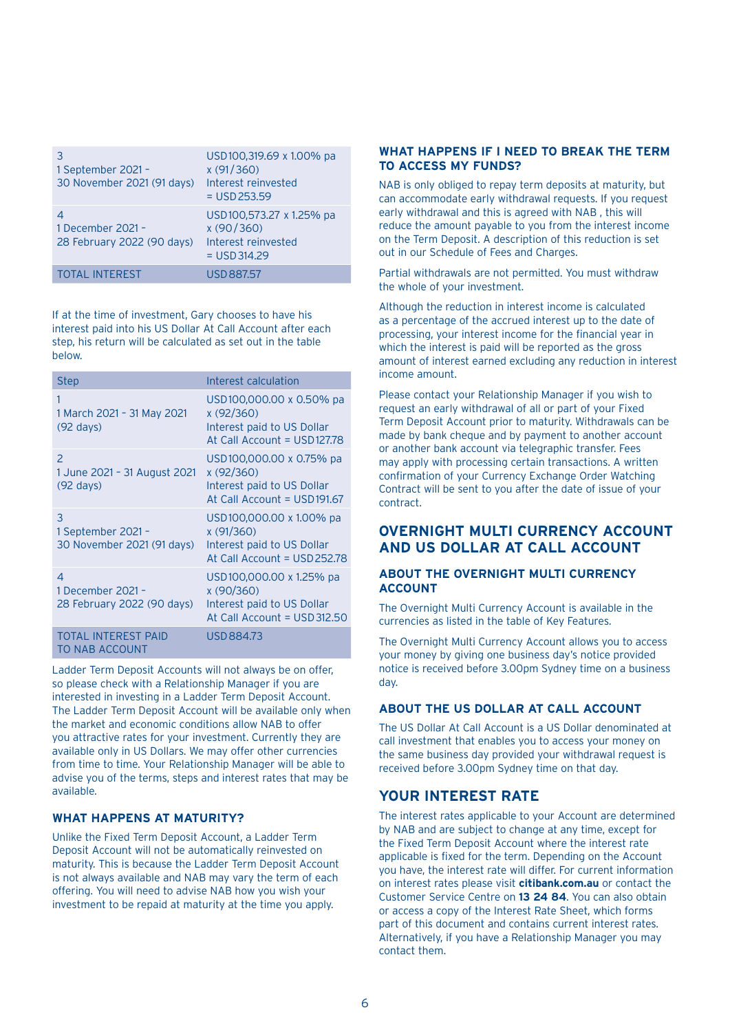| 1 September 2021 -<br>30 November 2021 (91 days) | USD100,319.69 x 1.00% pa<br>x (91/360)<br>Interest reinvested<br>$=$ USD 253.59 |
|--------------------------------------------------|---------------------------------------------------------------------------------|
| 1 December 2021 -<br>28 February 2022 (90 days)  | USD100,573.27 x 1.25% pa<br>x(90/360)<br>Interest reinvested<br>$=$ USD 314.29  |
| <b>TOTAL INTEREST</b>                            | USD 887.57                                                                      |

If at the time of investment, Gary chooses to have his interest paid into his US Dollar At Call Account after each step, his return will be calculated as set out in the table below.

| <b>Step</b>                                                                 | Interest calculation                                                                                |
|-----------------------------------------------------------------------------|-----------------------------------------------------------------------------------------------------|
| 1<br>1 March 2021 - 31 May 2021<br>$(92 \text{ days})$                      | USD100,000.00 x 0.50% pa<br>x(92/360)<br>Interest paid to US Dollar<br>At Call Account = USD127.78  |
| $\mathcal{P}$<br>1 June 2021 - 31 August 2021<br>$(92 \text{ days})$        | USD100,000.00 x 0.75% pa<br>x(92/360)<br>Interest paid to US Dollar<br>At Call Account = USD191.67  |
| 3<br>1 September 2021 -<br>30 November 2021 (91 days)                       | USD100,000.00 x 1.00% pa<br>x(91/360)<br>Interest paid to US Dollar<br>At Call Account = USD 252.78 |
| $\overline{\mathcal{A}}$<br>1 December 2021 -<br>28 February 2022 (90 days) | USD100,000.00 x 1.25% pa<br>x(90/360)<br>Interest paid to US Dollar<br>At Call Account = USD312.50  |
| <b>TOTAL INTEREST PAID</b><br>TO NAB ACCOUNT                                | USD 884.73                                                                                          |

Ladder Term Deposit Accounts will not always be on offer, so please check with a Relationship Manager if you are interested in investing in a Ladder Term Deposit Account. The Ladder Term Deposit Account will be available only when the market and economic conditions allow NAB to offer you attractive rates for your investment. Currently they are available only in US Dollars. We may offer other currencies from time to time. Your Relationship Manager will be able to advise you of the terms, steps and interest rates that may be available.

## **WHAT HAPPENS AT MATURITY?**

Unlike the Fixed Term Deposit Account, a Ladder Term Deposit Account will not be automatically reinvested on maturity. This is because the Ladder Term Deposit Account is not always available and NAB may vary the term of each offering. You will need to advise NAB how you wish your investment to be repaid at maturity at the time you apply.

## **WHAT HAPPENS IF I NEED TO BREAK THE TERM TO ACCESS MY FUNDS?**

NAB is only obliged to repay term deposits at maturity, but can accommodate early withdrawal requests. If you request early withdrawal and this is agreed with NAB , this will reduce the amount payable to you from the interest income on the Term Deposit. A description of this reduction is set out in our Schedule of Fees and Charges.

Partial withdrawals are not permitted. You must withdraw the whole of your investment.

Although the reduction in interest income is calculated as a percentage of the accrued interest up to the date of processing, your interest income for the financial year in which the interest is paid will be reported as the gross amount of interest earned excluding any reduction in interest income amount.

Please contact your Relationship Manager if you wish to request an early withdrawal of all or part of your Fixed Term Deposit Account prior to maturity. Withdrawals can be made by bank cheque and by payment to another account or another bank account via telegraphic transfer. Fees may apply with processing certain transactions. A written confirmation of your Currency Exchange Order Watching Contract will be sent to you after the date of issue of your contract.

## **OVERNIGHT MULTI CURRENCY ACCOUNT AND US DOLLAR AT CALL ACCOUNT**

## **ABOUT THE OVERNIGHT MULTI CURRENCY ACCOUNT**

The Overnight Multi Currency Account is available in the currencies as listed in the table of Key Features.

The Overnight Multi Currency Account allows you to access your money by giving one business day's notice provided notice is received before 3.00pm Sydney time on a business day.

## **ABOUT THE US DOLLAR AT CALL ACCOUNT**

The US Dollar At Call Account is a US Dollar denominated at call investment that enables you to access your money on the same business day provided your withdrawal request is received before 3.00pm Sydney time on that day.

## **YOUR INTEREST RATE**

The interest rates applicable to your Account are determined by NAB and are subject to change at any time, except for the Fixed Term Deposit Account where the interest rate applicable is fixed for the term. Depending on the Account you have, the interest rate will differ. For current information on interest rates please visit **citibank.com.au** or contact the Customer Service Centre on **13 24 84**. You can also obtain or access a copy of the Interest Rate Sheet, which forms part of this document and contains current interest rates. Alternatively, if you have a Relationship Manager you may contact them.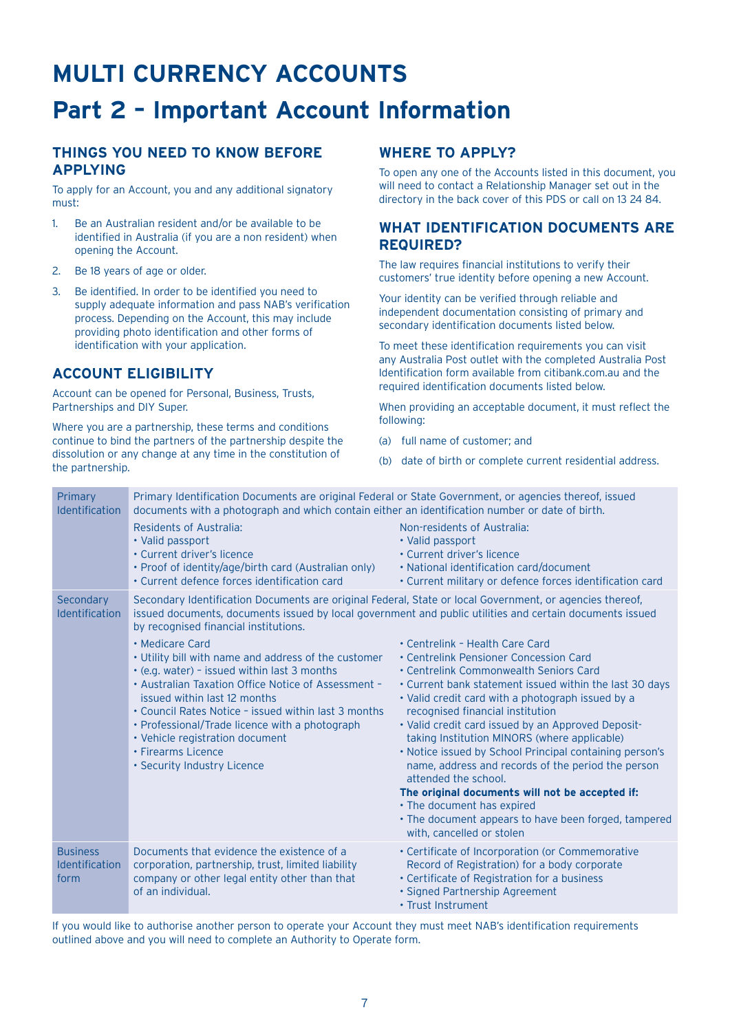## **MULTI CURRENCY ACCOUNTS Part 2 – Important Account Information**

## **THINGS YOU NEED TO KNOW BEFORE APPLYING**

To apply for an Account, you and any additional signatory must:

- 1. Be an Australian resident and/or be available to be identified in Australia (if you are a non resident) when opening the Account.
- 2. Be 18 years of age or older.
- 3. Be identified. In order to be identified you need to supply adequate information and pass NAB's verification process. Depending on the Account, this may include providing photo identification and other forms of identification with your application.

## **ACCOUNT ELIGIBILITY**

Account can be opened for Personal, Business, Trusts, Partnerships and DIY Super.

Where you are a partnership, these terms and conditions continue to bind the partners of the partnership despite the dissolution or any change at any time in the constitution of the partnership.

## **WHERE TO APPLY?**

To open any one of the Accounts listed in this document, you will need to contact a Relationship Manager set out in the directory in the back cover of this PDS or call on 13 24 84.

## **WHAT IDENTIFICATION DOCUMENTS ARE REQUIRED?**

The law requires financial institutions to verify their customers' true identity before opening a new Account.

Your identity can be verified through reliable and independent documentation consisting of primary and secondary identification documents listed below.

To meet these identification requirements you can visit any Australia Post outlet with the completed Australia Post Identification form available from citibank.com.au and the required identification documents listed below.

When providing an acceptable document, it must reflect the following:

- (a) full name of customer; and
- (b) date of birth or complete current residential address.

| Primary<br><b>Identification</b>                 | Primary Identification Documents are original Federal or State Government, or agencies thereof, issued<br>documents with a photograph and which contain either an identification number or date of birth.<br>Residents of Australia:<br>• Valid passport<br>• Current driver's licence<br>• Proof of identity/age/birth card (Australian only)<br>• Current defence forces identification card                                                                                                                                                                        | Non-residents of Australia:<br>• Valid passport<br>• Current driver's licence<br>• National identification card/document<br>• Current military or defence forces identification card                                                                                                                                                                                                                                                                                                                                                                                                                                                                                                                                                                                                                     |
|--------------------------------------------------|-----------------------------------------------------------------------------------------------------------------------------------------------------------------------------------------------------------------------------------------------------------------------------------------------------------------------------------------------------------------------------------------------------------------------------------------------------------------------------------------------------------------------------------------------------------------------|----------------------------------------------------------------------------------------------------------------------------------------------------------------------------------------------------------------------------------------------------------------------------------------------------------------------------------------------------------------------------------------------------------------------------------------------------------------------------------------------------------------------------------------------------------------------------------------------------------------------------------------------------------------------------------------------------------------------------------------------------------------------------------------------------------|
| Secondary<br><b>Identification</b>               | Secondary Identification Documents are original Federal, State or local Government, or agencies thereof,<br>by recognised financial institutions.<br>• Medicare Card<br>• Utility bill with name and address of the customer<br>. (e.g. water) - issued within last 3 months<br>• Australian Taxation Office Notice of Assessment -<br>issued within last 12 months<br>• Council Rates Notice - issued within last 3 months<br>• Professional/Trade licence with a photograph<br>• Vehicle registration document<br>• Firearms Licence<br>• Security Industry Licence | issued documents, documents issued by local government and public utilities and certain documents issued<br>• Centrelink - Health Care Card<br>• Centrelink Pensioner Concession Card<br>• Centrelink Commonwealth Seniors Card<br>. Current bank statement issued within the last 30 days<br>• Valid credit card with a photograph issued by a<br>recognised financial institution<br>• Valid credit card issued by an Approved Deposit-<br>taking Institution MINORS (where applicable)<br>. Notice issued by School Principal containing person's<br>name, address and records of the period the person<br>attended the school.<br>The original documents will not be accepted if:<br>• The document has expired<br>• The document appears to have been forged, tampered<br>with, cancelled or stolen |
| <b>Business</b><br><b>Identification</b><br>form | Documents that evidence the existence of a<br>corporation, partnership, trust, limited liability<br>company or other legal entity other than that<br>of an individual.                                                                                                                                                                                                                                                                                                                                                                                                | • Certificate of Incorporation (or Commemorative<br>Record of Registration) for a body corporate<br>• Certificate of Registration for a business<br>· Signed Partnership Agreement<br>• Trust Instrument                                                                                                                                                                                                                                                                                                                                                                                                                                                                                                                                                                                                 |

If you would like to authorise another person to operate your Account they must meet NAB's identification requirements outlined above and you will need to complete an Authority to Operate form.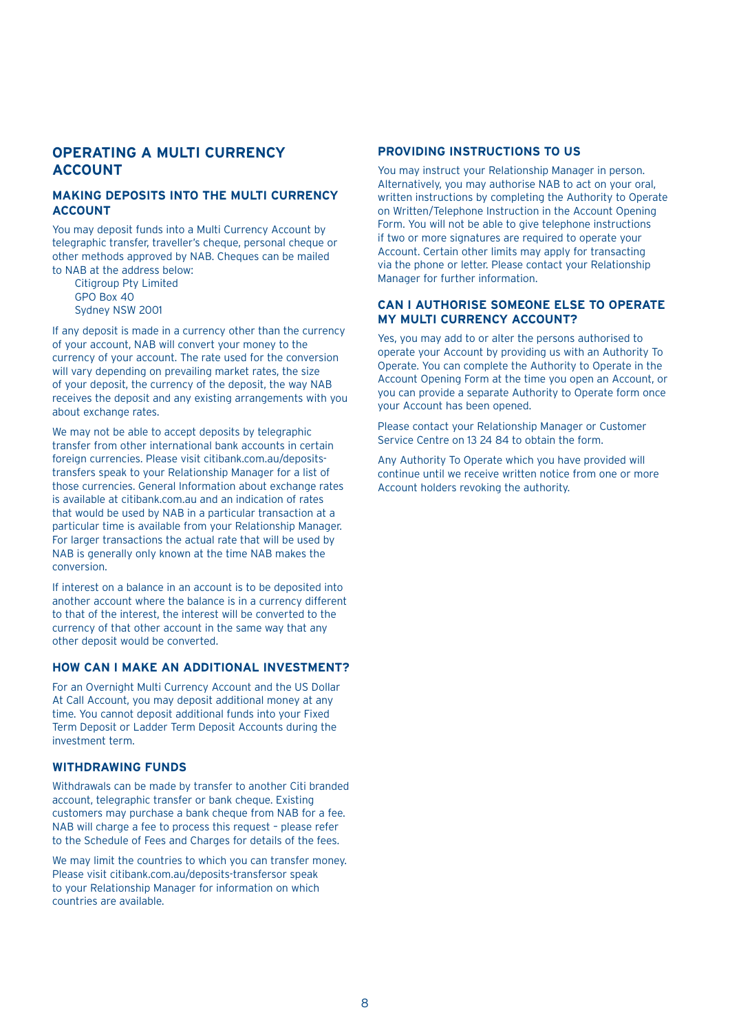## **OPERATING A MULTI CURRENCY ACCOUNT**

## **MAKING DEPOSITS INTO THE MULTI CURRENCY ACCOUNT**

You may deposit funds into a Multi Currency Account by telegraphic transfer, traveller's cheque, personal cheque or other methods approved by NAB. Cheques can be mailed to NAB at the address below:

Citigroup Pty Limited GPO Box 40 Sydney NSW 2001

If any deposit is made in a currency other than the currency of your account, NAB will convert your money to the currency of your account. The rate used for the conversion will vary depending on prevailing market rates, the size of your deposit, the currency of the deposit, the way NAB receives the deposit and any existing arrangements with you about exchange rates.

We may not be able to accept deposits by telegraphic transfer from other international bank accounts in certain foreign currencies. Please visit citibank.com.au/depositstransfers speak to your Relationship Manager for a list of those currencies. General Information about exchange rates is available at citibank.com.au and an indication of rates that would be used by NAB in a particular transaction at a particular time is available from your Relationship Manager. For larger transactions the actual rate that will be used by NAB is generally only known at the time NAB makes the conversion.

If interest on a balance in an account is to be deposited into another account where the balance is in a currency different to that of the interest, the interest will be converted to the currency of that other account in the same way that any other deposit would be converted.

## **HOW CAN I MAKE AN ADDITIONAL INVESTMENT?**

For an Overnight Multi Currency Account and the US Dollar At Call Account, you may deposit additional money at any time. You cannot deposit additional funds into your Fixed Term Deposit or Ladder Term Deposit Accounts during the investment term.

## **WITHDRAWING FUNDS**

Withdrawals can be made by transfer to another Citi branded account, telegraphic transfer or bank cheque. Existing customers may purchase a bank cheque from NAB for a fee. NAB will charge a fee to process this request – please refer to the Schedule of Fees and Charges for details of the fees.

We may limit the countries to which you can transfer money. Please visit citibank.com.au/deposits-transfersor speak to your Relationship Manager for information on which countries are available.

## **PROVIDING INSTRUCTIONS TO US**

You may instruct your Relationship Manager in person. Alternatively, you may authorise NAB to act on your oral, written instructions by completing the Authority to Operate on Written/Telephone Instruction in the Account Opening Form. You will not be able to give telephone instructions if two or more signatures are required to operate your Account. Certain other limits may apply for transacting via the phone or letter. Please contact your Relationship Manager for further information.

## **CAN I AUTHORISE SOMEONE ELSE TO OPERATE MY MULTI CURRENCY ACCOUNT?**

Yes, you may add to or alter the persons authorised to operate your Account by providing us with an Authority To Operate. You can complete the Authority to Operate in the Account Opening Form at the time you open an Account, or you can provide a separate Authority to Operate form once your Account has been opened.

Please contact your Relationship Manager or Customer Service Centre on 13 24 84 to obtain the form.

Any Authority To Operate which you have provided will continue until we receive written notice from one or more Account holders revoking the authority.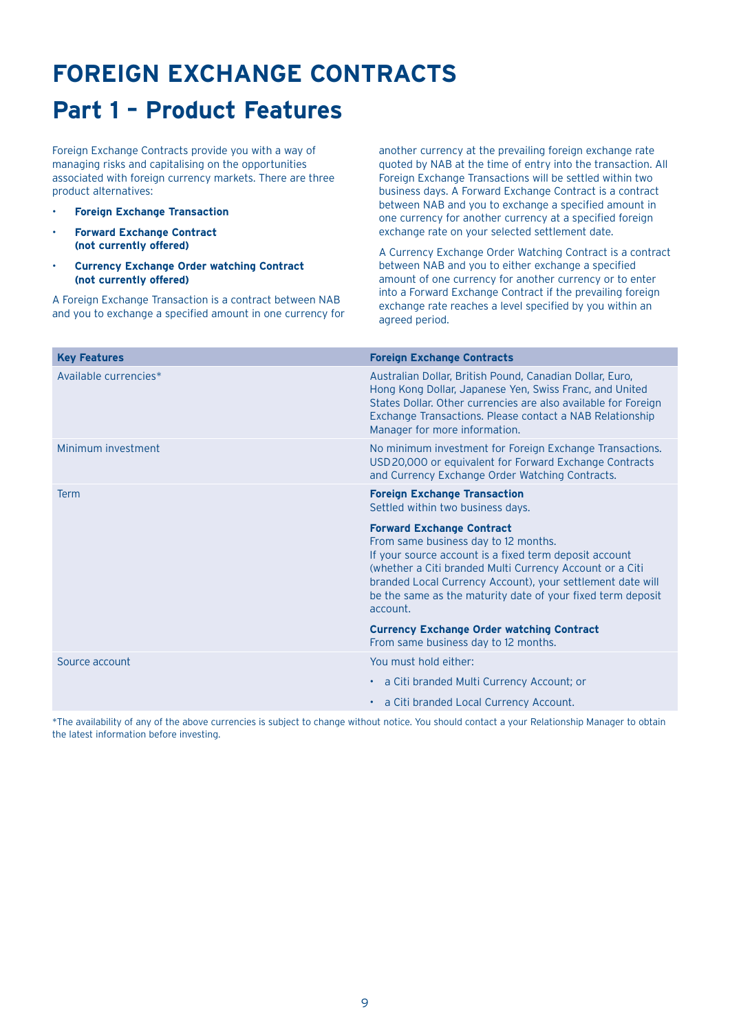## **FOREIGN EXCHANGE CONTRACTS**

## **Part 1 – Product Features**

Foreign Exchange Contracts provide you with a way of managing risks and capitalising on the opportunities associated with foreign currency markets. There are three product alternatives:

- **Foreign Exchange Transaction**
- **Forward Exchange Contract (not currently offered)**
- **Currency Exchange Order watching Contract (not currently offered)**

A Foreign Exchange Transaction is a contract between NAB and you to exchange a specified amount in one currency for

another currency at the prevailing foreign exchange rate quoted by NAB at the time of entry into the transaction. All Foreign Exchange Transactions will be settled within two business days. A Forward Exchange Contract is a contract between NAB and you to exchange a specified amount in one currency for another currency at a specified foreign exchange rate on your selected settlement date.

A Currency Exchange Order Watching Contract is a contract between NAB and you to either exchange a specified amount of one currency for another currency or to enter into a Forward Exchange Contract if the prevailing foreign exchange rate reaches a level specified by you within an agreed period.

| <b>Key Features</b>   | <b>Foreign Exchange Contracts</b>                                                                                                                                                                                                                                                                                                       |
|-----------------------|-----------------------------------------------------------------------------------------------------------------------------------------------------------------------------------------------------------------------------------------------------------------------------------------------------------------------------------------|
| Available currencies* | Australian Dollar, British Pound, Canadian Dollar, Euro,<br>Hong Kong Dollar, Japanese Yen, Swiss Franc, and United<br>States Dollar. Other currencies are also available for Foreign<br>Exchange Transactions. Please contact a NAB Relationship<br>Manager for more information.                                                      |
| Minimum investment    | No minimum investment for Foreign Exchange Transactions.<br>USD 20,000 or equivalent for Forward Exchange Contracts<br>and Currency Exchange Order Watching Contracts.                                                                                                                                                                  |
| <b>Term</b>           | <b>Foreign Exchange Transaction</b><br>Settled within two business days.                                                                                                                                                                                                                                                                |
|                       | <b>Forward Exchange Contract</b><br>From same business day to 12 months.<br>If your source account is a fixed term deposit account<br>(whether a Citi branded Multi Currency Account or a Citi<br>branded Local Currency Account), your settlement date will<br>be the same as the maturity date of your fixed term deposit<br>account. |
|                       | <b>Currency Exchange Order watching Contract</b><br>From same business day to 12 months.                                                                                                                                                                                                                                                |
| Source account        | You must hold either:                                                                                                                                                                                                                                                                                                                   |
|                       | • a Citi branded Multi Currency Account; or                                                                                                                                                                                                                                                                                             |
|                       | • a Citi branded Local Currency Account.                                                                                                                                                                                                                                                                                                |

\*The availability of any of the above currencies is subject to change without notice. You should contact a your Relationship Manager to obtain the latest information before investing.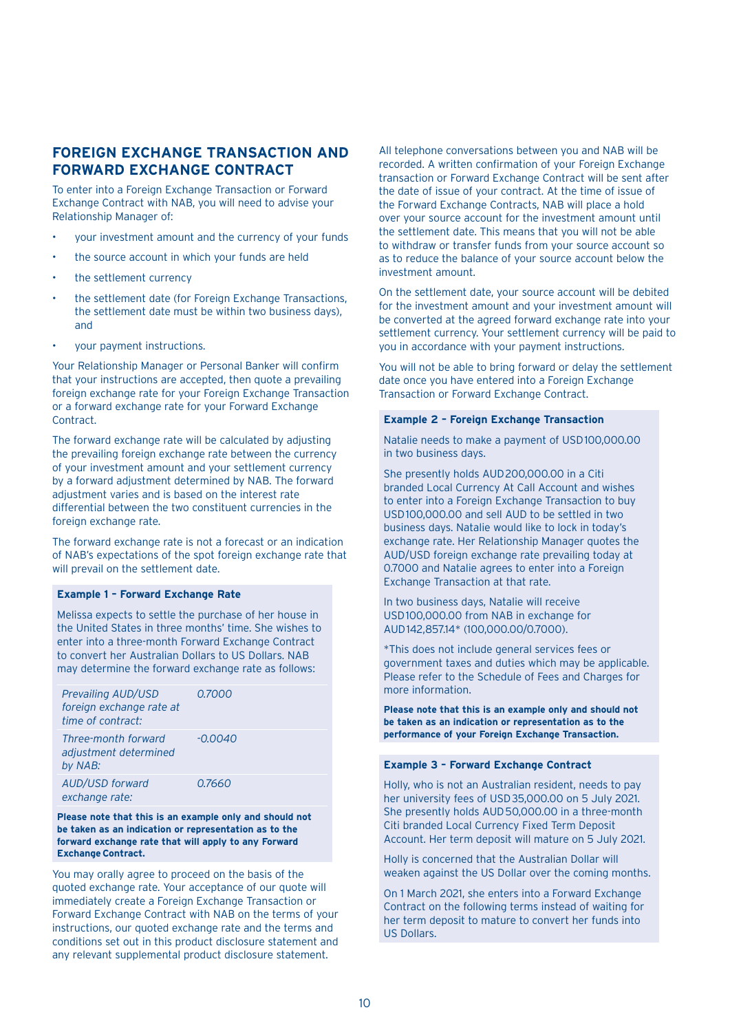## **FOREIGN EXCHANGE TRANSACTION AND FORWARD EXCHANGE CONTRACT**

To enter into a Foreign Exchange Transaction or Forward Exchange Contract with NAB, you will need to advise your Relationship Manager of:

- your investment amount and the currency of your funds
- the source account in which your funds are held
- the settlement currency
- the settlement date (for Foreign Exchange Transactions, the settlement date must be within two business days), and
- your payment instructions.

Your Relationship Manager or Personal Banker will confirm that your instructions are accepted, then quote a prevailing foreign exchange rate for your Foreign Exchange Transaction or a forward exchange rate for your Forward Exchange Contract.

The forward exchange rate will be calculated by adjusting the prevailing foreign exchange rate between the currency of your investment amount and your settlement currency by a forward adjustment determined by NAB. The forward adjustment varies and is based on the interest rate differential between the two constituent currencies in the foreign exchange rate.

The forward exchange rate is not a forecast or an indication of NAB's expectations of the spot foreign exchange rate that will prevail on the settlement date.

#### **Example 1 – Forward Exchange Rate**

Melissa expects to settle the purchase of her house in the United States in three months' time. She wishes to enter into a three-month Forward Exchange Contract to convert her Australian Dollars to US Dollars. NAB may determine the forward exchange rate as follows:

| Prevailing AUD/USD<br>foreign exchange rate at<br>time of contract: | 0.7000  |
|---------------------------------------------------------------------|---------|
| Three-month forward<br>adjustment determined<br>by NAB:             | -0.0040 |
| AUD/USD forward<br>exchange rate:                                   | 0.7660  |

**Please note that this is an example only and should not be taken as an indication or representation as to the forward exchange rate that will apply to any Forward Exchange Contract.**

You may orally agree to proceed on the basis of the quoted exchange rate. Your acceptance of our quote will immediately create a Foreign Exchange Transaction or Forward Exchange Contract with NAB on the terms of your instructions, our quoted exchange rate and the terms and conditions set out in this product disclosure statement and any relevant supplemental product disclosure statement.

All telephone conversations between you and NAB will be recorded. A written confirmation of your Foreign Exchange transaction or Forward Exchange Contract will be sent after the date of issue of your contract. At the time of issue of the Forward Exchange Contracts, NAB will place a hold over your source account for the investment amount until the settlement date. This means that you will not be able to withdraw or transfer funds from your source account so as to reduce the balance of your source account below the investment amount.

On the settlement date, your source account will be debited for the investment amount and your investment amount will be converted at the agreed forward exchange rate into your settlement currency. Your settlement currency will be paid to you in accordance with your payment instructions.

You will not be able to bring forward or delay the settlement date once you have entered into a Foreign Exchange Transaction or Forward Exchange Contract.

#### **Example 2 – Foreign Exchange Transaction**

Natalie needs to make a payment of USD100,000.00 in two business days.

She presently holds AUD200,000.00 in a Citi branded Local Currency At Call Account and wishes to enter into a Foreign Exchange Transaction to buy USD100,000.00 and sell AUD to be settled in two business days. Natalie would like to lock in today's exchange rate. Her Relationship Manager quotes the AUD/USD foreign exchange rate prevailing today at 0.7000 and Natalie agrees to enter into a Foreign Exchange Transaction at that rate.

In two business days, Natalie will receive USD100,000.00 from NAB in exchange for AUD142,857.14\* (100,000.00/0.7000).

\*This does not include general services fees or government taxes and duties which may be applicable. Please refer to the Schedule of Fees and Charges for more information.

**Please note that this is an example only and should not be taken as an indication or representation as to the performance of your Foreign Exchange Transaction.**

#### **Example 3 – Forward Exchange Contract**

Holly, who is not an Australian resident, needs to pay her university fees of USD35,000.00 on 5 July 2021. She presently holds AUD50,000.00 in a three-month Citi branded Local Currency Fixed Term Deposit Account. Her term deposit will mature on 5 July 2021.

Holly is concerned that the Australian Dollar will weaken against the US Dollar over the coming months.

On 1 March 2021, she enters into a Forward Exchange Contract on the following terms instead of waiting for her term deposit to mature to convert her funds into US Dollars.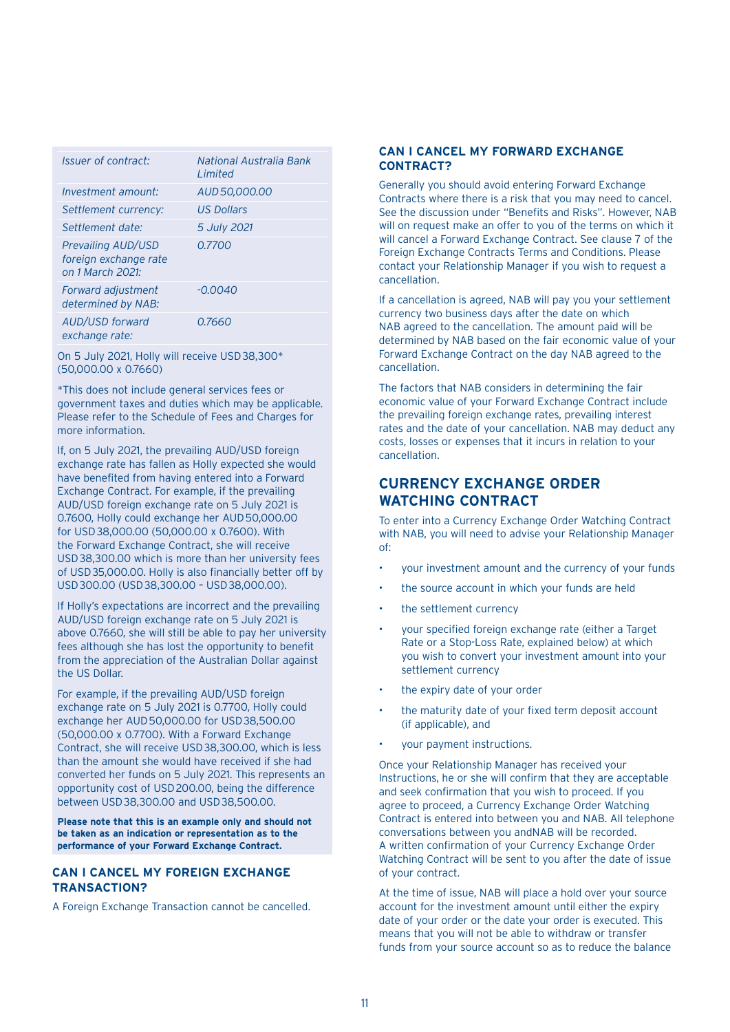| <i><b>Issuer of contract:</b></i>                                      | National Australia Bank<br>I imited |
|------------------------------------------------------------------------|-------------------------------------|
| Investment amount:                                                     | AUD 50,000.00                       |
| Settlement currency:                                                   | <b>US Dollars</b>                   |
| Settlement date:                                                       | 5 July 2021                         |
| <b>Prevailing AUD/USD</b><br>foreign exchange rate<br>on 1 March 2021: | 0.7700                              |
| Forward adjustment<br>determined by NAB:                               | $-0.0040$                           |
| AUD/USD forward<br>exchange rate:                                      | 0.7660                              |

On 5 July 2021, Holly will receive USD38,300\* (50,000.00 x 0.7660)

\*This does not include general services fees or government taxes and duties which may be applicable. Please refer to the Schedule of Fees and Charges for more information.

If, on 5 July 2021, the prevailing AUD/USD foreign exchange rate has fallen as Holly expected she would have benefited from having entered into a Forward Exchange Contract. For example, if the prevailing AUD/USD foreign exchange rate on 5 July 2021 is 0.7600, Holly could exchange her AUD50,000.00 for USD38,000.00 (50,000.00 x 0.7600). With the Forward Exchange Contract, she will receive USD38,300.00 which is more than her university fees of USD35,000.00. Holly is also financially better off by USD300.00 (USD38,300.00 – USD38,000.00).

If Holly's expectations are incorrect and the prevailing AUD/USD foreign exchange rate on 5 July 2021 is above 0.7660, she will still be able to pay her university fees although she has lost the opportunity to benefit from the appreciation of the Australian Dollar against the US Dollar.

For example, if the prevailing AUD/USD foreign exchange rate on 5 July 2021 is 0.7700, Holly could exchange her AUD50,000.00 for USD38,500.00 (50,000.00 x 0.7700). With a Forward Exchange Contract, she will receive USD38,300.00, which is less than the amount she would have received if she had converted her funds on 5 July 2021. This represents an opportunity cost of USD200.00, being the difference between USD38,300.00 and USD38,500.00.

**Please note that this is an example only and should not be taken as an indication or representation as to the performance of your Forward Exchange Contract.**

## **CAN I CANCEL MY FOREIGN EXCHANGE TRANSACTION?**

A Foreign Exchange Transaction cannot be cancelled.

## **CAN I CANCEL MY FORWARD EXCHANGE CONTRACT?**

Generally you should avoid entering Forward Exchange Contracts where there is a risk that you may need to cancel. See the discussion under "Benefits and Risks". However, NAB will on request make an offer to you of the terms on which it will cancel a Forward Exchange Contract. See clause 7 of the Foreign Exchange Contracts Terms and Conditions. Please contact your Relationship Manager if you wish to request a cancellation.

If a cancellation is agreed, NAB will pay you your settlement currency two business days after the date on which NAB agreed to the cancellation. The amount paid will be determined by NAB based on the fair economic value of your Forward Exchange Contract on the day NAB agreed to the cancellation.

The factors that NAB considers in determining the fair economic value of your Forward Exchange Contract include the prevailing foreign exchange rates, prevailing interest rates and the date of your cancellation. NAB may deduct any costs, losses or expenses that it incurs in relation to your cancellation.

## **CURRENCY EXCHANGE ORDER WATCHING CONTRACT**

To enter into a Currency Exchange Order Watching Contract with NAB, you will need to advise your Relationship Manager  $\bigcap_{i=1}^{n}$ 

- your investment amount and the currency of your funds
- the source account in which your funds are held
- the settlement currency
- your specified foreign exchange rate (either a Target Rate or a Stop-Loss Rate, explained below) at which you wish to convert your investment amount into your settlement currency
- the expiry date of your order
- the maturity date of your fixed term deposit account (if applicable), and
- your payment instructions.

Once your Relationship Manager has received your Instructions, he or she will confirm that they are acceptable and seek confirmation that you wish to proceed. If you agree to proceed, a Currency Exchange Order Watching Contract is entered into between you and NAB. All telephone conversations between you andNAB will be recorded. A written confirmation of your Currency Exchange Order Watching Contract will be sent to you after the date of issue of your contract.

At the time of issue, NAB will place a hold over your source account for the investment amount until either the expiry date of your order or the date your order is executed. This means that you will not be able to withdraw or transfer funds from your source account so as to reduce the balance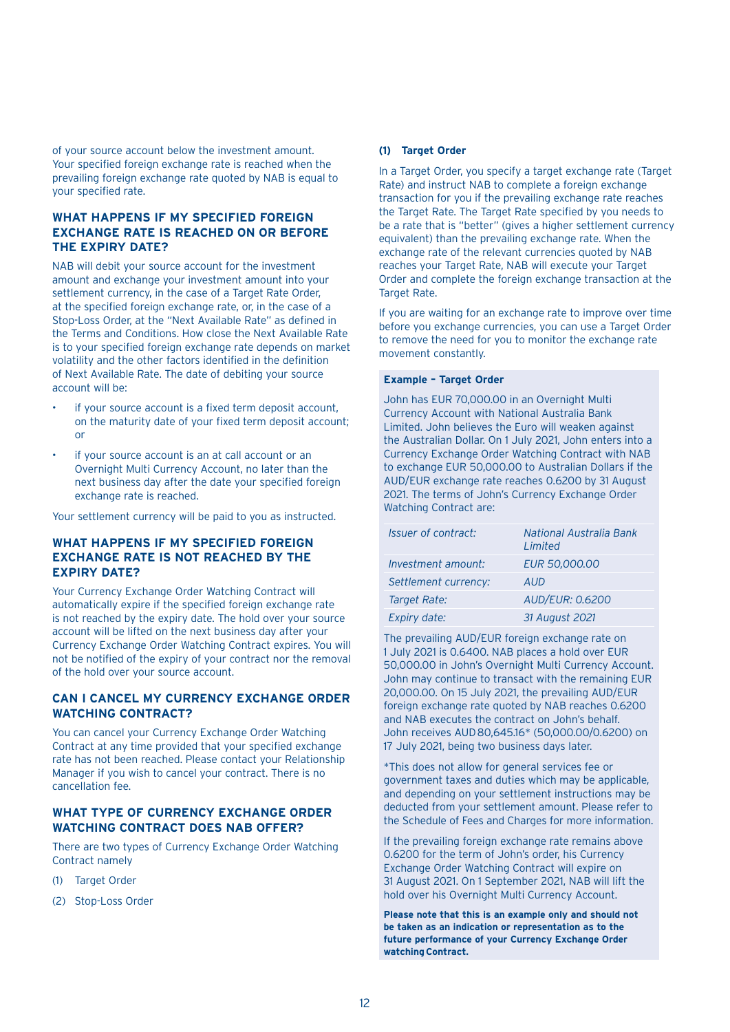of your source account below the investment amount. Your specified foreign exchange rate is reached when the prevailing foreign exchange rate quoted by NAB is equal to your specified rate.

## **WHAT HAPPENS IF MY SPECIFIED FOREIGN EXCHANGE RATE IS REACHED ON OR BEFORE THE EXPIRY DATE?**

NAB will debit your source account for the investment amount and exchange your investment amount into your settlement currency, in the case of a Target Rate Order. at the specified foreign exchange rate, or, in the case of a Stop-Loss Order, at the "Next Available Rate" as defined in the Terms and Conditions. How close the Next Available Rate is to your specified foreign exchange rate depends on market volatility and the other factors identified in the definition of Next Available Rate. The date of debiting your source account will be:

- if your source account is a fixed term deposit account, on the maturity date of your fixed term deposit account; or
- if your source account is an at call account or an Overnight Multi Currency Account, no later than the next business day after the date your specified foreign exchange rate is reached.

Your settlement currency will be paid to you as instructed.

## **WHAT HAPPENS IF MY SPECIFIED FOREIGN EXCHANGE RATE IS NOT REACHED BY THE EXPIRY DATE?**

Your Currency Exchange Order Watching Contract will automatically expire if the specified foreign exchange rate is not reached by the expiry date. The hold over your source account will be lifted on the next business day after your Currency Exchange Order Watching Contract expires. You will not be notified of the expiry of your contract nor the removal of the hold over your source account.

### **CAN I CANCEL MY CURRENCY EXCHANGE ORDER WATCHING CONTRACT?**

You can cancel your Currency Exchange Order Watching Contract at any time provided that your specified exchange rate has not been reached. Please contact your Relationship Manager if you wish to cancel your contract. There is no cancellation fee.

## **WHAT TYPE OF CURRENCY EXCHANGE ORDER WATCHING CONTRACT DOES NAB OFFER?**

There are two types of Currency Exchange Order Watching Contract namely

- (1) Target Order
- (2) Stop-Loss Order

#### **(1) Target Order**

In a Target Order, you specify a target exchange rate (Target Rate) and instruct NAB to complete a foreign exchange transaction for you if the prevailing exchange rate reaches the Target Rate. The Target Rate specified by you needs to be a rate that is "better" (gives a higher settlement currency equivalent) than the prevailing exchange rate. When the exchange rate of the relevant currencies quoted by NAB reaches your Target Rate, NAB will execute your Target Order and complete the foreign exchange transaction at the **Target Rate.** 

If you are waiting for an exchange rate to improve over time before you exchange currencies, you can use a Target Order to remove the need for you to monitor the exchange rate movement constantly.

#### **Example – Target Order**

John has EUR 70,000.00 in an Overnight Multi Currency Account with National Australia Bank Limited. John believes the Euro will weaken against the Australian Dollar. On 1 July 2021, John enters into a Currency Exchange Order Watching Contract with NAB to exchange EUR 50,000.00 to Australian Dollars if the AUD/EUR exchange rate reaches 0.6200 by 31 August 2021. The terms of John's Currency Exchange Order Watching Contract are:

| <i><u><b>Issuer of contract:</b></u></i> | National Australia Bank<br>Limited |
|------------------------------------------|------------------------------------|
| Investment amount:                       | <b>EUR 50,000,00</b>               |
| Settlement currency:                     | AUD                                |
| Target Rate:                             | <b>AUD/EUR: 0.6200</b>             |
| Expiry date:                             | 31 August 2021                     |

The prevailing AUD/EUR foreign exchange rate on 1 July 2021 is 0.6400. NAB places a hold over EUR 50,000.00 in John's Overnight Multi Currency Account. John may continue to transact with the remaining EUR 20,000.00. On 15 July 2021, the prevailing AUD/EUR foreign exchange rate quoted by NAB reaches 0.6200 and NAB executes the contract on John's behalf. John receives AUD80,645.16\* (50,000.00/0.6200) on 17 July 2021, being two business days later.

\*This does not allow for general services fee or government taxes and duties which may be applicable, and depending on your settlement instructions may be deducted from your settlement amount. Please refer to the Schedule of Fees and Charges for more information.

If the prevailing foreign exchange rate remains above 0.6200 for the term of John's order, his Currency Exchange Order Watching Contract will expire on 31 August 2021. On 1 September 2021, NAB will lift the hold over his Overnight Multi Currency Account.

**Please note that this is an example only and should not be taken as an indication or representation as to the future performance of your Currency Exchange Order watching Contract.**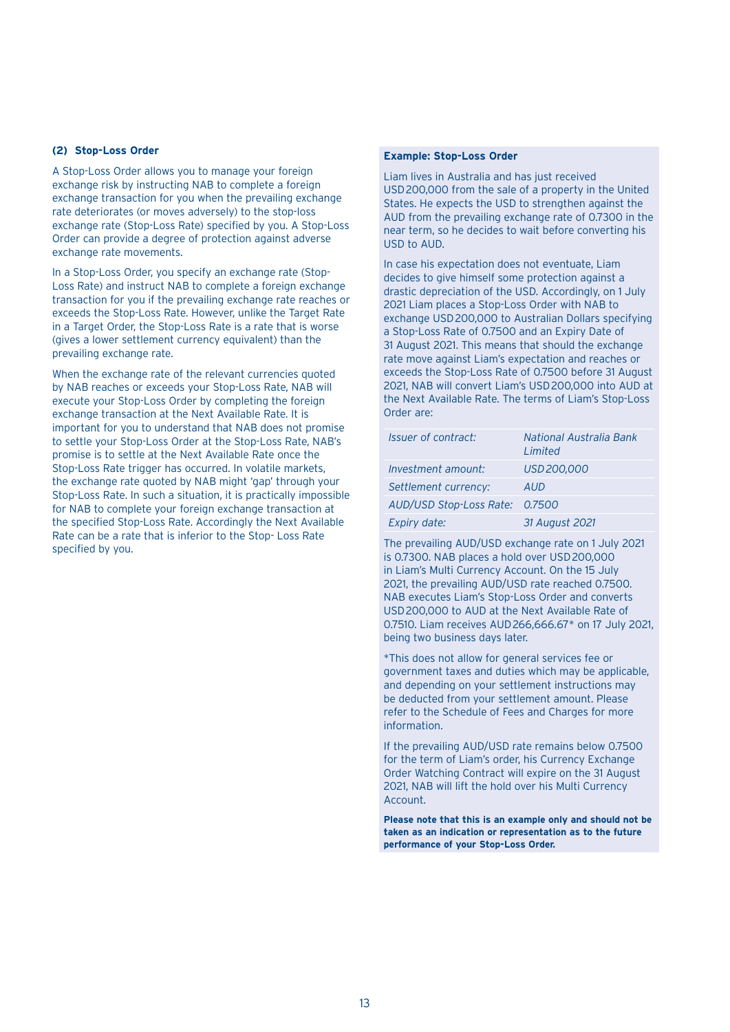#### **(2) Stop-Loss Order**

A Stop-Loss Order allows you to manage your foreign exchange risk by instructing NAB to complete a foreign exchange transaction for you when the prevailing exchange rate deteriorates (or moves adversely) to the stop-loss exchange rate (Stop-Loss Rate) specified by you. A Stop-Loss Order can provide a degree of protection against adverse exchange rate movements.

In a Stop-Loss Order, you specify an exchange rate (Stop-Loss Rate) and instruct NAB to complete a foreign exchange transaction for you if the prevailing exchange rate reaches or exceeds the Stop-Loss Rate. However, unlike the Target Rate in a Target Order, the Stop-Loss Rate is a rate that is worse (gives a lower settlement currency equivalent) than the prevailing exchange rate.

When the exchange rate of the relevant currencies quoted by NAB reaches or exceeds your Stop-Loss Rate, NAB will execute your Stop-Loss Order by completing the foreign exchange transaction at the Next Available Rate. It is important for you to understand that NAB does not promise to settle your Stop-Loss Order at the Stop-Loss Rate, NAB's promise is to settle at the Next Available Rate once the Stop-Loss Rate trigger has occurred. In volatile markets, the exchange rate quoted by NAB might 'gap' through your Stop-Loss Rate. In such a situation, it is practically impossible for NAB to complete your foreign exchange transaction at the specified Stop-Loss Rate. Accordingly the Next Available Rate can be a rate that is inferior to the Stop- Loss Rate specified by you.

#### **Example: Stop-Loss Order**

Liam lives in Australia and has just received USD200,000 from the sale of a property in the United States. He expects the USD to strengthen against the AUD from the prevailing exchange rate of 0.7300 in the near term, so he decides to wait before converting his USD to AUD.

In case his expectation does not eventuate, Liam decides to give himself some protection against a drastic depreciation of the USD. Accordingly, on 1 July 2021 Liam places a Stop-Loss Order with NAB to exchange USD200,000 to Australian Dollars specifying a Stop-Loss Rate of 0.7500 and an Expiry Date of 31 August 2021. This means that should the exchange rate move against Liam's expectation and reaches or exceeds the Stop-Loss Rate of 0.7500 before 31 August 2021, NAB will convert Liam's USD200,000 into AUD at the Next Available Rate. The terms of Liam's Stop-Loss Order are:

| Issuer of contract:     | National Australia Bank<br>Limited |
|-------------------------|------------------------------------|
| Investment amount:      | USD 200,000                        |
| Settlement currency:    | AUD                                |
| AUD/USD Stop-Loss Rate: | 0.7500                             |
| Expiry date:            | 31 August 2021                     |

The prevailing AUD/USD exchange rate on 1 July 2021 is 0.7300. NAB places a hold over USD200,000 in Liam's Multi Currency Account. On the 15 July 2021, the prevailing AUD/USD rate reached 0.7500. NAB executes Liam's Stop-Loss Order and converts USD200,000 to AUD at the Next Available Rate of 0.7510. Liam receives AUD266,666.67\* on 17 July 2021, being two business days later.

\*This does not allow for general services fee or government taxes and duties which may be applicable, and depending on your settlement instructions may be deducted from your settlement amount. Please refer to the Schedule of Fees and Charges for more information.

If the prevailing AUD/USD rate remains below 0.7500 for the term of Liam's order, his Currency Exchange Order Watching Contract will expire on the 31 August 2021, NAB will lift the hold over his Multi Currency Account.

**Please note that this is an example only and should not be taken as an indication or representation as to the future performance of your Stop-Loss Order.**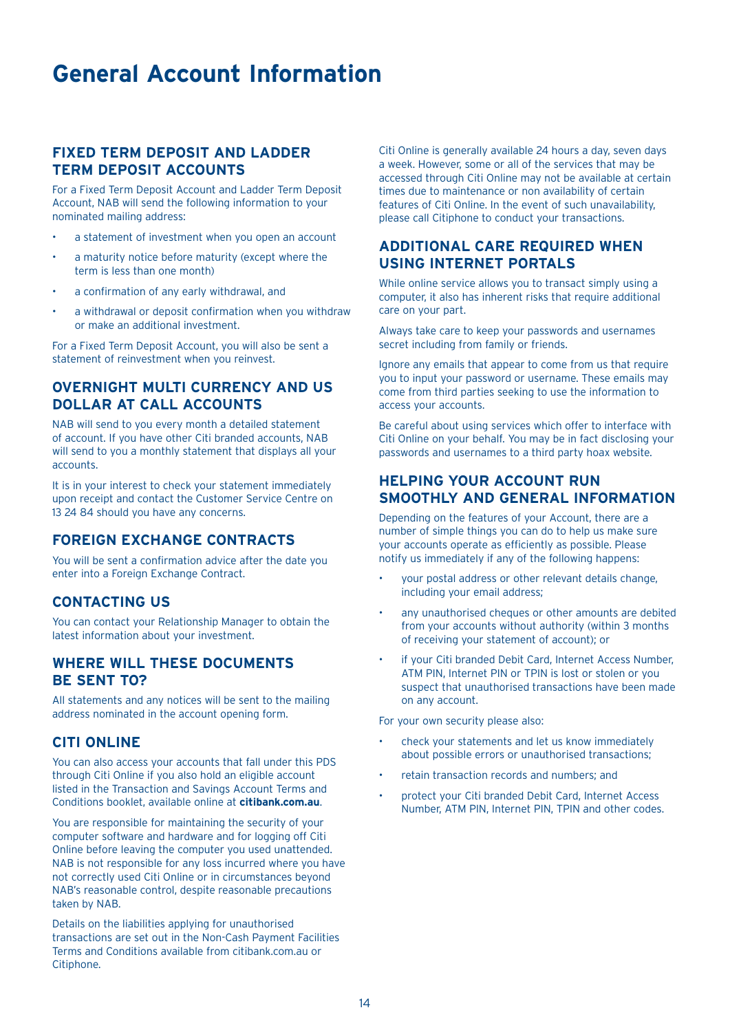## **General Account Information**

## **FIXED TERM DEPOSIT AND LADDER TERM DEPOSIT ACCOUNTS**

For a Fixed Term Deposit Account and Ladder Term Deposit Account, NAB will send the following information to your nominated mailing address:

- a statement of investment when you open an account
- a maturity notice before maturity (except where the term is less than one month)
- a confirmation of any early withdrawal, and
- a withdrawal or deposit confirmation when you withdraw or make an additional investment.

For a Fixed Term Deposit Account, you will also be sent a statement of reinvestment when you reinvest.

## **OVERNIGHT MULTI CURRENCY AND US DOLLAR AT CALL ACCOUNTS**

NAB will send to you every month a detailed statement of account. If you have other Citi branded accounts, NAB will send to you a monthly statement that displays all your accounts.

It is in your interest to check your statement immediately upon receipt and contact the Customer Service Centre on 13 24 84 should you have any concerns.

## **FOREIGN EXCHANGE CONTRACTS**

You will be sent a confirmation advice after the date you enter into a Foreign Exchange Contract.

## **CONTACTING US**

You can contact your Relationship Manager to obtain the latest information about your investment.

## **WHERE WILL THESE DOCUMENTS BE SENT TO?**

All statements and any notices will be sent to the mailing address nominated in the account opening form.

## **CITI ONLINE**

You can also access your accounts that fall under this PDS through Citi Online if you also hold an eligible account listed in the Transaction and Savings Account Terms and Conditions booklet, available online at **citibank.com.au**.

You are responsible for maintaining the security of your computer software and hardware and for logging off Citi Online before leaving the computer you used unattended. NAB is not responsible for any loss incurred where you have not correctly used Citi Online or in circumstances beyond NAB's reasonable control, despite reasonable precautions taken by NAB.

Details on the liabilities applying for unauthorised transactions are set out in the Non-Cash Payment Facilities Terms and Conditions available from citibank.com.au or Citiphone.

Citi Online is generally available 24 hours a day, seven days a week. However, some or all of the services that may be accessed through Citi Online may not be available at certain times due to maintenance or non availability of certain features of Citi Online. In the event of such unavailability, please call Citiphone to conduct your transactions.

## **ADDITIONAL CARE REQUIRED WHEN USING INTERNET PORTALS**

While online service allows you to transact simply using a computer, it also has inherent risks that require additional care on your part.

Always take care to keep your passwords and usernames secret including from family or friends.

Ignore any emails that appear to come from us that require you to input your password or username. These emails may come from third parties seeking to use the information to access your accounts.

Be careful about using services which offer to interface with Citi Online on your behalf. You may be in fact disclosing your passwords and usernames to a third party hoax website.

## **HELPING YOUR ACCOUNT RUN SMOOTHLY AND GENERAL INFORMATION**

Depending on the features of your Account, there are a number of simple things you can do to help us make sure your accounts operate as efficiently as possible. Please notify us immediately if any of the following happens:

- your postal address or other relevant details change, including your email address;
- any unauthorised cheques or other amounts are debited from your accounts without authority (within 3 months of receiving your statement of account); or
- if your Citi branded Debit Card, Internet Access Number, ATM PIN, Internet PIN or TPIN is lost or stolen or you suspect that unauthorised transactions have been made on any account.

For your own security please also:

- check your statements and let us know immediately about possible errors or unauthorised transactions;
- retain transaction records and numbers; and
- protect your Citi branded Debit Card, Internet Access Number, ATM PIN, Internet PIN, TPIN and other codes.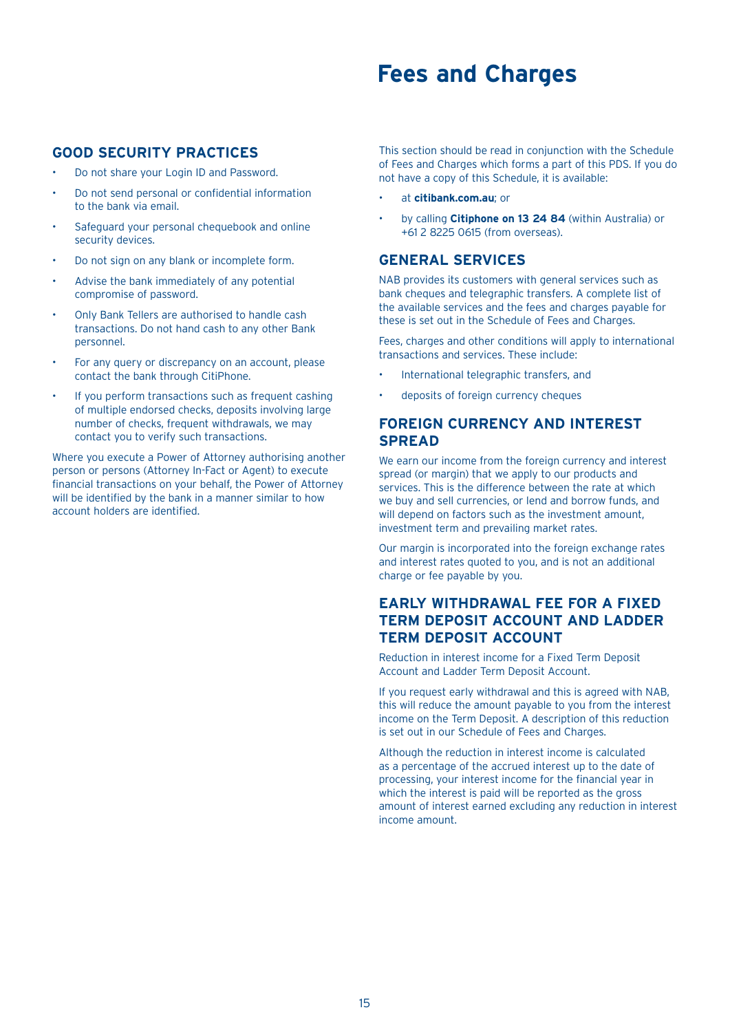## **Fees and Charges**

## **GOOD SECURITY PRACTICES**

- Do not share your Login ID and Password.
- Do not send personal or confidential information to the bank via email.
- Safeguard your personal chequebook and online security devices.
- Do not sign on any blank or incomplete form.
- Advise the bank immediately of any potential compromise of password.
- Only Bank Tellers are authorised to handle cash transactions. Do not hand cash to any other Bank personnel.
- For any query or discrepancy on an account, please contact the bank through CitiPhone.
- If you perform transactions such as frequent cashing of multiple endorsed checks, deposits involving large number of checks, frequent withdrawals, we may contact you to verify such transactions.

Where you execute a Power of Attorney authorising another person or persons (Attorney In-Fact or Agent) to execute financial transactions on your behalf, the Power of Attorney will be identified by the bank in a manner similar to how account holders are identified.

This section should be read in conjunction with the Schedule of Fees and Charges which forms a part of this PDS. If you do not have a copy of this Schedule, it is available:

- at **citibank.com.au**; or
- by calling **Citiphone on 13 24 84** (within Australia) or +61 2 8225 0615 (from overseas).

## **GENERAL SERVICES**

NAB provides its customers with general services such as bank cheques and telegraphic transfers. A complete list of the available services and the fees and charges payable for these is set out in the Schedule of Fees and Charges.

Fees, charges and other conditions will apply to international transactions and services. These include:

- International telegraphic transfers, and
- deposits of foreign currency cheques

## **FOREIGN CURRENCY AND INTEREST SPREAD**

We earn our income from the foreign currency and interest spread (or margin) that we apply to our products and services. This is the difference between the rate at which we buy and sell currencies, or lend and borrow funds, and will depend on factors such as the investment amount, investment term and prevailing market rates.

Our margin is incorporated into the foreign exchange rates and interest rates quoted to you, and is not an additional charge or fee payable by you.

## **EARLY WITHDRAWAL FEE FOR A FIXED TERM DEPOSIT ACCOUNT AND LADDER TERM DEPOSIT ACCOUNT**

Reduction in interest income for a Fixed Term Deposit Account and Ladder Term Deposit Account.

If you request early withdrawal and this is agreed with NAB, this will reduce the amount payable to you from the interest income on the Term Deposit. A description of this reduction is set out in our Schedule of Fees and Charges.

Although the reduction in interest income is calculated as a percentage of the accrued interest up to the date of processing, your interest income for the financial year in which the interest is paid will be reported as the gross amount of interest earned excluding any reduction in interest income amount.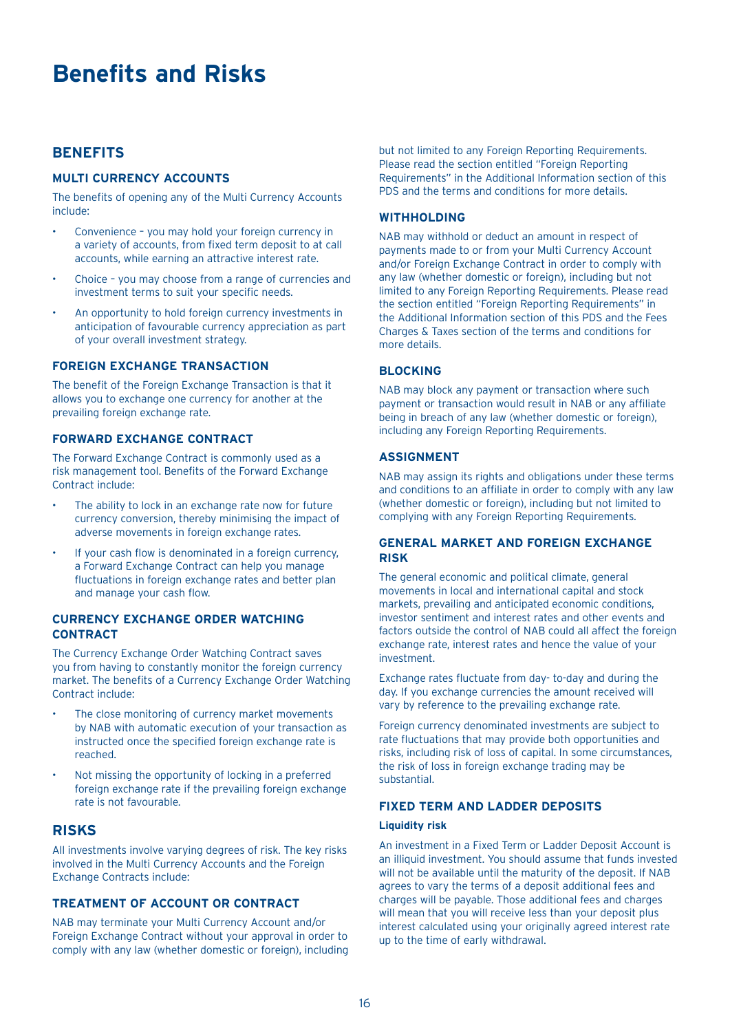## **Benefits and Risks**

## **BENEFITS**

## **MULTI CURRENCY ACCOUNTS**

The benefits of opening any of the Multi Currency Accounts include:

- Convenience you may hold your foreign currency in a variety of accounts, from fixed term deposit to at call accounts, while earning an attractive interest rate.
- Choice you may choose from a range of currencies and investment terms to suit your specific needs.
- An opportunity to hold foreign currency investments in anticipation of favourable currency appreciation as part of your overall investment strategy.

## **FOREIGN EXCHANGE TRANSACTION**

The benefit of the Foreign Exchange Transaction is that it allows you to exchange one currency for another at the prevailing foreign exchange rate.

## **FORWARD EXCHANGE CONTRACT**

The Forward Exchange Contract is commonly used as a risk management tool. Benefits of the Forward Exchange Contract include:

- The ability to lock in an exchange rate now for future currency conversion, thereby minimising the impact of adverse movements in foreign exchange rates.
- If your cash flow is denominated in a foreign currency, a Forward Exchange Contract can help you manage fluctuations in foreign exchange rates and better plan and manage your cash flow.

## **CURRENCY EXCHANGE ORDER WATCHING CONTRACT**

The Currency Exchange Order Watching Contract saves you from having to constantly monitor the foreign currency market. The benefits of a Currency Exchange Order Watching Contract include:

- The close monitoring of currency market movements by NAB with automatic execution of your transaction as instructed once the specified foreign exchange rate is reached.
- Not missing the opportunity of locking in a preferred foreign exchange rate if the prevailing foreign exchange rate is not favourable.

## **RISKS**

All investments involve varying degrees of risk. The key risks involved in the Multi Currency Accounts and the Foreign Exchange Contracts include:

## **TREATMENT OF ACCOUNT OR CONTRACT**

NAB may terminate your Multi Currency Account and/or Foreign Exchange Contract without your approval in order to comply with any law (whether domestic or foreign), including but not limited to any Foreign Reporting Requirements. Please read the section entitled "Foreign Reporting Requirements" in the Additional Information section of this PDS and the terms and conditions for more details.

#### **WITHHOLDING**

NAB may withhold or deduct an amount in respect of payments made to or from your Multi Currency Account and/or Foreign Exchange Contract in order to comply with any law (whether domestic or foreign), including but not limited to any Foreign Reporting Requirements. Please read the section entitled "Foreign Reporting Requirements" in the Additional Information section of this PDS and the Fees Charges & Taxes section of the terms and conditions for more details.

#### **BLOCKING**

NAB may block any payment or transaction where such payment or transaction would result in NAB or any affiliate being in breach of any law (whether domestic or foreign), including any Foreign Reporting Requirements.

#### **ASSIGNMENT**

NAB may assign its rights and obligations under these terms and conditions to an affiliate in order to comply with any law (whether domestic or foreign), including but not limited to complying with any Foreign Reporting Requirements.

## **GENERAL MARKET AND FOREIGN EXCHANGE RISK**

The general economic and political climate, general movements in local and international capital and stock markets, prevailing and anticipated economic conditions, investor sentiment and interest rates and other events and factors outside the control of NAB could all affect the foreign exchange rate, interest rates and hence the value of your investment.

Exchange rates fluctuate from day- to-day and during the day. If you exchange currencies the amount received will vary by reference to the prevailing exchange rate.

Foreign currency denominated investments are subject to rate fluctuations that may provide both opportunities and risks, including risk of loss of capital. In some circumstances, the risk of loss in foreign exchange trading may be substantial.

## **FIXED TERM AND LADDER DEPOSITS**

#### **Liquidity risk**

An investment in a Fixed Term or Ladder Deposit Account is an illiquid investment. You should assume that funds invested will not be available until the maturity of the deposit. If NAB agrees to vary the terms of a deposit additional fees and charges will be payable. Those additional fees and charges will mean that you will receive less than your deposit plus interest calculated using your originally agreed interest rate up to the time of early withdrawal.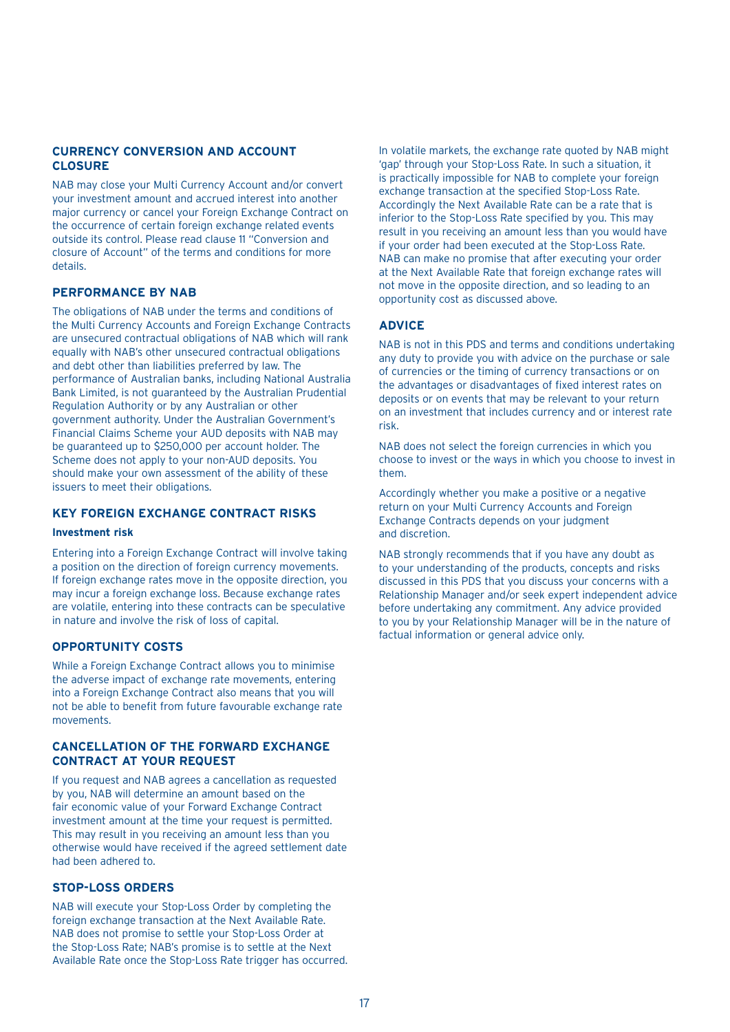## **CURRENCY CONVERSION AND ACCOUNT CLOSURE**

NAB may close your Multi Currency Account and/or convert your investment amount and accrued interest into another major currency or cancel your Foreign Exchange Contract on the occurrence of certain foreign exchange related events outside its control. Please read clause 11 "Conversion and closure of Account" of the terms and conditions for more details.

## **PERFORMANCE BY NAB**

The obligations of NAB under the terms and conditions of the Multi Currency Accounts and Foreign Exchange Contracts are unsecured contractual obligations of NAB which will rank equally with NAB's other unsecured contractual obligations and debt other than liabilities preferred by law. The performance of Australian banks, including National Australia Bank Limited, is not guaranteed by the Australian Prudential Regulation Authority or by any Australian or other government authority. Under the Australian Government's Financial Claims Scheme your AUD deposits with NAB may be guaranteed up to \$250,000 per account holder. The Scheme does not apply to your non-AUD deposits. You should make your own assessment of the ability of these issuers to meet their obligations.

## **KEY FOREIGN EXCHANGE CONTRACT RISKS**

#### **Investment risk**

Entering into a Foreign Exchange Contract will involve taking a position on the direction of foreign currency movements. If foreign exchange rates move in the opposite direction, you may incur a foreign exchange loss. Because exchange rates are volatile, entering into these contracts can be speculative in nature and involve the risk of loss of capital.

## **OPPORTUNITY COSTS**

While a Foreign Exchange Contract allows you to minimise the adverse impact of exchange rate movements, entering into a Foreign Exchange Contract also means that you will not be able to benefit from future favourable exchange rate movements.

## **CANCELLATION OF THE FORWARD EXCHANGE CONTRACT AT YOUR REQUEST**

If you request and NAB agrees a cancellation as requested by you, NAB will determine an amount based on the fair economic value of your Forward Exchange Contract investment amount at the time your request is permitted. This may result in you receiving an amount less than you otherwise would have received if the agreed settlement date had been adhered to.

## **STOP-LOSS ORDERS**

NAB will execute your Stop-Loss Order by completing the foreign exchange transaction at the Next Available Rate. NAB does not promise to settle your Stop-Loss Order at the Stop-Loss Rate; NAB's promise is to settle at the Next Available Rate once the Stop-Loss Rate trigger has occurred.

In volatile markets, the exchange rate quoted by NAB might 'gap' through your Stop-Loss Rate. In such a situation, it is practically impossible for NAB to complete your foreign exchange transaction at the specified Stop-Loss Rate. Accordingly the Next Available Rate can be a rate that is inferior to the Stop-Loss Rate specified by you. This may result in you receiving an amount less than you would have if your order had been executed at the Stop-Loss Rate. NAB can make no promise that after executing your order at the Next Available Rate that foreign exchange rates will not move in the opposite direction, and so leading to an opportunity cost as discussed above.

## **ADVICE**

NAB is not in this PDS and terms and conditions undertaking any duty to provide you with advice on the purchase or sale of currencies or the timing of currency transactions or on the advantages or disadvantages of fixed interest rates on deposits or on events that may be relevant to your return on an investment that includes currency and or interest rate risk.

NAB does not select the foreign currencies in which you choose to invest or the ways in which you choose to invest in them.

Accordingly whether you make a positive or a negative return on your Multi Currency Accounts and Foreign Exchange Contracts depends on your judgment and discretion.

NAB strongly recommends that if you have any doubt as to your understanding of the products, concepts and risks discussed in this PDS that you discuss your concerns with a Relationship Manager and/or seek expert independent advice before undertaking any commitment. Any advice provided to you by your Relationship Manager will be in the nature of factual information or general advice only.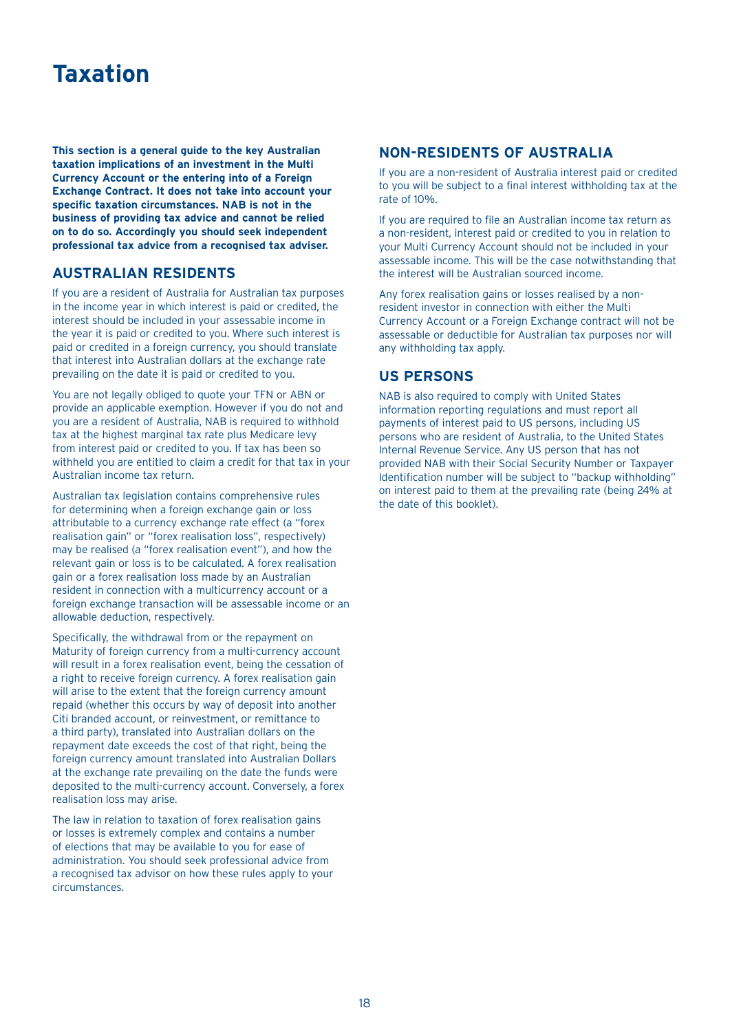## **Taxation**

**This section is a general guide to the key Australian taxation implications of an investment in the Multi Currency Account or the entering into of a Foreign Exchange Contract. It does not take into account your specific taxation circumstances. NAB is not in the business of providing tax advice and cannot be relied on to do so. Accordingly you should seek independent professional tax advice from a recognised tax adviser.** 

## **AUSTRALIAN RESIDENTS**

If you are a resident of Australia for Australian tax purposes in the income year in which interest is paid or credited, the interest should be included in your assessable income in the year it is paid or credited to you. Where such interest is paid or credited in a foreign currency, you should translate that interest into Australian dollars at the exchange rate prevailing on the date it is paid or credited to you.

You are not legally obliged to quote your TFN or ABN or provide an applicable exemption. However if you do not and you are a resident of Australia, NAB is required to withhold tax at the highest marginal tax rate plus Medicare levy from interest paid or credited to you. If tax has been so withheld you are entitled to claim a credit for that tax in your Australian income tax return.

Australian tax legislation contains comprehensive rules for determining when a foreign exchange gain or loss attributable to a currency exchange rate effect (a "forex realisation gain" or "forex realisation loss", respectively) may be realised (a "forex realisation event"), and how the relevant gain or loss is to be calculated. A forex realisation gain or a forex realisation loss made by an Australian resident in connection with a multicurrency account or a foreign exchange transaction will be assessable income or an allowable deduction, respectively.

Specifically, the withdrawal from or the repayment on Maturity of foreign currency from a multi-currency account will result in a forex realisation event, being the cessation of a right to receive foreign currency. A forex realisation gain will arise to the extent that the foreign currency amount repaid (whether this occurs by way of deposit into another Citi branded account, or reinvestment, or remittance to a third party), translated into Australian dollars on the repayment date exceeds the cost of that right, being the foreign currency amount translated into Australian Dollars at the exchange rate prevailing on the date the funds were deposited to the multi-currency account. Conversely, a forex realisation loss may arise.

The law in relation to taxation of forex realisation gains or losses is extremely complex and contains a number of elections that may be available to you for ease of administration. You should seek professional advice from a recognised tax advisor on how these rules apply to your circumstances.

## **NON-RESIDENTS OF AUSTRALIA**

If you are a non-resident of Australia interest paid or credited to you will be subject to a final interest withholding tax at the rate of 10%.

If you are required to file an Australian income tax return as a non-resident, interest paid or credited to you in relation to your Multi Currency Account should not be included in your assessable income. This will be the case notwithstanding that the interest will be Australian sourced income.

Any forex realisation gains or losses realised by a nonresident investor in connection with either the Multi Currency Account or a Foreign Exchange contract will not be assessable or deductible for Australian tax purposes nor will any withholding tax apply.

## **US PERSONS**

NAB is also required to comply with United States information reporting regulations and must report all payments of interest paid to US persons, including US persons who are resident of Australia, to the United States Internal Revenue Service. Any US person that has not provided NAB with their Social Security Number or Taxpayer Identification number will be subject to "backup withholding" on interest paid to them at the prevailing rate (being 24% at the date of this booklet).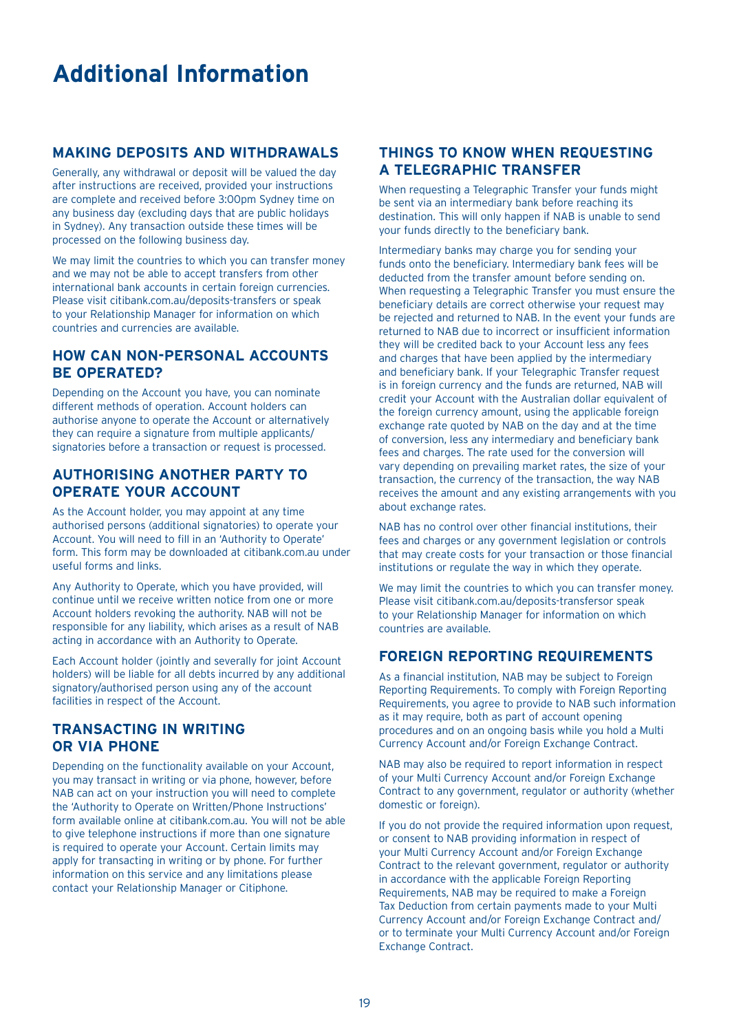## **Additional Information**

## **MAKING DEPOSITS AND WITHDRAWALS**

Generally, any withdrawal or deposit will be valued the day after instructions are received, provided your instructions are complete and received before 3:00pm Sydney time on any business day (excluding days that are public holidays in Sydney). Any transaction outside these times will be processed on the following business day.

We may limit the countries to which you can transfer money and we may not be able to accept transfers from other international bank accounts in certain foreign currencies. Please visit citibank.com.au/deposits-transfers or speak to your Relationship Manager for information on which countries and currencies are available.

## **HOW CAN NON-PERSONAL ACCOUNTS BE OPERATED?**

Depending on the Account you have, you can nominate different methods of operation. Account holders can authorise anyone to operate the Account or alternatively they can require a signature from multiple applicants/ signatories before a transaction or request is processed.

## **AUTHORISING ANOTHER PARTY TO OPERATE YOUR ACCOUNT**

As the Account holder, you may appoint at any time authorised persons (additional signatories) to operate your Account. You will need to fill in an 'Authority to Operate' form. This form may be downloaded at citibank.com.au under useful forms and links.

Any Authority to Operate, which you have provided, will continue until we receive written notice from one or more Account holders revoking the authority. NAB will not be responsible for any liability, which arises as a result of NAB acting in accordance with an Authority to Operate.

Each Account holder (jointly and severally for joint Account holders) will be liable for all debts incurred by any additional signatory/authorised person using any of the account facilities in respect of the Account.

## **TRANSACTING IN WRITING OR VIA PHONE**

Depending on the functionality available on your Account, you may transact in writing or via phone, however, before NAB can act on your instruction you will need to complete the 'Authority to Operate on Written/Phone Instructions' form available online at citibank.com.au. You will not be able to give telephone instructions if more than one signature is required to operate your Account. Certain limits may apply for transacting in writing or by phone. For further information on this service and any limitations please contact your Relationship Manager or Citiphone.

## **THINGS TO KNOW WHEN REQUESTING A TELEGRAPHIC TRANSFER**

When requesting a Telegraphic Transfer your funds might be sent via an intermediary bank before reaching its destination. This will only happen if NAB is unable to send your funds directly to the beneficiary bank.

Intermediary banks may charge you for sending your funds onto the beneficiary. Intermediary bank fees will be deducted from the transfer amount before sending on. When requesting a Telegraphic Transfer you must ensure the beneficiary details are correct otherwise your request may be rejected and returned to NAB. In the event your funds are returned to NAB due to incorrect or insufficient information they will be credited back to your Account less any fees and charges that have been applied by the intermediary and beneficiary bank. If your Telegraphic Transfer request is in foreign currency and the funds are returned, NAB will credit your Account with the Australian dollar equivalent of the foreign currency amount, using the applicable foreign exchange rate quoted by NAB on the day and at the time of conversion, less any intermediary and beneficiary bank fees and charges. The rate used for the conversion will vary depending on prevailing market rates, the size of your transaction, the currency of the transaction, the way NAB receives the amount and any existing arrangements with you about exchange rates.

NAB has no control over other financial institutions, their fees and charges or any government legislation or controls that may create costs for your transaction or those financial institutions or regulate the way in which they operate.

We may limit the countries to which you can transfer money. Please visit citibank.com.au/deposits-transfersor speak to your Relationship Manager for information on which countries are available.

## **FOREIGN REPORTING REQUIREMENTS**

As a financial institution, NAB may be subject to Foreign Reporting Requirements. To comply with Foreign Reporting Requirements, you agree to provide to NAB such information as it may require, both as part of account opening procedures and on an ongoing basis while you hold a Multi Currency Account and/or Foreign Exchange Contract.

NAB may also be required to report information in respect of your Multi Currency Account and/or Foreign Exchange Contract to any government, regulator or authority (whether domestic or foreign).

If you do not provide the required information upon request, or consent to NAB providing information in respect of your Multi Currency Account and/or Foreign Exchange Contract to the relevant government, regulator or authority in accordance with the applicable Foreign Reporting Requirements, NAB may be required to make a Foreign Tax Deduction from certain payments made to your Multi Currency Account and/or Foreign Exchange Contract and/ or to terminate your Multi Currency Account and/or Foreign Exchange Contract.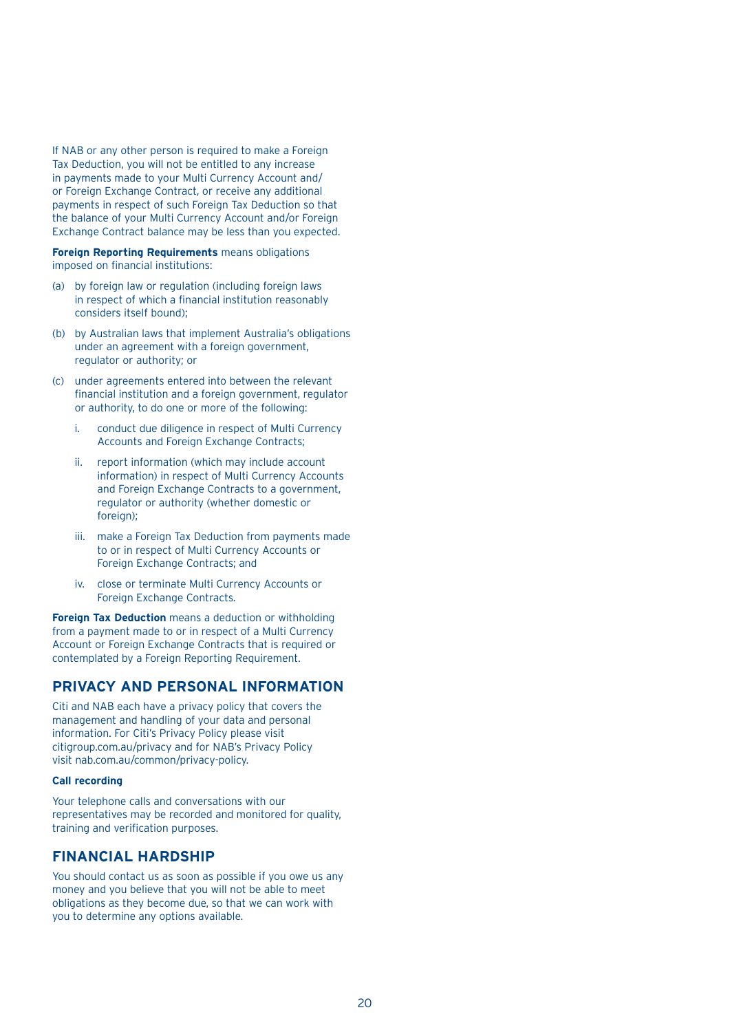If NAB or any other person is required to make a Foreign Tax Deduction, you will not be entitled to any increase in payments made to your Multi Currency Account and/ or Foreign Exchange Contract, or receive any additional payments in respect of such Foreign Tax Deduction so that the balance of your Multi Currency Account and/or Foreign Exchange Contract balance may be less than you expected.

**Foreign Reporting Requirements** means obligations imposed on financial institutions:

- (a) by foreign law or regulation (including foreign laws in respect of which a financial institution reasonably considers itself bound);
- (b) by Australian laws that implement Australia's obligations under an agreement with a foreign government, regulator or authority; or
- (c) under agreements entered into between the relevant financial institution and a foreign government, regulator or authority, to do one or more of the following:
	- i. conduct due diligence in respect of Multi Currency Accounts and Foreign Exchange Contracts;
	- ii. report information (which may include account information) in respect of Multi Currency Accounts and Foreign Exchange Contracts to a government, regulator or authority (whether domestic or foreign);
	- iii. make a Foreign Tax Deduction from payments made to or in respect of Multi Currency Accounts or Foreign Exchange Contracts; and
	- iv. close or terminate Multi Currency Accounts or Foreign Exchange Contracts.

**Foreign Tax Deduction** means a deduction or withholding from a payment made to or in respect of a Multi Currency Account or Foreign Exchange Contracts that is required or contemplated by a Foreign Reporting Requirement.

## **PRIVACY AND PERSONAL INFORMATION**

Citi and NAB each have a privacy policy that covers the management and handling of your data and personal information. For Citi's Privacy Policy please visit citigroup.com.au/privacy and for NAB's Privacy Policy visit nab.com.au/common/privacy-policy.

#### **Call recording**

Your telephone calls and conversations with our representatives may be recorded and monitored for quality, training and verification purposes.

## **FINANCIAL HARDSHIP**

You should contact us as soon as possible if you owe us any money and you believe that you will not be able to meet obligations as they become due, so that we can work with you to determine any options available.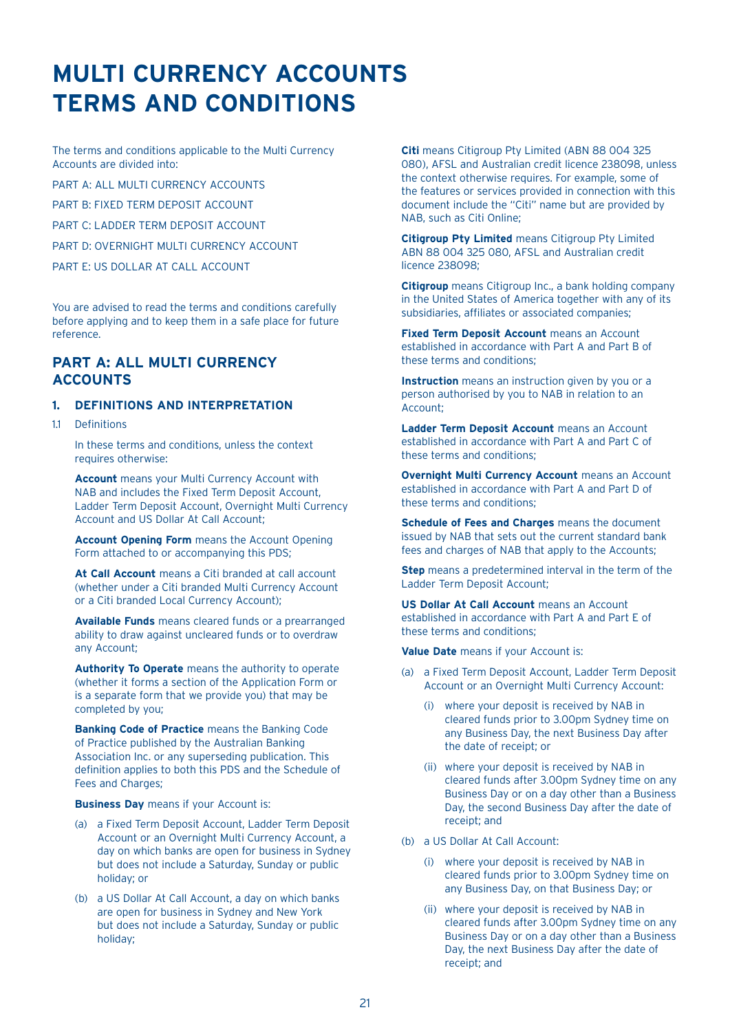## **MULTI CURRENCY ACCOUNTS TERMS AND CONDITIONS**

The terms and conditions applicable to the Multi Currency Accounts are divided into:

PART A: ALL MULTI CURRENCY ACCOUNTS

PART B: FIXED TERM DEPOSIT ACCOUNT

PART C: LADDER TERM DEPOSIT ACCOUNT

PART D: OVERNIGHT MULTI CURRENCY ACCOUNT

PART E: US DOLLAR AT CALL ACCOUNT

You are advised to read the terms and conditions carefully before applying and to keep them in a safe place for future reference.

## **PART A: ALL MULTI CURRENCY ACCOUNTS**

## **1. DEFINITIONS AND INTERPRETATION**

1.1 Definitions

 In these terms and conditions, unless the context requires otherwise:

**Account** means your Multi Currency Account with NAB and includes the Fixed Term Deposit Account, Ladder Term Deposit Account, Overnight Multi Currency Account and US Dollar At Call Account;

 **Account Opening Form** means the Account Opening Form attached to or accompanying this PDS;

 **At Call Account** means a Citi branded at call account (whether under a Citi branded Multi Currency Account or a Citi branded Local Currency Account);

 **Available Funds** means cleared funds or a prearranged ability to draw against uncleared funds or to overdraw any Account;

**Authority To Operate** means the authority to operate (whether it forms a section of the Application Form or is a separate form that we provide you) that may be completed by you;

 **Banking Code of Practice** means the Banking Code of Practice published by the Australian Banking Association Inc. or any superseding publication. This definition applies to both this PDS and the Schedule of Fees and Charges;

**Business Day** means if your Account is:

- (a) a Fixed Term Deposit Account, Ladder Term Deposit Account or an Overnight Multi Currency Account, a day on which banks are open for business in Sydney but does not include a Saturday, Sunday or public holiday; or
- (b) a US Dollar At Call Account, a day on which banks are open for business in Sydney and New York but does not include a Saturday, Sunday or public holiday;

**Citi** means Citigroup Pty Limited (ABN 88 004 325 080), AFSL and Australian credit licence 238098, unless the context otherwise requires. For example, some of the features or services provided in connection with this document include the "Citi" name but are provided by NAB, such as Citi Online;

 **Citigroup Pty Limited** means Citigroup Pty Limited ABN 88 004 325 080, AFSL and Australian credit licence 238098;

**Citigroup** means Citigroup Inc., a bank holding company in the United States of America together with any of its subsidiaries, affiliates or associated companies;

**Fixed Term Deposit Account** means an Account established in accordance with Part A and Part B of these terms and conditions;

 **Instruction** means an instruction given by you or a person authorised by you to NAB in relation to an Account;

**Ladder Term Deposit Account** means an Account established in accordance with Part A and Part C of these terms and conditions;

 **Overnight Multi Currency Account** means an Account established in accordance with Part A and Part D of these terms and conditions;

 **Schedule of Fees and Charges** means the document issued by NAB that sets out the current standard bank fees and charges of NAB that apply to the Accounts;

**Step** means a predetermined interval in the term of the Ladder Term Deposit Account;

 **US Dollar At Call Account** means an Account established in accordance with Part A and Part E of these terms and conditions;

**Value Date** means if your Account is:

- (a) a Fixed Term Deposit Account, Ladder Term Deposit Account or an Overnight Multi Currency Account:
	- (i) where your deposit is received by NAB in cleared funds prior to 3.00pm Sydney time on any Business Day, the next Business Day after the date of receipt; or
	- (ii) where your deposit is received by NAB in cleared funds after 3.00pm Sydney time on any Business Day or on a day other than a Business Day, the second Business Day after the date of receipt; and
- (b) a US Dollar At Call Account:
	- (i) where your deposit is received by NAB in cleared funds prior to 3.00pm Sydney time on any Business Day, on that Business Day; or
	- (ii) where your deposit is received by NAB in cleared funds after 3.00pm Sydney time on any Business Day or on a day other than a Business Day, the next Business Day after the date of receipt; and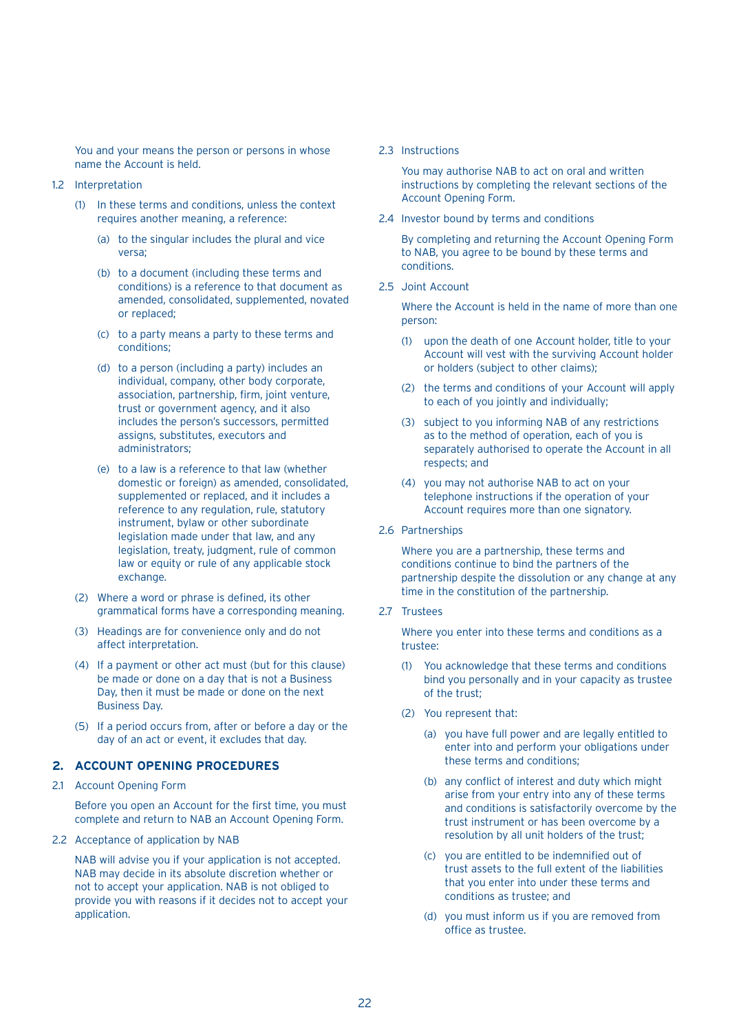You and your means the person or persons in whose name the Account is held.

- 1.2 Interpretation
	- (1) In these terms and conditions, unless the context requires another meaning, a reference:
		- (a) to the singular includes the plural and vice versa;
		- (b) to a document (including these terms and conditions) is a reference to that document as amended, consolidated, supplemented, novated or replaced;
		- (c) to a party means a party to these terms and conditions;
		- (d) to a person (including a party) includes an individual, company, other body corporate, association, partnership, firm, joint venture, trust or government agency, and it also includes the person's successors, permitted assigns, substitutes, executors and administrators;
		- (e) to a law is a reference to that law (whether domestic or foreign) as amended, consolidated, supplemented or replaced, and it includes a reference to any regulation, rule, statutory instrument, bylaw or other subordinate legislation made under that law, and any legislation, treaty, judgment, rule of common law or equity or rule of any applicable stock exchange.
	- (2) Where a word or phrase is defined, its other grammatical forms have a corresponding meaning.
	- (3) Headings are for convenience only and do not affect interpretation.
	- (4) If a payment or other act must (but for this clause) be made or done on a day that is not a Business Day, then it must be made or done on the next Business Day.
	- (5) If a period occurs from, after or before a day or the day of an act or event, it excludes that day.

## **2. ACCOUNT OPENING PROCEDURES**

2.1 Account Opening Form

 Before you open an Account for the first time, you must complete and return to NAB an Account Opening Form.

2.2 Acceptance of application by NAB

 NAB will advise you if your application is not accepted. NAB may decide in its absolute discretion whether or not to accept your application. NAB is not obliged to provide you with reasons if it decides not to accept your application.

#### 2.3 Instructions

 You may authorise NAB to act on oral and written instructions by completing the relevant sections of the Account Opening Form.

2.4 Investor bound by terms and conditions

 By completing and returning the Account Opening Form to NAB, you agree to be bound by these terms and conditions.

2.5 Joint Account

 Where the Account is held in the name of more than one person:

- (1) upon the death of one Account holder, title to your Account will vest with the surviving Account holder or holders (subject to other claims);
- (2) the terms and conditions of your Account will apply to each of you jointly and individually;
- (3) subject to you informing NAB of any restrictions as to the method of operation, each of you is separately authorised to operate the Account in all respects; and
- (4) you may not authorise NAB to act on your telephone instructions if the operation of your Account requires more than one signatory.
- 2.6 Partnerships

 Where you are a partnership, these terms and conditions continue to bind the partners of the partnership despite the dissolution or any change at any time in the constitution of the partnership.

2.7 Trustees

 Where you enter into these terms and conditions as a trustee:

- (1) You acknowledge that these terms and conditions bind you personally and in your capacity as trustee of the trust;
- (2) You represent that:
	- (a) you have full power and are legally entitled to enter into and perform your obligations under these terms and conditions;
	- (b) any conflict of interest and duty which might arise from your entry into any of these terms and conditions is satisfactorily overcome by the trust instrument or has been overcome by a resolution by all unit holders of the trust;
	- (c) you are entitled to be indemnified out of trust assets to the full extent of the liabilities that you enter into under these terms and conditions as trustee; and
	- (d) you must inform us if you are removed from office as trustee.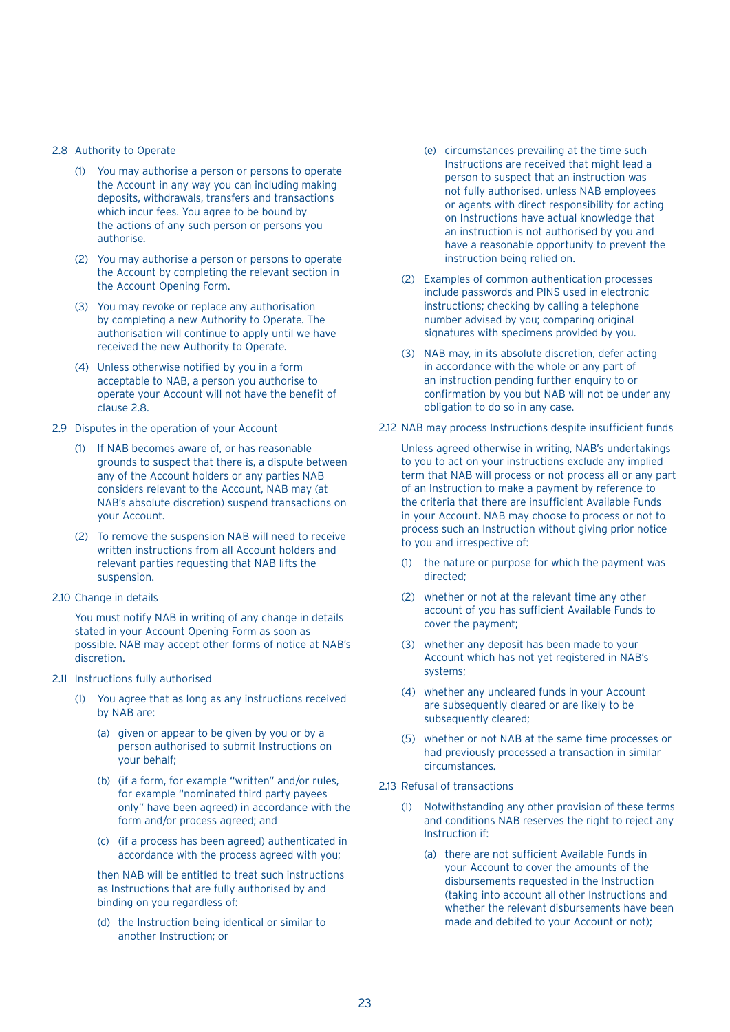#### 2.8 Authority to Operate

- (1) You may authorise a person or persons to operate the Account in any way you can including making deposits, withdrawals, transfers and transactions which incur fees. You agree to be bound by the actions of any such person or persons you authorise.
- (2) You may authorise a person or persons to operate the Account by completing the relevant section in the Account Opening Form.
- (3) You may revoke or replace any authorisation by completing a new Authority to Operate. The authorisation will continue to apply until we have received the new Authority to Operate.
- (4) Unless otherwise notified by you in a form acceptable to NAB, a person you authorise to operate your Account will not have the benefit of clause 2.8.
- 2.9 Disputes in the operation of your Account
	- (1) If NAB becomes aware of, or has reasonable grounds to suspect that there is, a dispute between any of the Account holders or any parties NAB considers relevant to the Account, NAB may (at NAB's absolute discretion) suspend transactions on your Account.
	- (2) To remove the suspension NAB will need to receive written instructions from all Account holders and relevant parties requesting that NAB lifts the suspension.
- 2.10 Change in details

 You must notify NAB in writing of any change in details stated in your Account Opening Form as soon as possible. NAB may accept other forms of notice at NAB's discretion.

- 2.11 Instructions fully authorised
	- (1) You agree that as long as any instructions received by NAB are:
		- (a) given or appear to be given by you or by a person authorised to submit Instructions on your behalf;
		- (b) (if a form, for example "written" and/or rules, for example "nominated third party payees only" have been agreed) in accordance with the form and/or process agreed; and
		- (c) (if a process has been agreed) authenticated in accordance with the process agreed with you;

 then NAB will be entitled to treat such instructions as Instructions that are fully authorised by and binding on you regardless of:

 (d) the Instruction being identical or similar to another Instruction; or

- (e) circumstances prevailing at the time such Instructions are received that might lead a person to suspect that an instruction was not fully authorised, unless NAB employees or agents with direct responsibility for acting on Instructions have actual knowledge that an instruction is not authorised by you and have a reasonable opportunity to prevent the instruction being relied on.
- (2) Examples of common authentication processes include passwords and PINS used in electronic instructions; checking by calling a telephone number advised by you; comparing original signatures with specimens provided by you.
- (3) NAB may, in its absolute discretion, defer acting in accordance with the whole or any part of an instruction pending further enquiry to or confirmation by you but NAB will not be under any obligation to do so in any case.
- 2.12 NAB may process Instructions despite insufficient funds

 Unless agreed otherwise in writing, NAB's undertakings to you to act on your instructions exclude any implied term that NAB will process or not process all or any part of an Instruction to make a payment by reference to the criteria that there are insufficient Available Funds in your Account. NAB may choose to process or not to process such an Instruction without giving prior notice to you and irrespective of:

- (1) the nature or purpose for which the payment was directed;
- (2) whether or not at the relevant time any other account of you has sufficient Available Funds to cover the payment;
- (3) whether any deposit has been made to your Account which has not yet registered in NAB's systems;
- (4) whether any uncleared funds in your Account are subsequently cleared or are likely to be subsequently cleared:
- (5) whether or not NAB at the same time processes or had previously processed a transaction in similar circumstances.
- 2.13 Refusal of transactions
	- (1) Notwithstanding any other provision of these terms and conditions NAB reserves the right to reject any Instruction if:
		- (a) there are not sufficient Available Funds in your Account to cover the amounts of the disbursements requested in the Instruction (taking into account all other Instructions and whether the relevant disbursements have been made and debited to your Account or not);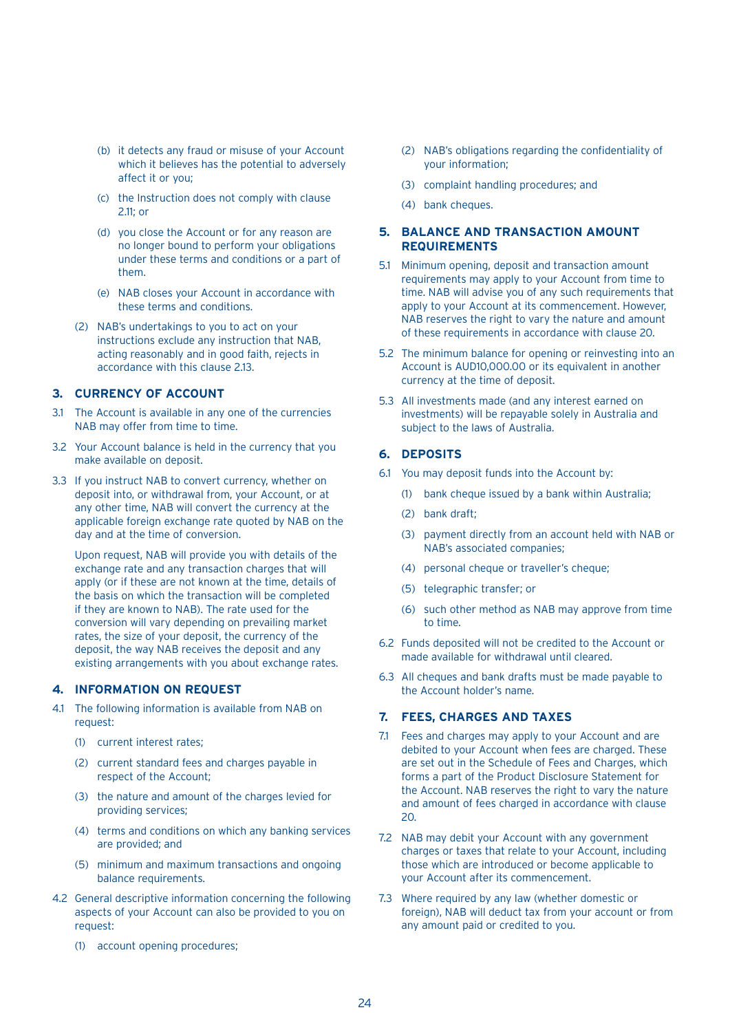- (b) it detects any fraud or misuse of your Account which it believes has the potential to adversely affect it or you;
- (c) the Instruction does not comply with clause 2.11; or
- (d) you close the Account or for any reason are no longer bound to perform your obligations under these terms and conditions or a part of them.
- (e) NAB closes your Account in accordance with these terms and conditions.
- (2) NAB's undertakings to you to act on your instructions exclude any instruction that NAB, acting reasonably and in good faith, rejects in accordance with this clause 2.13.

### **3. CURRENCY OF ACCOUNT**

- 3.1 The Account is available in any one of the currencies NAB may offer from time to time.
- 3.2 Your Account balance is held in the currency that you make available on deposit.
- 3.3 If you instruct NAB to convert currency, whether on deposit into, or withdrawal from, your Account, or at any other time, NAB will convert the currency at the applicable foreign exchange rate quoted by NAB on the day and at the time of conversion.

 Upon request, NAB will provide you with details of the exchange rate and any transaction charges that will apply (or if these are not known at the time, details of the basis on which the transaction will be completed if they are known to NAB). The rate used for the conversion will vary depending on prevailing market rates, the size of your deposit, the currency of the deposit, the way NAB receives the deposit and any existing arrangements with you about exchange rates.

## **4. INFORMATION ON REQUEST**

- 4.1 The following information is available from NAB on request:
	- (1) current interest rates;
	- (2) current standard fees and charges payable in respect of the Account;
	- (3) the nature and amount of the charges levied for providing services;
	- (4) terms and conditions on which any banking services are provided; and
	- (5) minimum and maximum transactions and ongoing balance requirements.
- 4.2 General descriptive information concerning the following aspects of your Account can also be provided to you on request:
	- (1) account opening procedures;
- (2) NAB's obligations regarding the confidentiality of your information;
- (3) complaint handling procedures; and
- (4) bank cheques.
- **5. BALANCE AND TRANSACTION AMOUNT REQUIREMENTS**
- 5.1 Minimum opening, deposit and transaction amount requirements may apply to your Account from time to time. NAB will advise you of any such requirements that apply to your Account at its commencement. However, NAB reserves the right to vary the nature and amount of these requirements in accordance with clause 20.
- 5.2 The minimum balance for opening or reinvesting into an Account is AUD10,000.00 or its equivalent in another currency at the time of deposit.
- 5.3 All investments made (and any interest earned on investments) will be repayable solely in Australia and subject to the laws of Australia.

### **6. DEPOSITS**

- 6.1 You may deposit funds into the Account by:
	- (1) bank cheque issued by a bank within Australia;
	- (2) bank draft;
	- (3) payment directly from an account held with NAB or NAB's associated companies;
	- (4) personal cheque or traveller's cheque;
	- (5) telegraphic transfer; or
	- (6) such other method as NAB may approve from time to time.
- 6.2 Funds deposited will not be credited to the Account or made available for withdrawal until cleared.
- 6.3 All cheques and bank drafts must be made payable to the Account holder's name.

## **7. FEES, CHARGES AND TAXES**

- 7.1 Fees and charges may apply to your Account and are debited to your Account when fees are charged. These are set out in the Schedule of Fees and Charges, which forms a part of the Product Disclosure Statement for the Account. NAB reserves the right to vary the nature and amount of fees charged in accordance with clause 20.
- 7.2 NAB may debit your Account with any government charges or taxes that relate to your Account, including those which are introduced or become applicable to your Account after its commencement.
- 7.3 Where required by any law (whether domestic or foreign), NAB will deduct tax from your account or from any amount paid or credited to you.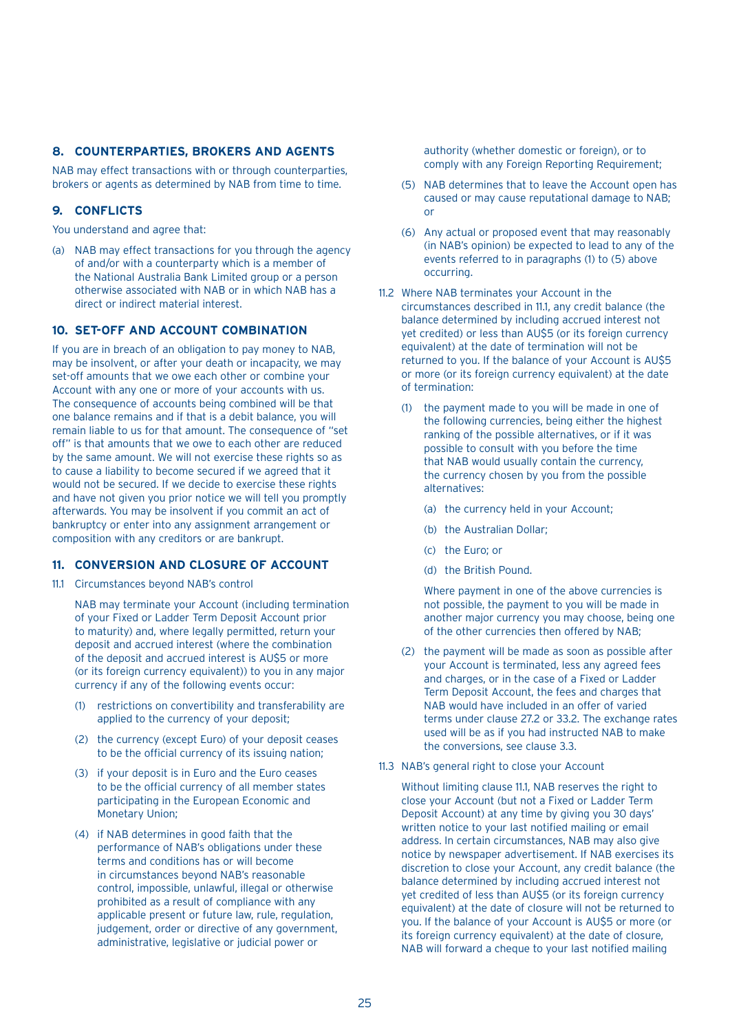## **8. COUNTERPARTIES, BROKERS AND AGENTS**

NAB may effect transactions with or through counterparties, brokers or agents as determined by NAB from time to time.

## **9. CONFLICTS**

You understand and agree that:

(a) NAB may effect transactions for you through the agency of and/or with a counterparty which is a member of the National Australia Bank Limited group or a person otherwise associated with NAB or in which NAB has a direct or indirect material interest.

## **10. SET-OFF AND ACCOUNT COMBINATION**

If you are in breach of an obligation to pay money to NAB, may be insolvent, or after your death or incapacity, we may set-off amounts that we owe each other or combine your Account with any one or more of your accounts with us. The consequence of accounts being combined will be that one balance remains and if that is a debit balance, you will remain liable to us for that amount. The consequence of "set off" is that amounts that we owe to each other are reduced by the same amount. We will not exercise these rights so as to cause a liability to become secured if we agreed that it would not be secured. If we decide to exercise these rights and have not given you prior notice we will tell you promptly afterwards. You may be insolvent if you commit an act of bankruptcy or enter into any assignment arrangement or composition with any creditors or are bankrupt.

## **11. CONVERSION AND CLOSURE OF ACCOUNT**

11.1 Circumstances beyond NAB's control

 NAB may terminate your Account (including termination of your Fixed or Ladder Term Deposit Account prior to maturity) and, where legally permitted, return your deposit and accrued interest (where the combination of the deposit and accrued interest is AU\$5 or more (or its foreign currency equivalent)) to you in any major currency if any of the following events occur:

- (1) restrictions on convertibility and transferability are applied to the currency of your deposit;
- (2) the currency (except Euro) of your deposit ceases to be the official currency of its issuing nation;
- (3) if your deposit is in Euro and the Euro ceases to be the official currency of all member states participating in the European Economic and Monetary Union;
- (4) if NAB determines in good faith that the performance of NAB's obligations under these terms and conditions has or will become in circumstances beyond NAB's reasonable control, impossible, unlawful, illegal or otherwise prohibited as a result of compliance with any applicable present or future law, rule, regulation, judgement, order or directive of any government, administrative, legislative or judicial power or

authority (whether domestic or foreign), or to comply with any Foreign Reporting Requirement;

- (5) NAB determines that to leave the Account open has caused or may cause reputational damage to NAB; or
- (6) Any actual or proposed event that may reasonably (in NAB's opinion) be expected to lead to any of the events referred to in paragraphs (1) to (5) above occurring.
- 11.2 Where NAB terminates your Account in the circumstances described in 11.1, any credit balance (the balance determined by including accrued interest not yet credited) or less than AU\$5 (or its foreign currency equivalent) at the date of termination will not be returned to you. If the balance of your Account is AU\$5 or more (or its foreign currency equivalent) at the date of termination:
	- (1) the payment made to you will be made in one of the following currencies, being either the highest ranking of the possible alternatives, or if it was possible to consult with you before the time that NAB would usually contain the currency, the currency chosen by you from the possible alternatives:
		- (a) the currency held in your Account;
		- (b) the Australian Dollar;
		- (c) the Euro; or
		- (d) the British Pound.

 Where payment in one of the above currencies is not possible, the payment to you will be made in another major currency you may choose, being one of the other currencies then offered by NAB;

- (2) the payment will be made as soon as possible after your Account is terminated, less any agreed fees and charges, or in the case of a Fixed or Ladder Term Deposit Account, the fees and charges that NAB would have included in an offer of varied terms under clause 27.2 or 33.2. The exchange rates used will be as if you had instructed NAB to make the conversions, see clause 3.3.
- 11.3 NAB's general right to close your Account

 Without limiting clause 11.1, NAB reserves the right to close your Account (but not a Fixed or Ladder Term Deposit Account) at any time by giving you 30 days' written notice to your last notified mailing or email address. In certain circumstances, NAB may also give notice by newspaper advertisement. If NAB exercises its discretion to close your Account, any credit balance (the balance determined by including accrued interest not yet credited of less than AU\$5 (or its foreign currency equivalent) at the date of closure will not be returned to you. If the balance of your Account is AU\$5 or more (or its foreign currency equivalent) at the date of closure, NAB will forward a cheque to your last notified mailing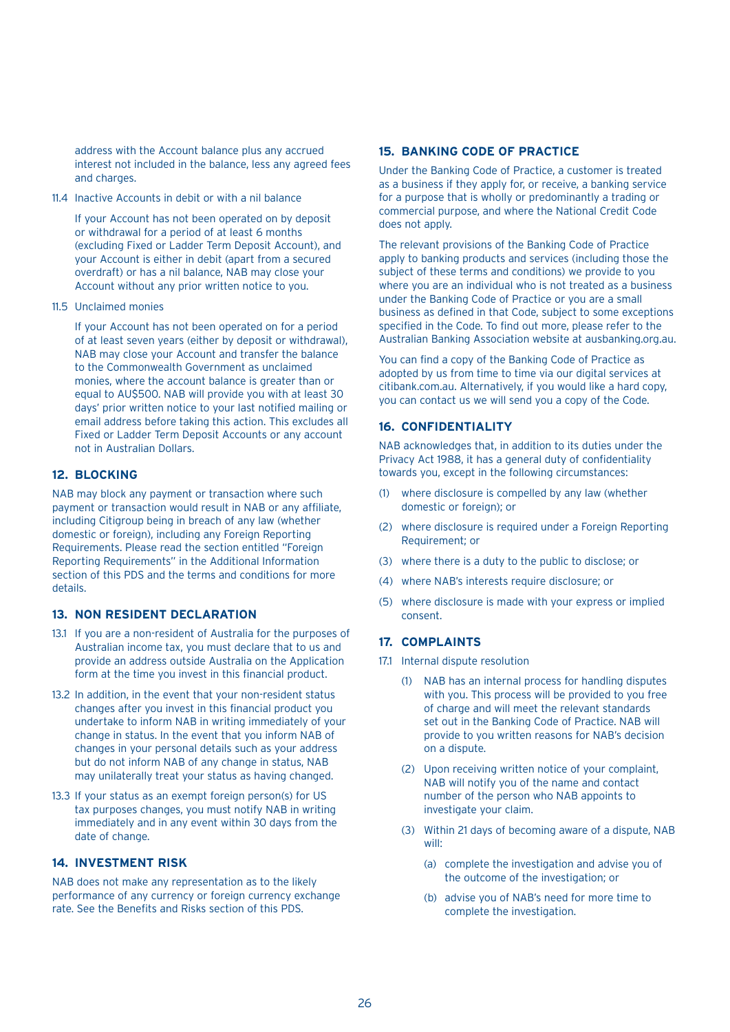address with the Account balance plus any accrued interest not included in the balance, less any agreed fees and charges.

11.4 Inactive Accounts in debit or with a nil balance

 If your Account has not been operated on by deposit or withdrawal for a period of at least 6 months (excluding Fixed or Ladder Term Deposit Account), and your Account is either in debit (apart from a secured overdraft) or has a nil balance, NAB may close your Account without any prior written notice to you.

11.5 Unclaimed monies

 If your Account has not been operated on for a period of at least seven years (either by deposit or withdrawal), NAB may close your Account and transfer the balance to the Commonwealth Government as unclaimed monies, where the account balance is greater than or equal to AU\$500. NAB will provide you with at least 30 days' prior written notice to your last notified mailing or email address before taking this action. This excludes all Fixed or Ladder Term Deposit Accounts or any account not in Australian Dollars.

## **12. BLOCKING**

NAB may block any payment or transaction where such payment or transaction would result in NAB or any affiliate, including Citigroup being in breach of any law (whether domestic or foreign), including any Foreign Reporting Requirements. Please read the section entitled "Foreign Reporting Requirements" in the Additional Information section of this PDS and the terms and conditions for more details.

## **13. NON RESIDENT DECLARATION**

- 13.1 If you are a non-resident of Australia for the purposes of Australian income tax, you must declare that to us and provide an address outside Australia on the Application form at the time you invest in this financial product.
- 13.2 In addition, in the event that your non-resident status changes after you invest in this financial product you undertake to inform NAB in writing immediately of your change in status. In the event that you inform NAB of changes in your personal details such as your address but do not inform NAB of any change in status, NAB may unilaterally treat your status as having changed.
- 13.3 If your status as an exempt foreign person(s) for US tax purposes changes, you must notify NAB in writing immediately and in any event within 30 days from the date of change.

## **14. INVESTMENT RISK**

NAB does not make any representation as to the likely performance of any currency or foreign currency exchange rate. See the Benefits and Risks section of this PDS.

## **15. BANKING CODE OF PRACTICE**

Under the Banking Code of Practice, a customer is treated as a business if they apply for, or receive, a banking service for a purpose that is wholly or predominantly a trading or commercial purpose, and where the National Credit Code does not apply.

The relevant provisions of the Banking Code of Practice apply to banking products and services (including those the subject of these terms and conditions) we provide to you where you are an individual who is not treated as a business under the Banking Code of Practice or you are a small business as defined in that Code, subject to some exceptions specified in the Code. To find out more, please refer to the Australian Banking Association website at ausbanking.org.au.

You can find a copy of the Banking Code of Practice as adopted by us from time to time via our digital services at citibank.com.au. Alternatively, if you would like a hard copy, you can contact us we will send you a copy of the Code.

## **16. CONFIDENTIALITY**

NAB acknowledges that, in addition to its duties under the Privacy Act 1988, it has a general duty of confidentiality towards you, except in the following circumstances:

- (1) where disclosure is compelled by any law (whether domestic or foreign); or
- (2) where disclosure is required under a Foreign Reporting Requirement; or
- (3) where there is a duty to the public to disclose; or
- (4) where NAB's interests require disclosure; or
- (5) where disclosure is made with your express or implied consent.

## **17. COMPLAINTS**

- 17.1 Internal dispute resolution
	- (1) NAB has an internal process for handling disputes with you. This process will be provided to you free of charge and will meet the relevant standards set out in the Banking Code of Practice. NAB will provide to you written reasons for NAB's decision on a dispute.
	- (2) Upon receiving written notice of your complaint, NAB will notify you of the name and contact number of the person who NAB appoints to investigate your claim.
	- (3) Within 21 days of becoming aware of a dispute, NAB will:
		- (a) complete the investigation and advise you of the outcome of the investigation; or
		- (b) advise you of NAB's need for more time to complete the investigation.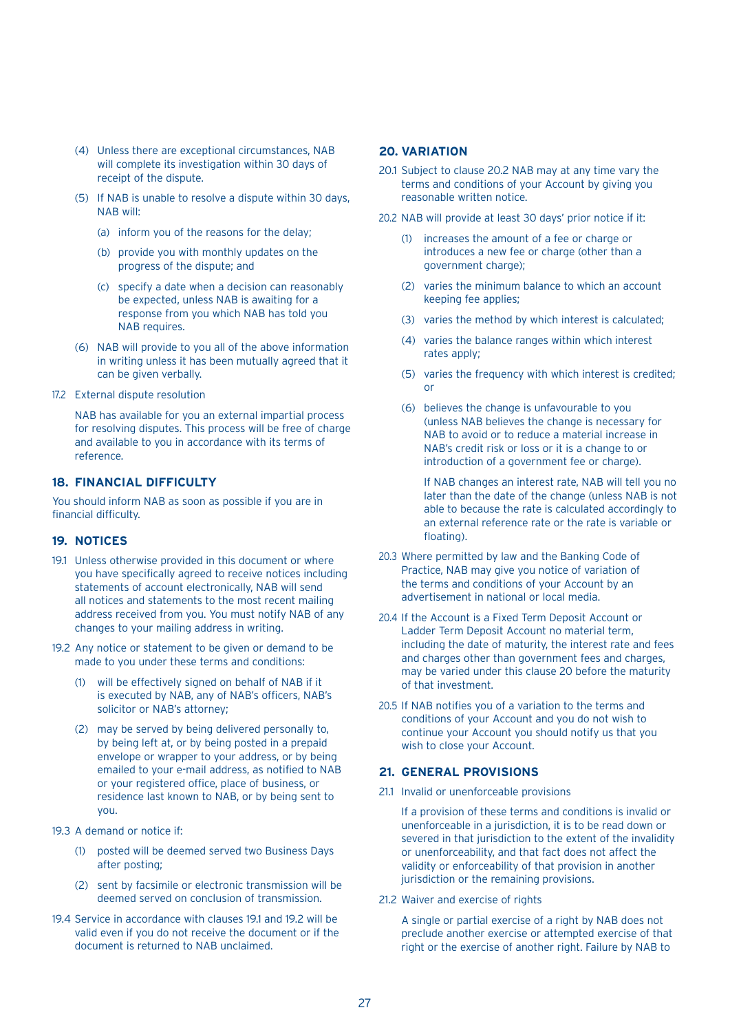- (4) Unless there are exceptional circumstances, NAB will complete its investigation within 30 days of receipt of the dispute.
- (5) If NAB is unable to resolve a dispute within 30 days, NAB will:
	- (a) inform you of the reasons for the delay;
	- (b) provide you with monthly updates on the progress of the dispute; and
	- (c) specify a date when a decision can reasonably be expected, unless NAB is awaiting for a response from you which NAB has told you NAB requires.
- (6) NAB will provide to you all of the above information in writing unless it has been mutually agreed that it can be given verbally.
- 17.2 External dispute resolution

 NAB has available for you an external impartial process for resolving disputes. This process will be free of charge and available to you in accordance with its terms of reference.

## **18. FINANCIAL DIFFICULTY**

You should inform NAB as soon as possible if you are in financial difficulty.

#### **19. NOTICES**

- 19.1 Unless otherwise provided in this document or where you have specifically agreed to receive notices including statements of account electronically, NAB will send all notices and statements to the most recent mailing address received from you. You must notify NAB of any changes to your mailing address in writing.
- 19.2 Any notice or statement to be given or demand to be made to you under these terms and conditions:
	- (1) will be effectively signed on behalf of NAB if it is executed by NAB, any of NAB's officers, NAB's solicitor or NAB's attorney;
	- (2) may be served by being delivered personally to, by being left at, or by being posted in a prepaid envelope or wrapper to your address, or by being emailed to your e-mail address, as notified to NAB or your registered office, place of business, or residence last known to NAB, or by being sent to you.
- 19.3 A demand or notice if:
	- (1) posted will be deemed served two Business Days after posting;
	- (2) sent by facsimile or electronic transmission will be deemed served on conclusion of transmission.
- 19.4 Service in accordance with clauses 19.1 and 19.2 will be valid even if you do not receive the document or if the document is returned to NAB unclaimed.

## **20. VARIATION**

- 20.1 Subject to clause 20.2 NAB may at any time vary the terms and conditions of your Account by giving you reasonable written notice.
- 20.2 NAB will provide at least 30 days' prior notice if it:
	- (1) increases the amount of a fee or charge or introduces a new fee or charge (other than a government charge);
	- (2) varies the minimum balance to which an account keeping fee applies;
	- (3) varies the method by which interest is calculated;
	- (4) varies the balance ranges within which interest rates apply;
	- (5) varies the frequency with which interest is credited; or
	- (6) believes the change is unfavourable to you (unless NAB believes the change is necessary for NAB to avoid or to reduce a material increase in NAB's credit risk or loss or it is a change to or introduction of a government fee or charge).

 If NAB changes an interest rate, NAB will tell you no later than the date of the change (unless NAB is not able to because the rate is calculated accordingly to an external reference rate or the rate is variable or floating).

- 20.3 Where permitted by law and the Banking Code of Practice, NAB may give you notice of variation of the terms and conditions of your Account by an advertisement in national or local media.
- 20.4 If the Account is a Fixed Term Deposit Account or Ladder Term Deposit Account no material term, including the date of maturity, the interest rate and fees and charges other than government fees and charges, may be varied under this clause 20 before the maturity of that investment.
- 20.5 If NAB notifies you of a variation to the terms and conditions of your Account and you do not wish to continue your Account you should notify us that you wish to close your Account.

## **21. GENERAL PROVISIONS**

21.1 Invalid or unenforceable provisions

 If a provision of these terms and conditions is invalid or unenforceable in a jurisdiction, it is to be read down or severed in that jurisdiction to the extent of the invalidity or unenforceability, and that fact does not affect the validity or enforceability of that provision in another jurisdiction or the remaining provisions.

21.2 Waiver and exercise of rights

 A single or partial exercise of a right by NAB does not preclude another exercise or attempted exercise of that right or the exercise of another right. Failure by NAB to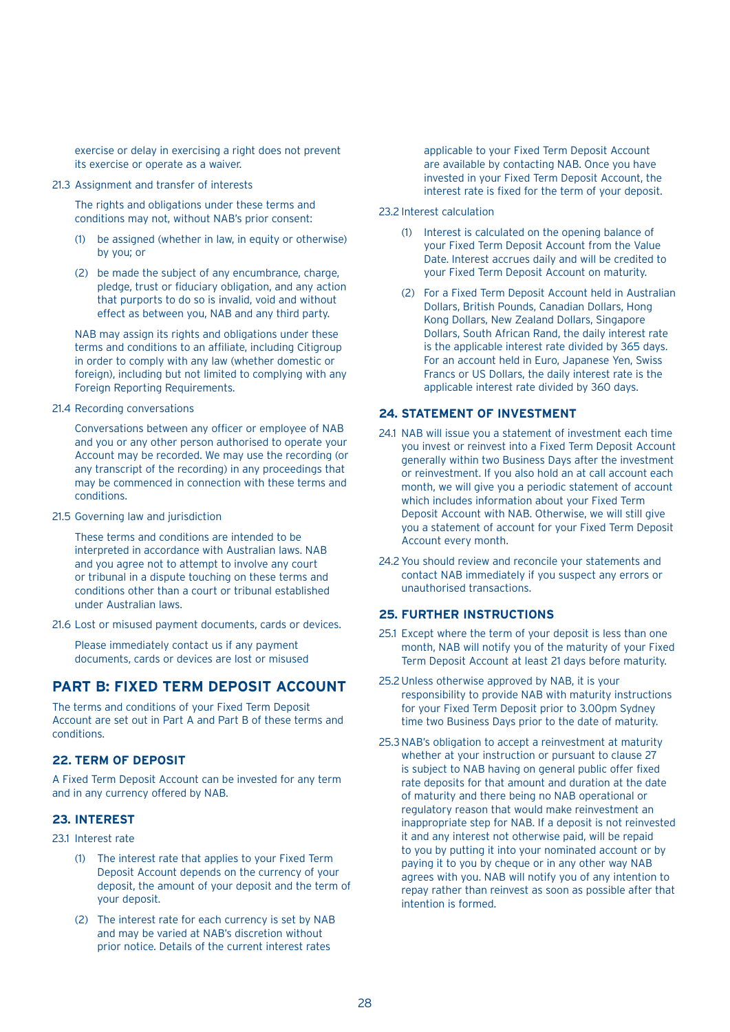exercise or delay in exercising a right does not prevent its exercise or operate as a waiver.

21.3 Assignment and transfer of interests

 The rights and obligations under these terms and conditions may not, without NAB's prior consent:

- (1) be assigned (whether in law, in equity or otherwise) by you; or
- (2) be made the subject of any encumbrance, charge, pledge, trust or fiduciary obligation, and any action that purports to do so is invalid, void and without effect as between you, NAB and any third party.

 NAB may assign its rights and obligations under these terms and conditions to an affiliate, including Citigroup in order to comply with any law (whether domestic or foreign), including but not limited to complying with any Foreign Reporting Requirements.

21.4 Recording conversations

 Conversations between any officer or employee of NAB and you or any other person authorised to operate your Account may be recorded. We may use the recording (or any transcript of the recording) in any proceedings that may be commenced in connection with these terms and conditions.

21.5 Governing law and jurisdiction

 These terms and conditions are intended to be interpreted in accordance with Australian laws. NAB and you agree not to attempt to involve any court or tribunal in a dispute touching on these terms and conditions other than a court or tribunal established under Australian laws.

21.6 Lost or misused payment documents, cards or devices.

 Please immediately contact us if any payment documents, cards or devices are lost or misused

## **PART B: FIXED TERM DEPOSIT ACCOUNT**

The terms and conditions of your Fixed Term Deposit Account are set out in Part A and Part B of these terms and conditions.

## **22. TERM OF DEPOSIT**

A Fixed Term Deposit Account can be invested for any term and in any currency offered by NAB.

## **23. INTEREST**

23.1 Interest rate

- (1) The interest rate that applies to your Fixed Term Deposit Account depends on the currency of your deposit, the amount of your deposit and the term of your deposit.
- (2) The interest rate for each currency is set by NAB and may be varied at NAB's discretion without prior notice. Details of the current interest rates

applicable to your Fixed Term Deposit Account are available by contacting NAB. Once you have invested in your Fixed Term Deposit Account, the interest rate is fixed for the term of your deposit.

- 23.2 Interest calculation
	- (1) Interest is calculated on the opening balance of your Fixed Term Deposit Account from the Value Date. Interest accrues daily and will be credited to your Fixed Term Deposit Account on maturity.
	- (2) For a Fixed Term Deposit Account held in Australian Dollars, British Pounds, Canadian Dollars, Hong Kong Dollars, New Zealand Dollars, Singapore Dollars, South African Rand, the daily interest rate is the applicable interest rate divided by 365 days. For an account held in Euro, Japanese Yen, Swiss Francs or US Dollars, the daily interest rate is the applicable interest rate divided by 360 days.

#### **24. STATEMENT OF INVESTMENT**

- 24.1 NAB will issue you a statement of investment each time you invest or reinvest into a Fixed Term Deposit Account generally within two Business Days after the investment or reinvestment. If you also hold an at call account each month, we will give you a periodic statement of account which includes information about your Fixed Term Deposit Account with NAB. Otherwise, we will still give you a statement of account for your Fixed Term Deposit Account every month.
- 24.2 You should review and reconcile your statements and contact NAB immediately if you suspect any errors or unauthorised transactions.

## **25. FURTHER INSTRUCTIONS**

- 25.1 Except where the term of your deposit is less than one month, NAB will notify you of the maturity of your Fixed Term Deposit Account at least 21 days before maturity.
- 25.2 Unless otherwise approved by NAB, it is your responsibility to provide NAB with maturity instructions for your Fixed Term Deposit prior to 3.00pm Sydney time two Business Days prior to the date of maturity.
- 25.3 NAB's obligation to accept a reinvestment at maturity whether at your instruction or pursuant to clause 27 is subject to NAB having on general public offer fixed rate deposits for that amount and duration at the date of maturity and there being no NAB operational or regulatory reason that would make reinvestment an inappropriate step for NAB. If a deposit is not reinvested it and any interest not otherwise paid, will be repaid to you by putting it into your nominated account or by paying it to you by cheque or in any other way NAB agrees with you. NAB will notify you of any intention to repay rather than reinvest as soon as possible after that intention is formed.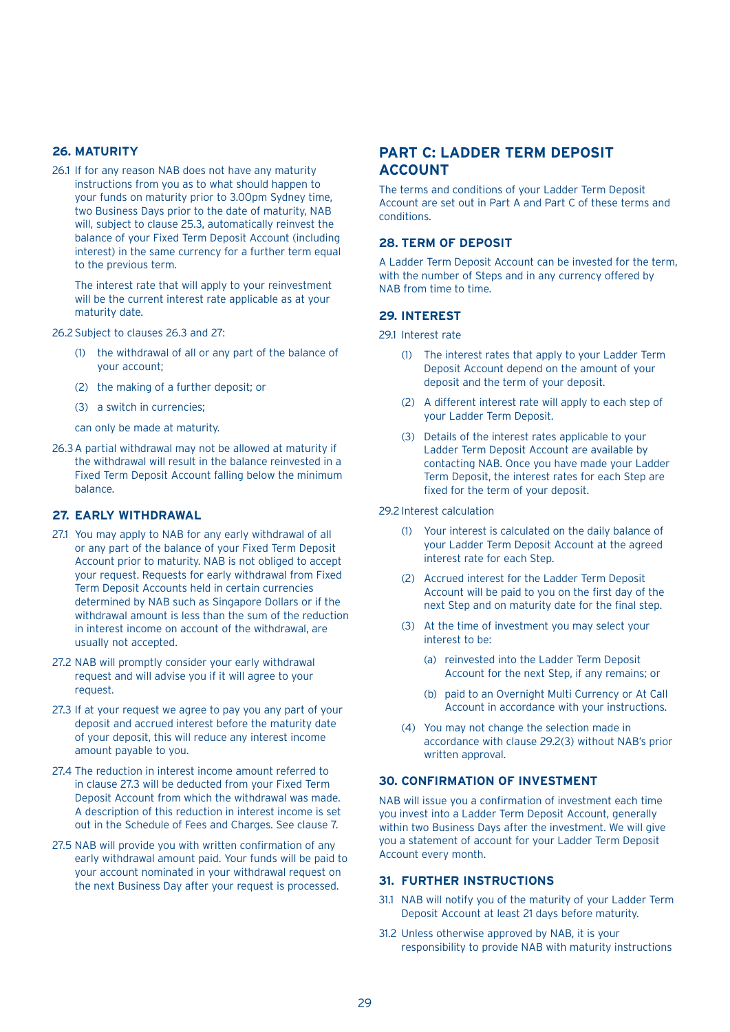## **26. MATURITY**

26.1 If for any reason NAB does not have any maturity instructions from you as to what should happen to your funds on maturity prior to 3.00pm Sydney time, two Business Days prior to the date of maturity, NAB will, subject to clause 25.3, automatically reinvest the balance of your Fixed Term Deposit Account (including interest) in the same currency for a further term equal to the previous term.

 The interest rate that will apply to your reinvestment will be the current interest rate applicable as at your maturity date.

26.2 Subject to clauses 26.3 and 27:

- (1) the withdrawal of all or any part of the balance of your account;
- (2) the making of a further deposit; or
- (3) a switch in currencies;
- can only be made at maturity.
- 26.3 A partial withdrawal may not be allowed at maturity if the withdrawal will result in the balance reinvested in a Fixed Term Deposit Account falling below the minimum balance.

## **27. EARLY WITHDRAWAL**

- 27.1 You may apply to NAB for any early withdrawal of all or any part of the balance of your Fixed Term Deposit Account prior to maturity. NAB is not obliged to accept your request. Requests for early withdrawal from Fixed Term Deposit Accounts held in certain currencies determined by NAB such as Singapore Dollars or if the withdrawal amount is less than the sum of the reduction in interest income on account of the withdrawal, are usually not accepted.
- 27.2 NAB will promptly consider your early withdrawal request and will advise you if it will agree to your request.
- 27.3 If at your request we agree to pay you any part of your deposit and accrued interest before the maturity date of your deposit, this will reduce any interest income amount payable to you.
- 27.4 The reduction in interest income amount referred to in clause 27.3 will be deducted from your Fixed Term Deposit Account from which the withdrawal was made. A description of this reduction in interest income is set out in the Schedule of Fees and Charges. See clause 7.
- 27.5 NAB will provide you with written confirmation of any early withdrawal amount paid. Your funds will be paid to your account nominated in your withdrawal request on the next Business Day after your request is processed.

## **PART C: LADDER TERM DEPOSIT ACCOUNT**

The terms and conditions of your Ladder Term Deposit Account are set out in Part A and Part C of these terms and conditions.

## **28. TERM OF DEPOSIT**

A Ladder Term Deposit Account can be invested for the term, with the number of Steps and in any currency offered by NAB from time to time.

## **29. INTEREST**

- 29.1 Interest rate
	- (1) The interest rates that apply to your Ladder Term Deposit Account depend on the amount of your deposit and the term of your deposit.
	- (2) A different interest rate will apply to each step of your Ladder Term Deposit.
	- (3) Details of the interest rates applicable to your Ladder Term Deposit Account are available by contacting NAB. Once you have made your Ladder Term Deposit, the interest rates for each Step are fixed for the term of your deposit.

#### 29.2 Interest calculation

- (1) Your interest is calculated on the daily balance of your Ladder Term Deposit Account at the agreed interest rate for each Step.
- (2) Accrued interest for the Ladder Term Deposit Account will be paid to you on the first day of the next Step and on maturity date for the final step.
- (3) At the time of investment you may select your interest to be:
	- (a) reinvested into the Ladder Term Deposit Account for the next Step, if any remains; or
	- (b) paid to an Overnight Multi Currency or At Call Account in accordance with your instructions.
- (4) You may not change the selection made in accordance with clause 29.2(3) without NAB's prior written approval.

#### **30. CONFIRMATION OF INVESTMENT**

NAB will issue you a confirmation of investment each time you invest into a Ladder Term Deposit Account, generally within two Business Days after the investment. We will give you a statement of account for your Ladder Term Deposit Account every month.

#### **31. FURTHER INSTRUCTIONS**

- 31.1 NAB will notify you of the maturity of your Ladder Term Deposit Account at least 21 days before maturity.
- 31.2 Unless otherwise approved by NAB, it is your responsibility to provide NAB with maturity instructions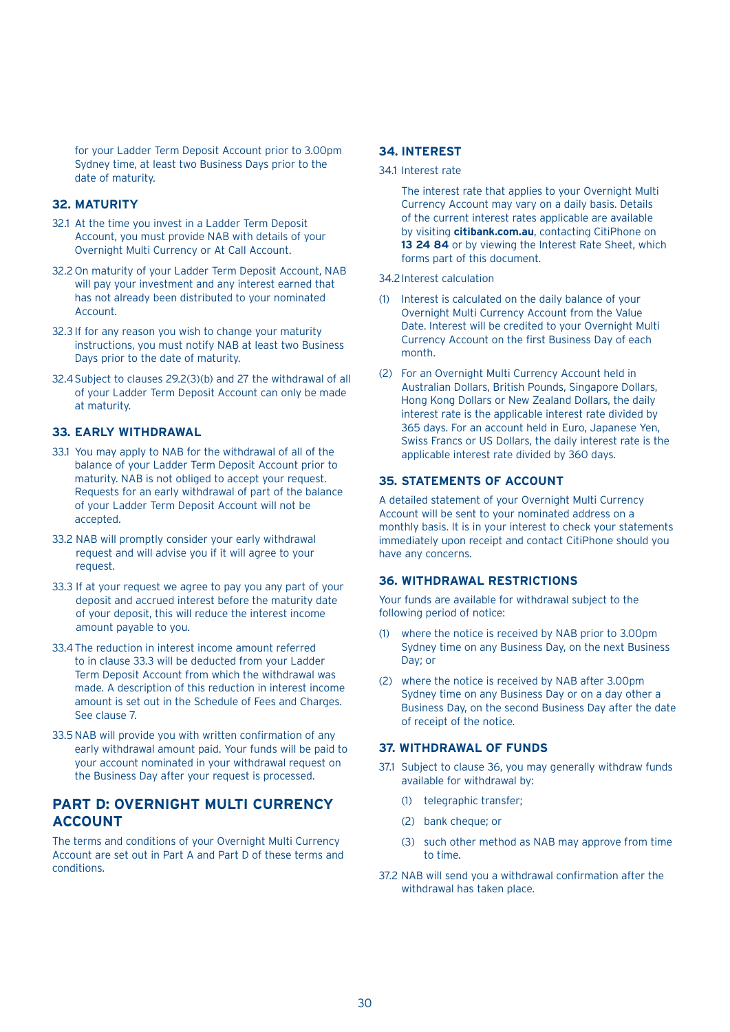for your Ladder Term Deposit Account prior to 3.00pm Sydney time, at least two Business Days prior to the date of maturity.

#### **32. MATURITY**

- 32.1 At the time you invest in a Ladder Term Deposit Account, you must provide NAB with details of your Overnight Multi Currency or At Call Account.
- 32.2 On maturity of your Ladder Term Deposit Account, NAB will pay your investment and any interest earned that has not already been distributed to your nominated Account.
- 32.3 If for any reason you wish to change your maturity instructions, you must notify NAB at least two Business Days prior to the date of maturity.
- 32.4 Subject to clauses 29.2(3)(b) and 27 the withdrawal of all of your Ladder Term Deposit Account can only be made at maturity.

## **33. EARLY WITHDRAWAL**

- 33.1 You may apply to NAB for the withdrawal of all of the balance of your Ladder Term Deposit Account prior to maturity. NAB is not obliged to accept your request. Requests for an early withdrawal of part of the balance of your Ladder Term Deposit Account will not be accepted.
- 33.2 NAB will promptly consider your early withdrawal request and will advise you if it will agree to your request.
- 33.3 If at your request we agree to pay you any part of your deposit and accrued interest before the maturity date of your deposit, this will reduce the interest income amount payable to you.
- 33.4 The reduction in interest income amount referred to in clause 33.3 will be deducted from your Ladder Term Deposit Account from which the withdrawal was made. A description of this reduction in interest income amount is set out in the Schedule of Fees and Charges. See clause 7.
- 33.5 NAB will provide you with written confirmation of any early withdrawal amount paid. Your funds will be paid to your account nominated in your withdrawal request on the Business Day after your request is processed.

## **PART D: OVERNIGHT MULTI CURRENCY ACCOUNT**

The terms and conditions of your Overnight Multi Currency Account are set out in Part A and Part D of these terms and conditions.

#### **34. INTEREST**

34.1 Interest rate

 The interest rate that applies to your Overnight Multi Currency Account may vary on a daily basis. Details of the current interest rates applicable are available by visiting **citibank.com.au**, contacting CitiPhone on **13 24 84** or by viewing the Interest Rate Sheet, which forms part of this document.

#### 34.2Interest calculation

- (1) Interest is calculated on the daily balance of your Overnight Multi Currency Account from the Value Date. Interest will be credited to your Overnight Multi Currency Account on the first Business Day of each month.
- (2) For an Overnight Multi Currency Account held in Australian Dollars, British Pounds, Singapore Dollars, Hong Kong Dollars or New Zealand Dollars, the daily interest rate is the applicable interest rate divided by 365 days. For an account held in Euro, Japanese Yen, Swiss Francs or US Dollars, the daily interest rate is the applicable interest rate divided by 360 days.

#### **35. STATEMENTS OF ACCOUNT**

A detailed statement of your Overnight Multi Currency Account will be sent to your nominated address on a monthly basis. It is in your interest to check your statements immediately upon receipt and contact CitiPhone should you have any concerns.

#### **36. WITHDRAWAL RESTRICTIONS**

Your funds are available for withdrawal subject to the following period of notice:

- (1) where the notice is received by NAB prior to 3.00pm Sydney time on any Business Day, on the next Business Day; or
- (2) where the notice is received by NAB after 3.00pm Sydney time on any Business Day or on a day other a Business Day, on the second Business Day after the date of receipt of the notice.

## **37. WITHDRAWAL OF FUNDS**

- 37.1 Subject to clause 36, you may generally withdraw funds available for withdrawal by:
	- (1) telegraphic transfer;
	- (2) bank cheque; or
	- (3) such other method as NAB may approve from time to time.
- 37.2 NAB will send you a withdrawal confirmation after the withdrawal has taken place.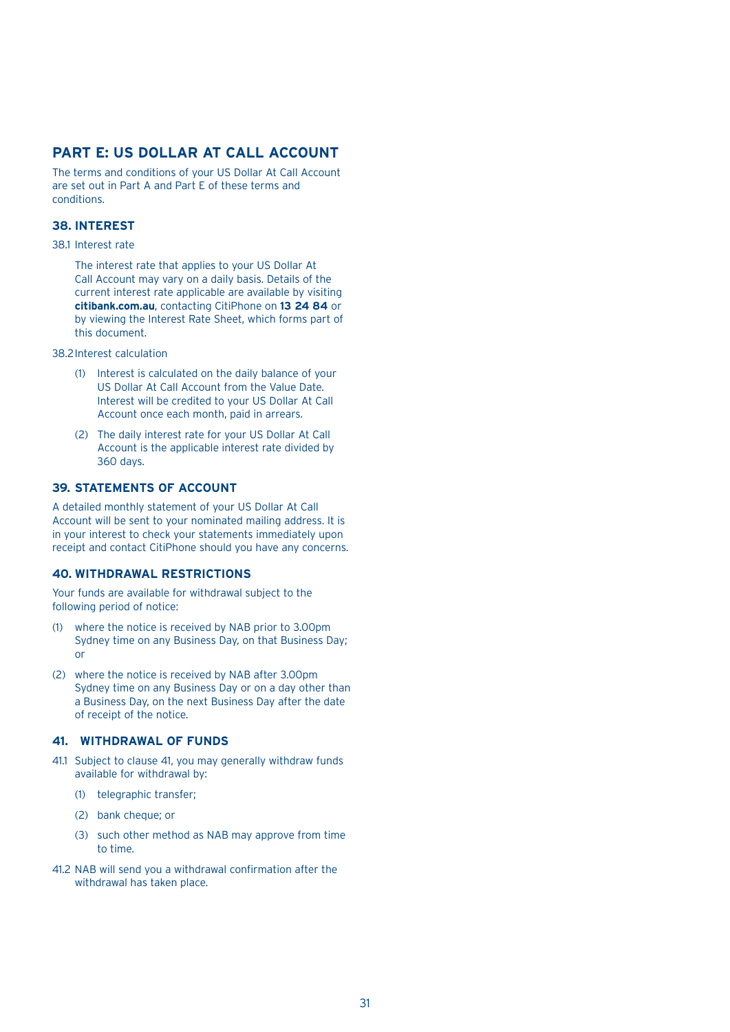## **PART E: US DOLLAR AT CALL ACCOUNT**

The terms and conditions of your US Dollar At Call Account are set out in Part A and Part E of these terms and conditions.

## **38. INTEREST**

#### 38.1 Interest rate

 The interest rate that applies to your US Dollar At Call Account may vary on a daily basis. Details of the current interest rate applicable are available by visiting **citibank.com.au**, contacting CitiPhone on **13 24 84** or by viewing the Interest Rate Sheet, which forms part of this document.

38.2Interest calculation

- (1) Interest is calculated on the daily balance of your US Dollar At Call Account from the Value Date. Interest will be credited to your US Dollar At Call Account once each month, paid in arrears.
- (2) The daily interest rate for your US Dollar At Call Account is the applicable interest rate divided by 360 days.

#### **39. STATEMENTS OF ACCOUNT**

A detailed monthly statement of your US Dollar At Call Account will be sent to your nominated mailing address. It is in your interest to check your statements immediately upon receipt and contact CitiPhone should you have any concerns.

## **40. WITHDRAWAL RESTRICTIONS**

Your funds are available for withdrawal subject to the following period of notice:

- (1) where the notice is received by NAB prior to 3.00pm Sydney time on any Business Day, on that Business Day; or
- (2) where the notice is received by NAB after 3.00pm Sydney time on any Business Day or on a day other than a Business Day, on the next Business Day after the date of receipt of the notice.

## **41. WITHDRAWAL OF FUNDS**

- 41.1 Subject to clause 41, you may generally withdraw funds available for withdrawal by:
	- (1) telegraphic transfer;
	- (2) bank cheque; or
	- (3) such other method as NAB may approve from time to time.
- 41.2 NAB will send you a withdrawal confirmation after the withdrawal has taken place.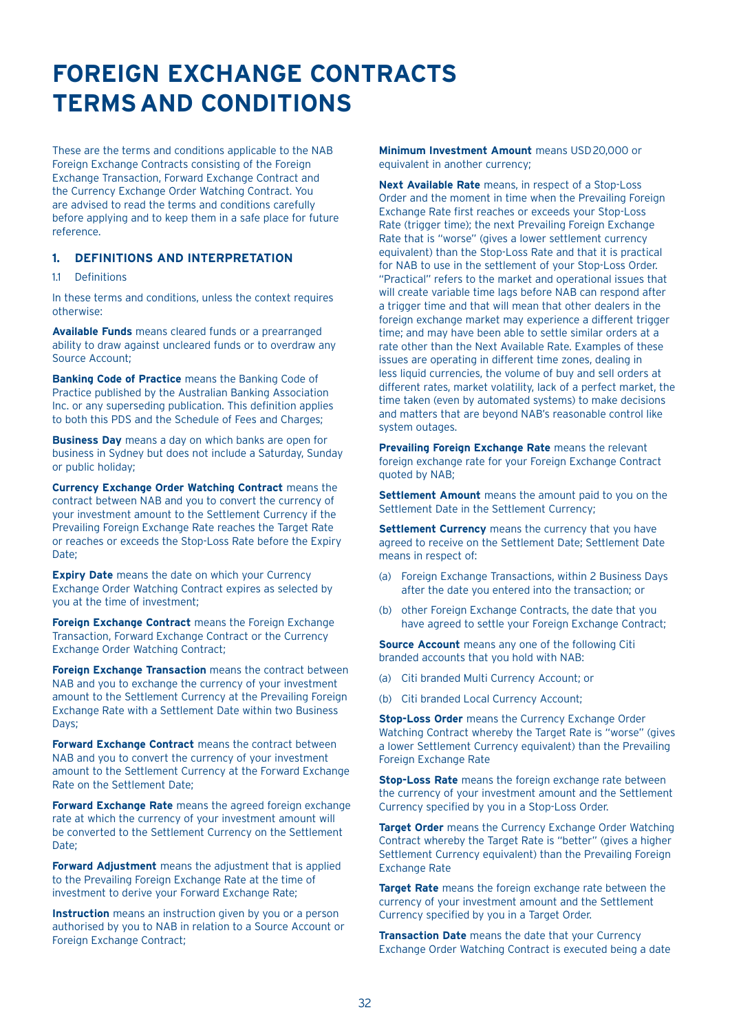## **FOREIGN EXCHANGE CONTRACTS TERMSAND CONDITIONS**

These are the terms and conditions applicable to the NAB Foreign Exchange Contracts consisting of the Foreign Exchange Transaction, Forward Exchange Contract and the Currency Exchange Order Watching Contract. You are advised to read the terms and conditions carefully before applying and to keep them in a safe place for future reference.

## **1. DEFINITIONS AND INTERPRETATION**

#### 11 Definitions

In these terms and conditions, unless the context requires otherwise:

**Available Funds** means cleared funds or a prearranged ability to draw against uncleared funds or to overdraw any Source Account;

**Banking Code of Practice** means the Banking Code of Practice published by the Australian Banking Association Inc. or any superseding publication. This definition applies to both this PDS and the Schedule of Fees and Charges;

**Business Day** means a day on which banks are open for business in Sydney but does not include a Saturday, Sunday or public holiday;

**Currency Exchange Order Watching Contract** means the contract between NAB and you to convert the currency of your investment amount to the Settlement Currency if the Prevailing Foreign Exchange Rate reaches the Target Rate or reaches or exceeds the Stop-Loss Rate before the Expiry Date;

**Expiry Date** means the date on which your Currency Exchange Order Watching Contract expires as selected by you at the time of investment;

**Foreign Exchange Contract** means the Foreign Exchange Transaction, Forward Exchange Contract or the Currency Exchange Order Watching Contract;

**Foreign Exchange Transaction** means the contract between NAB and you to exchange the currency of your investment amount to the Settlement Currency at the Prevailing Foreign Exchange Rate with a Settlement Date within two Business Days;

**Forward Exchange Contract** means the contract between NAB and you to convert the currency of your investment amount to the Settlement Currency at the Forward Exchange Rate on the Settlement Date;

**Forward Exchange Rate** means the agreed foreign exchange rate at which the currency of your investment amount will be converted to the Settlement Currency on the Settlement Date:

**Forward Adjustment** means the adjustment that is applied to the Prevailing Foreign Exchange Rate at the time of investment to derive your Forward Exchange Rate;

**Instruction** means an instruction given by you or a person authorised by you to NAB in relation to a Source Account or Foreign Exchange Contract;

**Minimum Investment Amount** means USD20,000 or equivalent in another currency;

**Next Available Rate** means, in respect of a Stop-Loss Order and the moment in time when the Prevailing Foreign Exchange Rate first reaches or exceeds your Stop-Loss Rate (trigger time); the next Prevailing Foreign Exchange Rate that is "worse" (gives a lower settlement currency equivalent) than the Stop-Loss Rate and that it is practical for NAB to use in the settlement of your Stop-Loss Order. "Practical" refers to the market and operational issues that will create variable time lags before NAB can respond after a trigger time and that will mean that other dealers in the foreign exchange market may experience a different trigger time; and may have been able to settle similar orders at a rate other than the Next Available Rate. Examples of these issues are operating in different time zones, dealing in less liquid currencies, the volume of buy and sell orders at different rates, market volatility, lack of a perfect market, the time taken (even by automated systems) to make decisions and matters that are beyond NAB's reasonable control like system outages.

**Prevailing Foreign Exchange Rate** means the relevant foreign exchange rate for your Foreign Exchange Contract quoted by NAB;

**Settlement Amount** means the amount paid to you on the Settlement Date in the Settlement Currency;

**Settlement Currency** means the currency that you have agreed to receive on the Settlement Date; Settlement Date means in respect of:

- (a) Foreign Exchange Transactions, within 2 Business Days after the date you entered into the transaction; or
- (b) other Foreign Exchange Contracts, the date that you have agreed to settle your Foreign Exchange Contract;

**Source Account** means any one of the following Citi branded accounts that you hold with NAB:

- (a) Citi branded Multi Currency Account; or
- (b) Citi branded Local Currency Account;

**Stop-Loss Order** means the Currency Exchange Order Watching Contract whereby the Target Rate is "worse" (gives a lower Settlement Currency equivalent) than the Prevailing Foreign Exchange Rate

**Stop-Loss Rate** means the foreign exchange rate between the currency of your investment amount and the Settlement Currency specified by you in a Stop-Loss Order.

**Target Order** means the Currency Exchange Order Watching Contract whereby the Target Rate is "better" (gives a higher Settlement Currency equivalent) than the Prevailing Foreign Exchange Rate

**Target Rate** means the foreign exchange rate between the currency of your investment amount and the Settlement Currency specified by you in a Target Order.

**Transaction Date** means the date that your Currency Exchange Order Watching Contract is executed being a date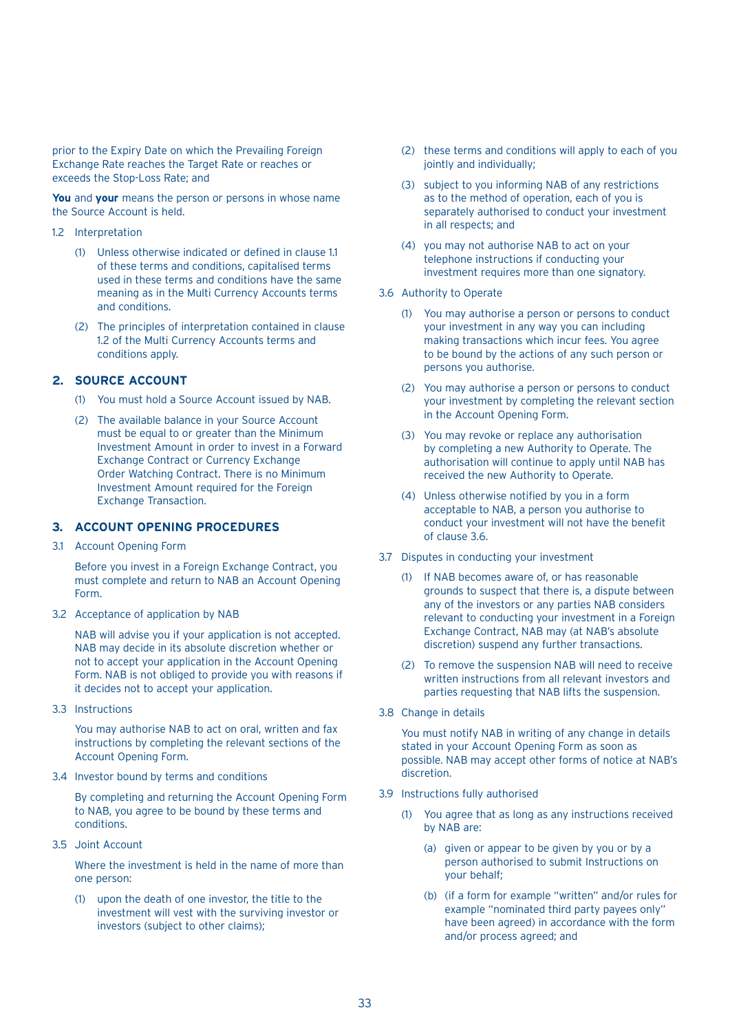prior to the Expiry Date on which the Prevailing Foreign Exchange Rate reaches the Target Rate or reaches or exceeds the Stop-Loss Rate; and

**You** and **your** means the person or persons in whose name the Source Account is held.

- 12 Interpretation
	- (1) Unless otherwise indicated or defined in clause 11 of these terms and conditions, capitalised terms used in these terms and conditions have the same meaning as in the Multi Currency Accounts terms and conditions.
	- (2) The principles of interpretation contained in clause 1.2 of the Multi Currency Accounts terms and conditions apply.

## **2. SOURCE ACCOUNT**

- (1) You must hold a Source Account issued by NAB.
- (2) The available balance in your Source Account must be equal to or greater than the Minimum Investment Amount in order to invest in a Forward Exchange Contract or Currency Exchange Order Watching Contract. There is no Minimum Investment Amount required for the Foreign Exchange Transaction.

## **3. ACCOUNT OPENING PROCEDURES**

3.1 Account Opening Form

 Before you invest in a Foreign Exchange Contract, you must complete and return to NAB an Account Opening Form.

3.2 Acceptance of application by NAB

 NAB will advise you if your application is not accepted. NAB may decide in its absolute discretion whether or not to accept your application in the Account Opening Form. NAB is not obliged to provide you with reasons if it decides not to accept your application.

3.3 Instructions

 You may authorise NAB to act on oral, written and fax instructions by completing the relevant sections of the Account Opening Form.

3.4 Investor bound by terms and conditions

 By completing and returning the Account Opening Form to NAB, you agree to be bound by these terms and conditions.

3.5 Joint Account

 Where the investment is held in the name of more than one person:

(1) upon the death of one investor, the title to the investment will vest with the surviving investor or investors (subject to other claims);

- (2) these terms and conditions will apply to each of you jointly and individually;
- (3) subject to you informing NAB of any restrictions as to the method of operation, each of you is separately authorised to conduct your investment in all respects; and
- (4) you may not authorise NAB to act on your telephone instructions if conducting your investment requires more than one signatory.
- 3.6 Authority to Operate
	- (1) You may authorise a person or persons to conduct your investment in any way you can including making transactions which incur fees. You agree to be bound by the actions of any such person or persons you authorise.
	- (2) You may authorise a person or persons to conduct your investment by completing the relevant section in the Account Opening Form.
	- (3) You may revoke or replace any authorisation by completing a new Authority to Operate. The authorisation will continue to apply until NAB has received the new Authority to Operate.
	- (4) Unless otherwise notified by you in a form acceptable to NAB, a person you authorise to conduct your investment will not have the benefit of clause 3.6.
- 3.7 Disputes in conducting your investment
	- (1) If NAB becomes aware of, or has reasonable grounds to suspect that there is, a dispute between any of the investors or any parties NAB considers relevant to conducting your investment in a Foreign Exchange Contract, NAB may (at NAB's absolute discretion) suspend any further transactions.
	- (2) To remove the suspension NAB will need to receive written instructions from all relevant investors and parties requesting that NAB lifts the suspension.
- 3.8 Change in details

 You must notify NAB in writing of any change in details stated in your Account Opening Form as soon as possible. NAB may accept other forms of notice at NAB's discretion.

- 3.9 Instructions fully authorised
	- (1) You agree that as long as any instructions received by NAB are:
		- (a) given or appear to be given by you or by a person authorised to submit Instructions on your behalf;
		- (b) (if a form for example "written" and/or rules for example "nominated third party payees only" have been agreed) in accordance with the form and/or process agreed; and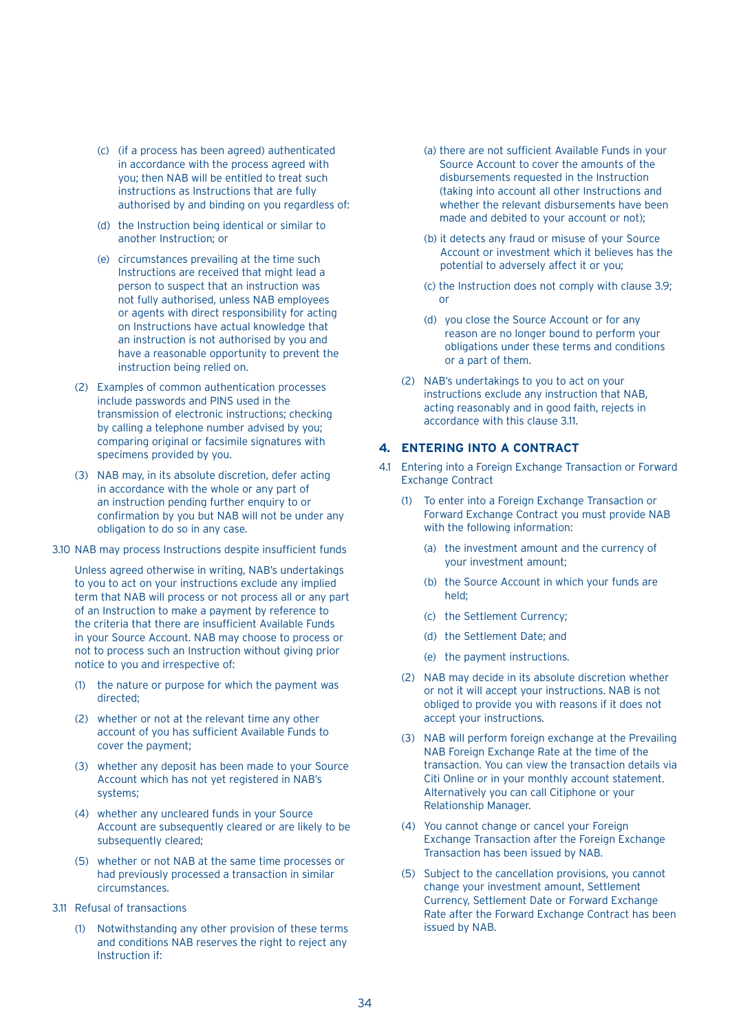- (c) (if a process has been agreed) authenticated in accordance with the process agreed with you; then NAB will be entitled to treat such instructions as Instructions that are fully authorised by and binding on you regardless of:
- (d) the Instruction being identical or similar to another Instruction; or
- (e) circumstances prevailing at the time such Instructions are received that might lead a person to suspect that an instruction was not fully authorised, unless NAB employees or agents with direct responsibility for acting on Instructions have actual knowledge that an instruction is not authorised by you and have a reasonable opportunity to prevent the instruction being relied on.
- (2) Examples of common authentication processes include passwords and PINS used in the transmission of electronic instructions; checking by calling a telephone number advised by you; comparing original or facsimile signatures with specimens provided by you.
- (3) NAB may, in its absolute discretion, defer acting in accordance with the whole or any part of an instruction pending further enquiry to or confirmation by you but NAB will not be under any obligation to do so in any case.
- 3.10 NAB may process Instructions despite insufficient funds

 Unless agreed otherwise in writing, NAB's undertakings to you to act on your instructions exclude any implied term that NAB will process or not process all or any part of an Instruction to make a payment by reference to the criteria that there are insufficient Available Funds in your Source Account. NAB may choose to process or not to process such an Instruction without giving prior notice to you and irrespective of:

- (1) the nature or purpose for which the payment was directed;
- (2) whether or not at the relevant time any other account of you has sufficient Available Funds to cover the payment;
- (3) whether any deposit has been made to your Source Account which has not yet registered in NAB's systems;
- (4) whether any uncleared funds in your Source Account are subsequently cleared or are likely to be subsequently cleared;
- (5) whether or not NAB at the same time processes or had previously processed a transaction in similar circumstances.
- 3.11 Refusal of transactions
	- (1) Notwithstanding any other provision of these terms and conditions NAB reserves the right to reject any Instruction if:
- (a) there are not sufficient Available Funds in your Source Account to cover the amounts of the disbursements requested in the Instruction (taking into account all other Instructions and whether the relevant disbursements have been made and debited to your account or not);
- (b) it detects any fraud or misuse of your Source Account or investment which it believes has the potential to adversely affect it or you;
- (c) the Instruction does not comply with clause 3.9; or
- (d) you close the Source Account or for any reason are no longer bound to perform your obligations under these terms and conditions or a part of them.
- (2) NAB's undertakings to you to act on your instructions exclude any instruction that NAB, acting reasonably and in good faith, rejects in accordance with this clause 3.11.

#### **4. ENTERING INTO A CONTRACT**

- 4.1 Entering into a Foreign Exchange Transaction or Forward Exchange Contract
	- (1) To enter into a Foreign Exchange Transaction or Forward Exchange Contract you must provide NAB with the following information:
		- (a) the investment amount and the currency of your investment amount;
		- (b) the Source Account in which your funds are held;
		- (c) the Settlement Currency;
		- (d) the Settlement Date; and
		- (e) the payment instructions.
	- (2) NAB may decide in its absolute discretion whether or not it will accept your instructions. NAB is not obliged to provide you with reasons if it does not accept your instructions.
	- (3) NAB will perform foreign exchange at the Prevailing NAB Foreign Exchange Rate at the time of the transaction. You can view the transaction details via Citi Online or in your monthly account statement. Alternatively you can call Citiphone or your Relationship Manager.
	- (4) You cannot change or cancel your Foreign Exchange Transaction after the Foreign Exchange Transaction has been issued by NAB.
	- (5) Subject to the cancellation provisions, you cannot change your investment amount, Settlement Currency, Settlement Date or Forward Exchange Rate after the Forward Exchange Contract has been issued by NAB.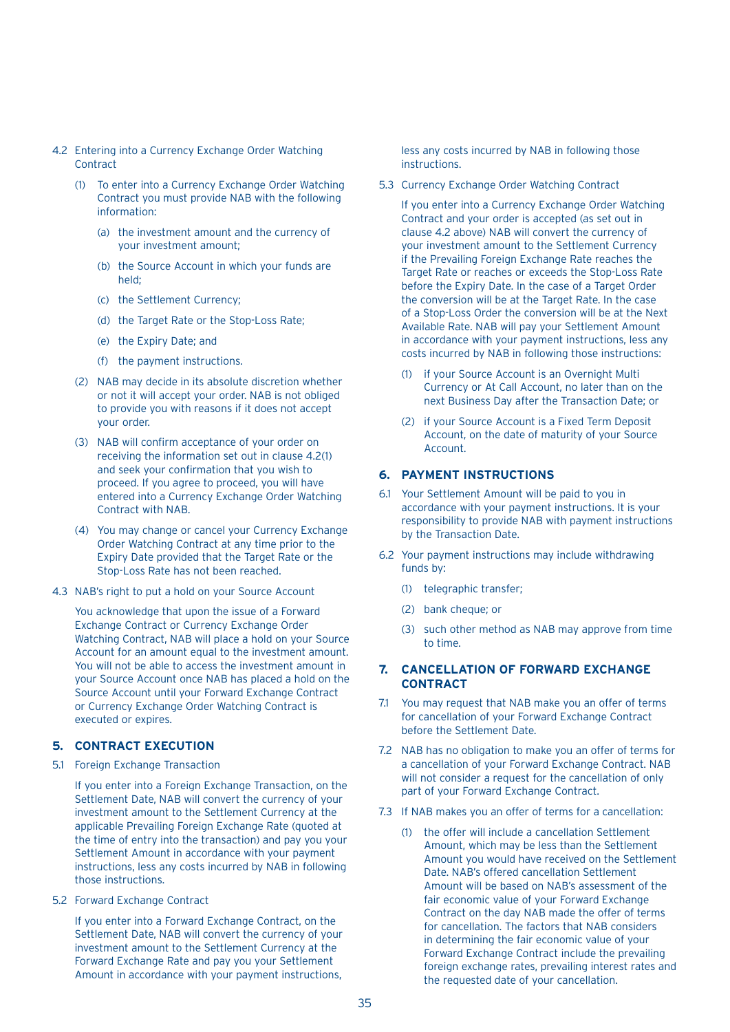- 4.2 Entering into a Currency Exchange Order Watching **Contract** 
	- (1) To enter into a Currency Exchange Order Watching Contract you must provide NAB with the following information:
		- (a) the investment amount and the currency of your investment amount;
		- (b) the Source Account in which your funds are held;
		- (c) the Settlement Currency;
		- (d) the Target Rate or the Stop-Loss Rate;
		- (e) the Expiry Date; and
		- (f) the payment instructions.
	- (2) NAB may decide in its absolute discretion whether or not it will accept your order. NAB is not obliged to provide you with reasons if it does not accept your order.
	- (3) NAB will confirm acceptance of your order on receiving the information set out in clause 4.2(1) and seek your confirmation that you wish to proceed. If you agree to proceed, you will have entered into a Currency Exchange Order Watching Contract with NAB.
	- (4) You may change or cancel your Currency Exchange Order Watching Contract at any time prior to the Expiry Date provided that the Target Rate or the Stop-Loss Rate has not been reached.
- 4.3 NAB's right to put a hold on your Source Account

 You acknowledge that upon the issue of a Forward Exchange Contract or Currency Exchange Order Watching Contract, NAB will place a hold on your Source Account for an amount equal to the investment amount. You will not be able to access the investment amount in your Source Account once NAB has placed a hold on the Source Account until your Forward Exchange Contract or Currency Exchange Order Watching Contract is executed or expires.

## **5. CONTRACT EXECUTION**

5.1 Foreign Exchange Transaction

 If you enter into a Foreign Exchange Transaction, on the Settlement Date, NAB will convert the currency of your investment amount to the Settlement Currency at the applicable Prevailing Foreign Exchange Rate (quoted at the time of entry into the transaction) and pay you your Settlement Amount in accordance with your payment instructions, less any costs incurred by NAB in following those instructions.

5.2 Forward Exchange Contract

 If you enter into a Forward Exchange Contract, on the Settlement Date, NAB will convert the currency of your investment amount to the Settlement Currency at the Forward Exchange Rate and pay you your Settlement Amount in accordance with your payment instructions,

less any costs incurred by NAB in following those instructions.

5.3 Currency Exchange Order Watching Contract

 If you enter into a Currency Exchange Order Watching Contract and your order is accepted (as set out in clause 4.2 above) NAB will convert the currency of your investment amount to the Settlement Currency if the Prevailing Foreign Exchange Rate reaches the Target Rate or reaches or exceeds the Stop-Loss Rate before the Expiry Date. In the case of a Target Order the conversion will be at the Target Rate. In the case of a Stop-Loss Order the conversion will be at the Next Available Rate. NAB will pay your Settlement Amount in accordance with your payment instructions, less any costs incurred by NAB in following those instructions:

- (1) if your Source Account is an Overnight Multi Currency or At Call Account, no later than on the next Business Day after the Transaction Date; or
- (2) if your Source Account is a Fixed Term Deposit Account, on the date of maturity of your Source Account.

## **6. PAYMENT INSTRUCTIONS**

- 6.1 Your Settlement Amount will be paid to you in accordance with your payment instructions. It is your responsibility to provide NAB with payment instructions by the Transaction Date.
- 6.2 Your payment instructions may include withdrawing funds by:
	- (1) telegraphic transfer;
	- (2) bank cheque; or
	- (3) such other method as NAB may approve from time to time.

## **7. CANCELLATION OF FORWARD EXCHANGE CONTRACT**

- 7.1 You may request that NAB make you an offer of terms for cancellation of your Forward Exchange Contract before the Settlement Date.
- 7.2 NAB has no obligation to make you an offer of terms for a cancellation of your Forward Exchange Contract. NAB will not consider a request for the cancellation of only part of your Forward Exchange Contract.
- 7.3 If NAB makes you an offer of terms for a cancellation:
	- (1) the offer will include a cancellation Settlement Amount, which may be less than the Settlement Amount you would have received on the Settlement Date. NAB's offered cancellation Settlement Amount will be based on NAB's assessment of the fair economic value of your Forward Exchange Contract on the day NAB made the offer of terms for cancellation. The factors that NAB considers in determining the fair economic value of your Forward Exchange Contract include the prevailing foreign exchange rates, prevailing interest rates and the requested date of your cancellation.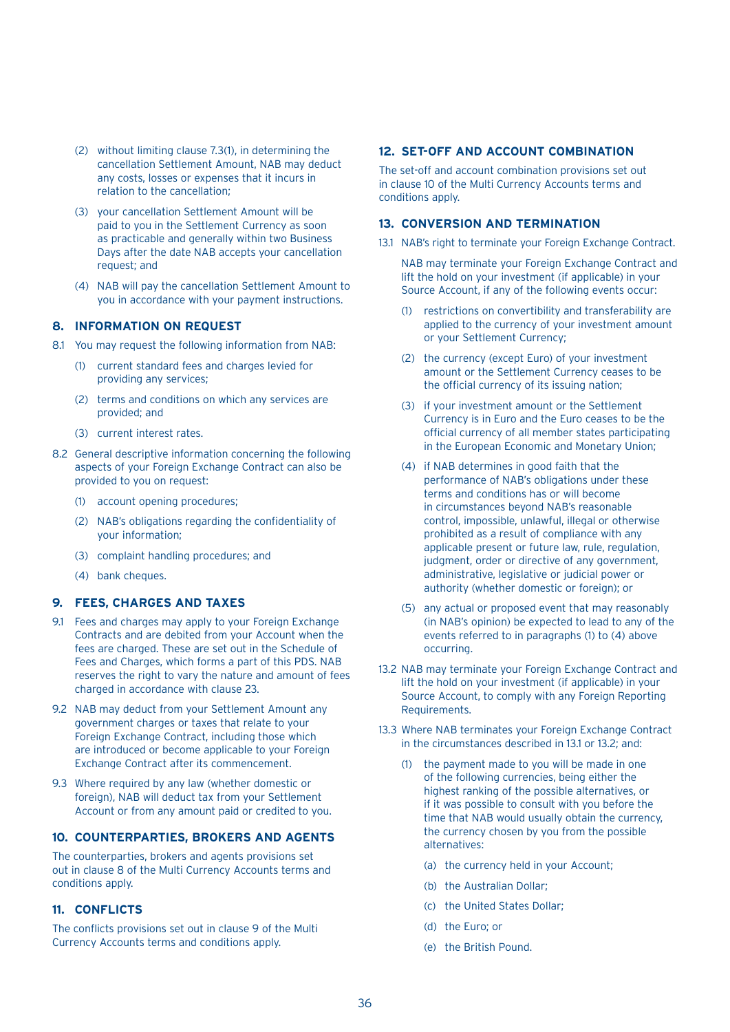- (2) without limiting clause 7.3(1), in determining the cancellation Settlement Amount, NAB may deduct any costs, losses or expenses that it incurs in relation to the cancellation;
- (3) your cancellation Settlement Amount will be paid to you in the Settlement Currency as soon as practicable and generally within two Business Days after the date NAB accepts your cancellation request; and
- (4) NAB will pay the cancellation Settlement Amount to you in accordance with your payment instructions.

#### **8. INFORMATION ON REQUEST**

- 8.1 You may request the following information from NAB:
	- (1) current standard fees and charges levied for providing any services;
	- (2) terms and conditions on which any services are provided; and
	- (3) current interest rates.
- 8.2 General descriptive information concerning the following aspects of your Foreign Exchange Contract can also be provided to you on request:
	- (1) account opening procedures;
	- (2) NAB's obligations regarding the confidentiality of your information;
	- (3) complaint handling procedures; and
	- (4) bank cheques.

## **9. FEES, CHARGES AND TAXES**

- 9.1 Fees and charges may apply to your Foreign Exchange Contracts and are debited from your Account when the fees are charged. These are set out in the Schedule of Fees and Charges, which forms a part of this PDS. NAB reserves the right to vary the nature and amount of fees charged in accordance with clause 23.
- 9.2 NAB may deduct from your Settlement Amount any government charges or taxes that relate to your Foreign Exchange Contract, including those which are introduced or become applicable to your Foreign Exchange Contract after its commencement.
- 9.3 Where required by any law (whether domestic or foreign), NAB will deduct tax from your Settlement Account or from any amount paid or credited to you.

## **10. COUNTERPARTIES, BROKERS AND AGENTS**

The counterparties, brokers and agents provisions set out in clause 8 of the Multi Currency Accounts terms and conditions apply.

## **11. CONFLICTS**

The conflicts provisions set out in clause 9 of the Multi Currency Accounts terms and conditions apply.

#### **12. SET-OFF AND ACCOUNT COMBINATION**

The set-off and account combination provisions set out in clause 10 of the Multi Currency Accounts terms and conditions apply.

#### **13. CONVERSION AND TERMINATION**

13.1 NAB's right to terminate your Foreign Exchange Contract.

 NAB may terminate your Foreign Exchange Contract and lift the hold on your investment (if applicable) in your Source Account, if any of the following events occur:

- (1) restrictions on convertibility and transferability are applied to the currency of your investment amount or your Settlement Currency;
- (2) the currency (except Euro) of your investment amount or the Settlement Currency ceases to be the official currency of its issuing nation;
- (3) if your investment amount or the Settlement Currency is in Euro and the Euro ceases to be the official currency of all member states participating in the European Economic and Monetary Union;
- (4) if NAB determines in good faith that the performance of NAB's obligations under these terms and conditions has or will become in circumstances beyond NAB's reasonable control, impossible, unlawful, illegal or otherwise prohibited as a result of compliance with any applicable present or future law, rule, regulation, judgment, order or directive of any government. administrative, legislative or judicial power or authority (whether domestic or foreign); or
- (5) any actual or proposed event that may reasonably (in NAB's opinion) be expected to lead to any of the events referred to in paragraphs (1) to (4) above occurring.
- 13.2 NAB may terminate your Foreign Exchange Contract and lift the hold on your investment (if applicable) in your Source Account, to comply with any Foreign Reporting Requirements.
- 13.3 Where NAB terminates your Foreign Exchange Contract in the circumstances described in 13.1 or 13.2; and:
	- (1) the payment made to you will be made in one of the following currencies, being either the highest ranking of the possible alternatives, or if it was possible to consult with you before the time that NAB would usually obtain the currency, the currency chosen by you from the possible alternatives:
		- (a) the currency held in your Account;
		- (b) the Australian Dollar;
		- (c) the United States Dollar;
		- (d) the Euro; or
		- (e) the British Pound.